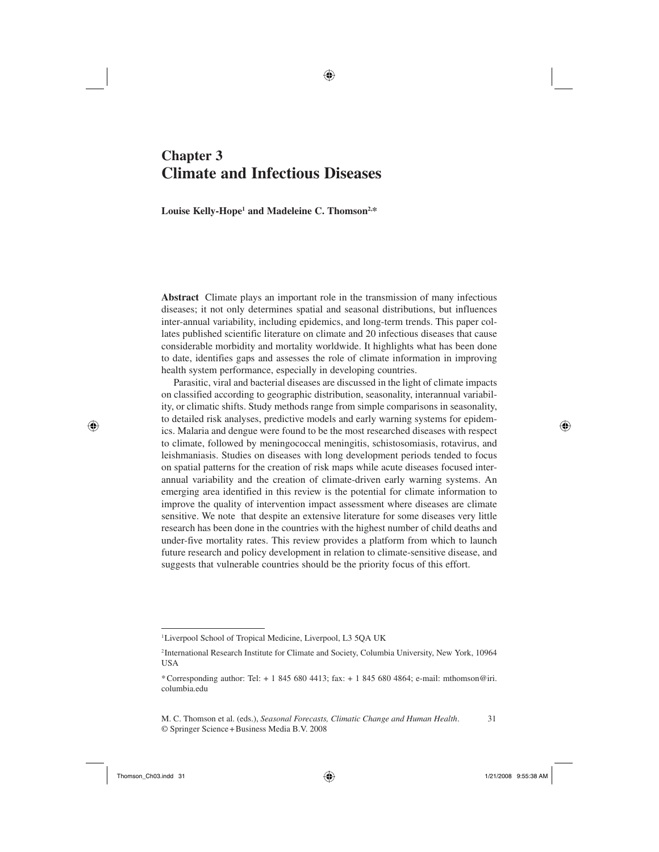# **Chapter 3 Climate and Infectious Diseases**

Louise Kelly-Hope<sup>1</sup> and Madeleine C. Thomson<sup>2,\*</sup>

**Abstract** Climate plays an important role in the transmission of many infectious diseases; it not only determines spatial and seasonal distributions, but influences inter-annual variability, including epidemics, and long-term trends. This paper collates published scientific literature on climate and 20 infectious diseases that cause considerable morbidity and mortality worldwide. It highlights what has been done to date, identifies gaps and assesses the role of climate information in improving health system performance, especially in developing countries.

⊕

Parasitic, viral and bacterial diseases are discussed in the light of climate impacts on classified according to geographic distribution, seasonality, interannual variability, or climatic shifts. Study methods range from simple comparisons in seasonality, to detailed risk analyses, predictive models and early warning systems for epidemics. Malaria and dengue were found to be the most researched diseases with respect to climate, followed by meningococcal meningitis, schistosomiasis, rotavirus, and leishmaniasis. Studies on diseases with long development periods tended to focus on spatial patterns for the creation of risk maps while acute diseases focused interannual variability and the creation of climate-driven early warning systems. An emerging area identified in this review is the potential for climate information to improve the quality of intervention impact assessment where diseases are climate sensitive. We note that despite an extensive literature for some diseases very little research has been done in the countries with the highest number of child deaths and under-five mortality rates. This review provides a platform from which to launch future research and policy development in relation to climate-sensitive disease, and suggests that vulnerable countries should be the priority focus of this effort.

⊕

<sup>1</sup>Liverpool School of Tropical Medicine, Liverpool, L3 5QA UK

<sup>2</sup>International Research Institute for Climate and Society, Columbia University, New York, 10964 USA

<sup>\*</sup> Corresponding author: Tel: + 1 845 680 4413; fax: + 1 845 680 4864; e-mail: mthomson@iri. columbia.edu

M. C. Thomson et al. (eds.), *Seasonal Forecasts, Climatic Change and Human Health*. 31 © Springer Science + Business Media B.V. 2008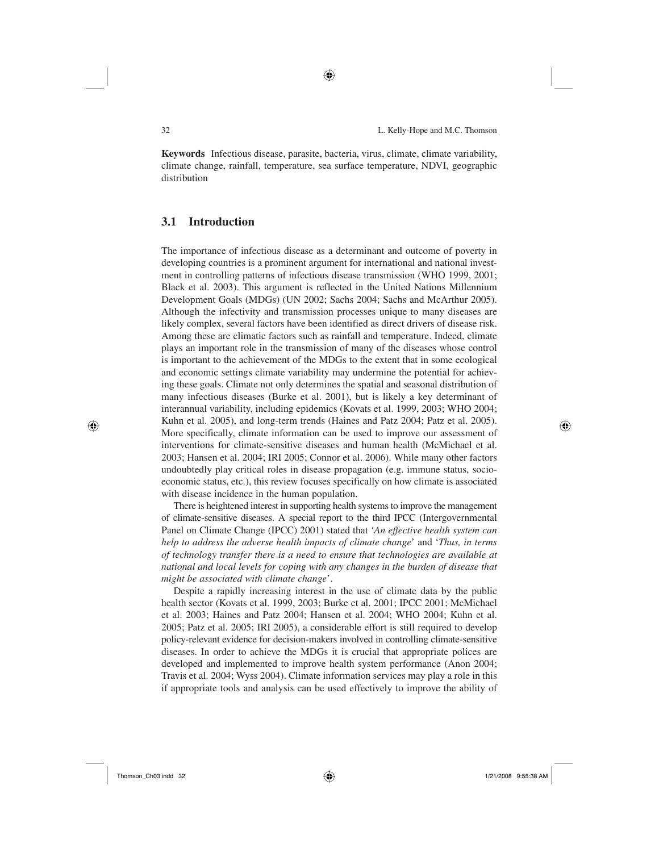**Keywords** Infectious disease, parasite, bacteria, virus, climate, climate variability, climate change, rainfall, temperature, sea surface temperature, NDVI, geographic distribution

⊕

# **3.1 Introduction**

The importance of infectious disease as a determinant and outcome of poverty in developing countries is a prominent argument for international and national investment in controlling patterns of infectious disease transmission (WHO 1999, 2001; Black et al. 2003). This argument is reflected in the United Nations Millennium Development Goals (MDGs) (UN 2002; Sachs 2004; Sachs and McArthur 2005). Although the infectivity and transmission processes unique to many diseases are likely complex, several factors have been identified as direct drivers of disease risk. Among these are climatic factors such as rainfall and temperature. Indeed, climate plays an important role in the transmission of many of the diseases whose control is important to the achievement of the MDGs to the extent that in some ecological and economic settings climate variability may undermine the potential for achieving these goals. Climate not only determines the spatial and seasonal distribution of many infectious diseases (Burke et al. 2001), but is likely a key determinant of interannual variability, including epidemics (Kovats et al. 1999, 2003; WHO 2004; Kuhn et al. 2005), and long-term trends (Haines and Patz 2004; Patz et al. 2005). More specifically, climate information can be used to improve our assessment of interventions for climate-sensitive diseases and human health (McMichael et al. 2003; Hansen et al. 2004; IRI 2005; Connor et al. 2006). While many other factors undoubtedly play critical roles in disease propagation (e.g. immune status, socioeconomic status, etc.), this review focuses specifically on how climate is associated with disease incidence in the human population.

There is heightened interest in supporting health systems to improve the management of climate-sensitive diseases. A special report to the third IPCC (Intergovernmental Panel on Climate Change (IPCC) 2001) stated that '*An effective health system can help to address the adverse health impacts of climate change*' and '*Thus, in terms of technology transfer there is a need to ensure that technologies are available at national and local levels for coping with any changes in the burden of disease that might be associated with climate change*'.

Despite a rapidly increasing interest in the use of climate data by the public health sector (Kovats et al. 1999, 2003; Burke et al. 2001; IPCC 2001; McMichael et al. 2003; Haines and Patz 2004; Hansen et al. 2004; WHO 2004; Kuhn et al. 2005; Patz et al. 2005; IRI 2005), a considerable effort is still required to develop policy-relevant evidence for decision-makers involved in controlling climate-sensitive diseases. In order to achieve the MDGs it is crucial that appropriate polices are developed and implemented to improve health system performance (Anon 2004; Travis et al. 2004; Wyss 2004). Climate information services may play a role in this if appropriate tools and analysis can be used effectively to improve the ability of

⊕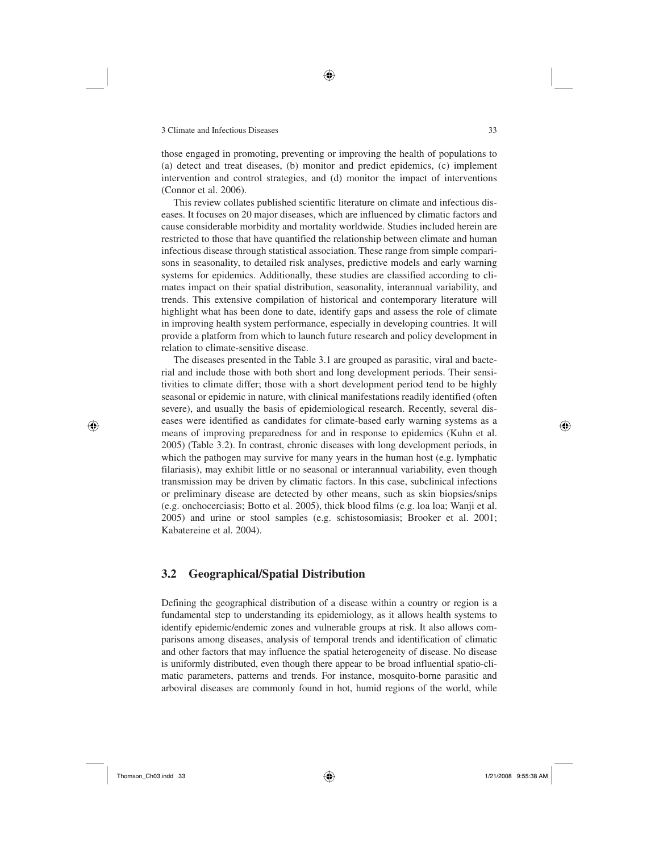those engaged in promoting, preventing or improving the health of populations to (a) detect and treat diseases, (b) monitor and predict epidemics, (c) implement intervention and control strategies, and (d) monitor the impact of interventions (Connor et al. 2006).

⊕

This review collates published scientific literature on climate and infectious diseases. It focuses on 20 major diseases, which are influenced by climatic factors and cause considerable morbidity and mortality worldwide. Studies included herein are restricted to those that have quantified the relationship between climate and human infectious disease through statistical association. These range from simple comparisons in seasonality, to detailed risk analyses, predictive models and early warning systems for epidemics. Additionally, these studies are classified according to climates impact on their spatial distribution, seasonality, interannual variability, and trends. This extensive compilation of historical and contemporary literature will highlight what has been done to date, identify gaps and assess the role of climate in improving health system performance, especially in developing countries. It will provide a platform from which to launch future research and policy development in relation to climate-sensitive disease.

The diseases presented in the Table 3.1 are grouped as parasitic, viral and bacterial and include those with both short and long development periods. Their sensitivities to climate differ; those with a short development period tend to be highly seasonal or epidemic in nature, with clinical manifestations readily identified (often severe), and usually the basis of epidemiological research. Recently, several diseases were identified as candidates for climate-based early warning systems as a means of improving preparedness for and in response to epidemics (Kuhn et al. 2005) (Table 3.2). In contrast, chronic diseases with long development periods, in which the pathogen may survive for many years in the human host (e.g. lymphatic filariasis), may exhibit little or no seasonal or interannual variability, even though transmission may be driven by climatic factors. In this case, subclinical infections or preliminary disease are detected by other means, such as skin biopsies/snips (e.g. onchocerciasis; Botto et al. 2005), thick blood films (e.g. loa loa; Wanji et al. 2005) and urine or stool samples (e.g. schistosomiasis; Brooker et al. 2001; Kabatereine et al. 2004).

# **3.2 Geographical/Spatial Distribution**

Defining the geographical distribution of a disease within a country or region is a fundamental step to understanding its epidemiology, as it allows health systems to identify epidemic/endemic zones and vulnerable groups at risk. It also allows comparisons among diseases, analysis of temporal trends and identification of climatic and other factors that may influence the spatial heterogeneity of disease. No disease is uniformly distributed, even though there appear to be broad influential spatio-climatic parameters, patterns and trends. For instance, mosquito-borne parasitic and arboviral diseases are commonly found in hot, humid regions of the world, while

⊕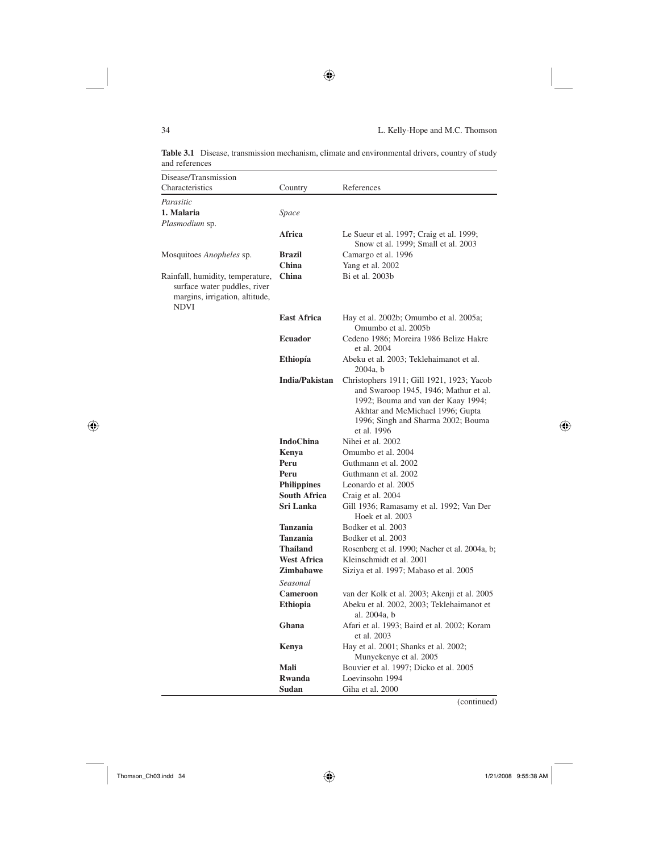**Table 3.1** Disease, transmission mechanism, climate and environmental drivers, country of study and references

 $\bigoplus$ 

| Disease/Transmission<br>Characteristics                                                                           | Country                     | References                                                                                                                                                                                                        |
|-------------------------------------------------------------------------------------------------------------------|-----------------------------|-------------------------------------------------------------------------------------------------------------------------------------------------------------------------------------------------------------------|
| Parasitic                                                                                                         |                             |                                                                                                                                                                                                                   |
| 1. Malaria                                                                                                        | Space                       |                                                                                                                                                                                                                   |
| Plasmodium sp.                                                                                                    |                             |                                                                                                                                                                                                                   |
|                                                                                                                   | Africa                      | Le Sueur et al. 1997; Craig et al. 1999;<br>Snow et al. 1999; Small et al. 2003                                                                                                                                   |
| Mosquitoes Anopheles sp.                                                                                          | <b>Brazil</b>               | Camargo et al. 1996                                                                                                                                                                                               |
|                                                                                                                   | China                       | Yang et al. 2002                                                                                                                                                                                                  |
| Rainfall, humidity, temperature,<br>surface water puddles, river<br>margins, irrigation, altitude,<br><b>NDVI</b> | China                       | Bi et al. 2003b                                                                                                                                                                                                   |
|                                                                                                                   | <b>East Africa</b>          | Hay et al. 2002b; Omumbo et al. 2005a;<br>Omumbo et al. 2005b                                                                                                                                                     |
|                                                                                                                   | <b>Ecuador</b>              | Cedeno 1986; Moreira 1986 Belize Hakre<br>et al. 2004                                                                                                                                                             |
|                                                                                                                   | Ethiopía                    | Abeku et al. 2003; Teklehaimanot et al.<br>2004a, b                                                                                                                                                               |
|                                                                                                                   | <b>India/Pakistan</b>       | Christophers 1911; Gill 1921, 1923; Yacob<br>and Swaroop 1945, 1946; Mathur et al.<br>1992; Bouma and van der Kaay 1994;<br>Akhtar and McMichael 1996; Gupta<br>1996; Singh and Sharma 2002; Bouma<br>et al. 1996 |
|                                                                                                                   | <b>IndoChina</b>            | Nihei et al. 2002                                                                                                                                                                                                 |
|                                                                                                                   | Kenya                       | Omumbo et al. 2004                                                                                                                                                                                                |
|                                                                                                                   | Peru                        | Guthmann et al. 2002                                                                                                                                                                                              |
|                                                                                                                   | Peru                        | Guthmann et al. 2002                                                                                                                                                                                              |
|                                                                                                                   | <b>Philippines</b>          | Leonardo et al. 2005                                                                                                                                                                                              |
|                                                                                                                   | <b>South Africa</b>         | Craig et al. 2004                                                                                                                                                                                                 |
|                                                                                                                   | Sri Lanka                   | Gill 1936; Ramasamy et al. 1992; Van Der<br>Hoek et al. 2003                                                                                                                                                      |
|                                                                                                                   | <b>Tanzania</b>             | Bodker et al. 2003                                                                                                                                                                                                |
|                                                                                                                   | <b>Tanzania</b>             | Bodker et al. 2003                                                                                                                                                                                                |
|                                                                                                                   | <b>Thailand</b>             | Rosenberg et al. 1990; Nacher et al. 2004a, b;                                                                                                                                                                    |
|                                                                                                                   | <b>West Africa</b>          | Kleinschmidt et al. 2001                                                                                                                                                                                          |
|                                                                                                                   | <b>Zimbabawe</b>            | Siziya et al. 1997; Mabaso et al. 2005                                                                                                                                                                            |
|                                                                                                                   | Seasonal                    |                                                                                                                                                                                                                   |
|                                                                                                                   | Cameroon<br><b>Ethiopia</b> | van der Kolk et al. 2003; Akenji et al. 2005<br>Abeku et al. 2002, 2003; Teklehaimanot et                                                                                                                         |
|                                                                                                                   | Ghana                       | al. 2004a, b<br>Afari et al. 1993; Baird et al. 2002; Koram<br>et al. 2003                                                                                                                                        |
|                                                                                                                   | Kenya                       | Hay et al. 2001; Shanks et al. 2002;<br>Munyekenye et al. 2005                                                                                                                                                    |
|                                                                                                                   | Mali                        | Bouvier et al. 1997; Dicko et al. 2005                                                                                                                                                                            |
|                                                                                                                   | Rwanda                      | Loevinsohn 1994                                                                                                                                                                                                   |
|                                                                                                                   | Sudan                       | Giha et al. 2000                                                                                                                                                                                                  |
|                                                                                                                   |                             | (continued)                                                                                                                                                                                                       |

 $\bigoplus$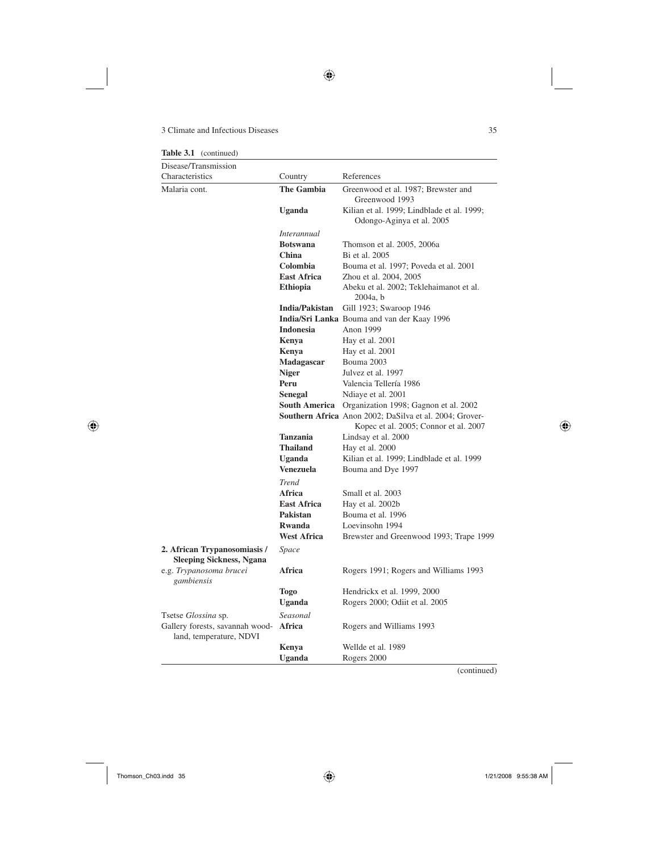| Disease/Transmission                                            |                       |                                                                                                                                           |
|-----------------------------------------------------------------|-----------------------|-------------------------------------------------------------------------------------------------------------------------------------------|
| Characteristics                                                 | Country               | References                                                                                                                                |
| Malaria cont.                                                   | The Gambia            | Greenwood et al. 1987; Brewster and<br>Greenwood 1993                                                                                     |
|                                                                 | Uganda                | Kilian et al. 1999; Lindblade et al. 1999;<br>Odongo-Aginya et al. 2005                                                                   |
|                                                                 | <b>Interannual</b>    |                                                                                                                                           |
|                                                                 | <b>Botswana</b>       | Thomson et al. 2005, 2006a                                                                                                                |
|                                                                 | China                 | Bi et al. 2005                                                                                                                            |
|                                                                 | Colombia              | Bouma et al. 1997; Poveda et al. 2001                                                                                                     |
|                                                                 | <b>East Africa</b>    | Zhou et al. 2004, 2005                                                                                                                    |
|                                                                 | <b>Ethiopia</b>       | Abeku et al. 2002; Teklehaimanot et al.<br>$2004a$ , b                                                                                    |
|                                                                 | <b>India/Pakistan</b> | Gill 1923; Swaroop 1946                                                                                                                   |
|                                                                 |                       | India/Sri Lanka Bouma and van der Kaay 1996                                                                                               |
|                                                                 | <b>Indonesia</b>      | Anon 1999                                                                                                                                 |
|                                                                 | Kenya                 | Hay et al. 2001                                                                                                                           |
|                                                                 | Kenya                 | Hay et al. 2001                                                                                                                           |
|                                                                 | Madagascar            | Bouma 2003                                                                                                                                |
|                                                                 | <b>Niger</b>          | Julyez et al. 1997                                                                                                                        |
|                                                                 | Peru                  | Valencia Tellería 1986                                                                                                                    |
|                                                                 | Senegal               | Ndiaye et al. 2001                                                                                                                        |
|                                                                 | <b>South America</b>  | Organization 1998; Gagnon et al. 2002<br>Southern Africa Anon 2002; DaSilva et al. 2004; Grover-<br>Kopec et al. 2005; Connor et al. 2007 |
|                                                                 | <b>Tanzania</b>       | Lindsay et al. 2000                                                                                                                       |
|                                                                 | <b>Thailand</b>       | Hay et al. 2000                                                                                                                           |
|                                                                 | Uganda                | Kilian et al. 1999; Lindblade et al. 1999                                                                                                 |
|                                                                 | <b>Venezuela</b>      | Bouma and Dye 1997                                                                                                                        |
|                                                                 | <b>Trend</b>          |                                                                                                                                           |
|                                                                 | Africa                | Small et al. 2003                                                                                                                         |
|                                                                 | <b>East Africa</b>    | Hay et al. 2002b                                                                                                                          |
|                                                                 | Pakistan              | Bouma et al. 1996                                                                                                                         |
|                                                                 | Rwanda                | Loevinsohn 1994                                                                                                                           |
|                                                                 | <b>West Africa</b>    | Brewster and Greenwood 1993; Trape 1999                                                                                                   |
| 2. African Trypanosomiasis /<br><b>Sleeping Sickness, Ngana</b> | Space                 |                                                                                                                                           |
| e.g. Trypanosoma brucei<br>gambiensis                           | Africa                | Rogers 1991; Rogers and Williams 1993                                                                                                     |
|                                                                 | Togo                  | Hendrickx et al. 1999, 2000                                                                                                               |
|                                                                 | Uganda                | Rogers 2000; Odiit et al. 2005                                                                                                            |
| Tsetse Glossina sp.                                             | Seasonal              |                                                                                                                                           |
| Gallery forests, savannah wood-<br>land, temperature, NDVI      | Africa                | Rogers and Williams 1993                                                                                                                  |
|                                                                 | Kenya                 | Wellde et al. 1989                                                                                                                        |
|                                                                 | <b>Uganda</b>         | Rogers 2000                                                                                                                               |

 $\bigoplus$ 

(continued)

 $\bigoplus$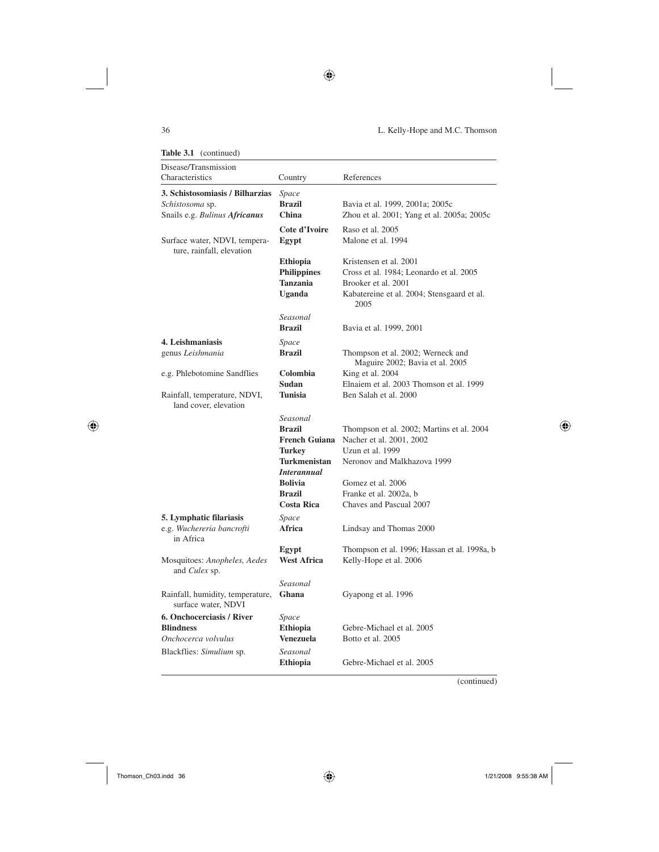| Table 3.1 (continued)                                                               |                                                                                                                     |                                                                                                                                                |
|-------------------------------------------------------------------------------------|---------------------------------------------------------------------------------------------------------------------|------------------------------------------------------------------------------------------------------------------------------------------------|
| Disease/Transmission<br>Characteristics                                             | Country                                                                                                             | References                                                                                                                                     |
| 3. Schistosomiasis / Bilharzias<br>Schistosoma sp.<br>Snails e.g. Bulinus Africanus | Space<br><b>Brazil</b><br><b>China</b>                                                                              | Bavia et al. 1999, 2001a; 2005c<br>Zhou et al. 2001; Yang et al. 2005a; 2005c                                                                  |
| Surface water, NDVI, tempera-<br>ture, rainfall, elevation                          | Cote d'Ivoire<br>Egypt                                                                                              | Raso et al. 2005<br>Malone et al. 1994                                                                                                         |
|                                                                                     | <b>Ethiopia</b><br><b>Philippines</b><br><b>Tanzania</b><br>Uganda                                                  | Kristensen et al. 2001<br>Cross et al. 1984; Leonardo et al. 2005<br>Brooker et al. 2001<br>Kabatereine et al. 2004; Stensgaard et al.<br>2005 |
|                                                                                     | Seasonal<br><b>Brazil</b>                                                                                           | Bavia et al. 1999, 2001                                                                                                                        |
| 4. Leishmaniasis<br>genus Leishmania                                                | Space<br><b>Brazil</b>                                                                                              | Thompson et al. 2002; Werneck and<br>Maguire 2002; Bavia et al. 2005                                                                           |
| e.g. Phlebotomine Sandflies                                                         | Colombia<br>Sudan                                                                                                   | King et al. 2004<br>Elnaiem et al. 2003 Thomson et al. 1999                                                                                    |
| Rainfall, temperature, NDVI,<br>land cover, elevation                               | Tunisia                                                                                                             | Ben Salah et al. 2000                                                                                                                          |
|                                                                                     | Seasonal<br><b>Brazil</b><br><b>French Guiana</b><br><b>Turkey</b><br>Turkmenistan<br><b>Interannual</b><br>Bolivia | Thompson et al. 2002; Martins et al. 2004<br>Nacher et al. 2001, 2002<br>Uzun et al. 1999<br>Neronov and Malkhazova 1999<br>Gomez et al. 2006  |
|                                                                                     | <b>Brazil</b><br><b>Costa Rica</b>                                                                                  | Franke et al. 2002a, b<br>Chaves and Pascual 2007                                                                                              |
| 5. Lymphatic filariasis<br>e.g. Wuchereria bancrofti<br>in Africa                   | Space<br><b>Africa</b>                                                                                              | Lindsay and Thomas 2000                                                                                                                        |
| Mosquitoes: Anopheles, Aedes<br>and <i>Culex</i> sp.                                | Egypt<br><b>West Africa</b>                                                                                         | Thompson et al. 1996; Hassan et al. 1998a, b<br>Kelly-Hope et al. 2006                                                                         |
| Rainfall, humidity, temperature,<br>surface water, NDVI                             | Seasonal<br>Ghana                                                                                                   | Gyapong et al. 1996                                                                                                                            |
| 6. Onchocerciasis / River<br><b>Blindness</b><br>Onchocerca volvulus                | Space<br><b>Ethiopia</b><br><b>Venezuela</b>                                                                        | Gebre-Michael et al. 2005<br>Botto et al. 2005                                                                                                 |
| Blackflies: Simulium sp.                                                            | Seasonal<br><b>Ethiopia</b>                                                                                         | Gebre-Michael et al. 2005                                                                                                                      |

 $\bigoplus$ 

(continued)

Thomson\_Ch03.indd 36 1/21/2008 9:55:38 AM 1/21/2008 9:55:38 AM

 $\bigoplus$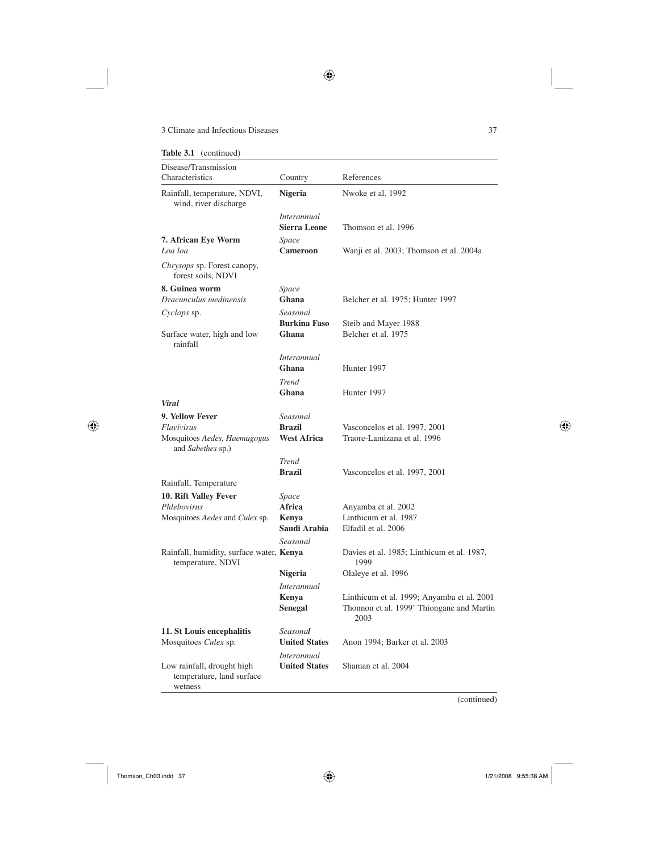| Disease/Transmission                                               |                                           |                                                                                                 |
|--------------------------------------------------------------------|-------------------------------------------|-------------------------------------------------------------------------------------------------|
| Characteristics                                                    | Country                                   | References                                                                                      |
| Rainfall, temperature, NDVI,<br>wind, river discharge              | <b>Nigeria</b>                            | Nwoke et al. 1992                                                                               |
|                                                                    | <i>Interannual</i><br><b>Sierra Leone</b> | Thomson et al. 1996                                                                             |
| 7. African Eye Worm<br>Loa loa                                     | Space<br>Cameroon                         | Wanji et al. 2003; Thomson et al. 2004a                                                         |
| Chrysops sp. Forest canopy,<br>forest soils. NDVI                  |                                           |                                                                                                 |
| 8. Guinea worm                                                     | Space                                     |                                                                                                 |
| Dracunculus medinensis                                             | Ghana                                     | Belcher et al. 1975; Hunter 1997                                                                |
| Cyclops sp.                                                        | Seasonal                                  |                                                                                                 |
|                                                                    | <b>Burkina Faso</b>                       | Steib and Mayer 1988                                                                            |
| Surface water, high and low<br>rainfall                            | Ghana                                     | Belcher et al. 1975                                                                             |
|                                                                    | <i>Interannual</i>                        |                                                                                                 |
|                                                                    | Ghana                                     | Hunter 1997                                                                                     |
|                                                                    | <b>Trend</b>                              |                                                                                                 |
|                                                                    | Ghana                                     | Hunter 1997                                                                                     |
| Viral                                                              |                                           |                                                                                                 |
| 9. Yellow Fever                                                    | Seasonal                                  |                                                                                                 |
| Flavivirus                                                         | <b>Brazil</b>                             | Vasconcelos et al. 1997, 2001                                                                   |
| Mosquitoes Aedes, Haemagogus<br>and Sabethes sp.)                  | <b>West Africa</b>                        | Traore-Lamizana et al. 1996                                                                     |
|                                                                    | <b>Trend</b>                              |                                                                                                 |
|                                                                    | <b>Brazil</b>                             | Vasconcelos et al. 1997, 2001                                                                   |
| Rainfall, Temperature                                              |                                           |                                                                                                 |
| 10. Rift Valley Fever                                              | Space                                     |                                                                                                 |
| Phlebovirus                                                        | Africa                                    | Anyamba et al. 2002                                                                             |
| Mosquitoes Aedes and Culex sp.                                     | Kenya                                     | Linthicum et al. 1987                                                                           |
|                                                                    | Saudi Arabia                              | Elfadil et al. 2006                                                                             |
| Rainfall, humidity, surface water, <b>Kenya</b>                    | Seasonal                                  | Davies et al. 1985; Linthicum et al. 1987,                                                      |
| temperature, NDVI                                                  |                                           | 1999                                                                                            |
|                                                                    | <b>Nigeria</b>                            | Olaleye et al. 1996                                                                             |
|                                                                    | <i>Interannual</i>                        |                                                                                                 |
|                                                                    | Kenya<br><b>Senegal</b>                   | Linthicum et al. 1999; Anyamba et al. 2001<br>Thonnon et al. 1999' Thiongane and Martin<br>2003 |
| 11. St Louis encephalitis                                          | Seasonal                                  |                                                                                                 |
| Mosquitoes Culex sp.                                               | <b>United States</b>                      | Anon 1994; Barker et al. 2003                                                                   |
|                                                                    | <b>Interannual</b>                        |                                                                                                 |
| Low rainfall, drought high<br>temperature, land surface<br>wetness | <b>United States</b>                      | Shaman et al. 2004                                                                              |

 $\bigoplus$ 

(continued)

 $\bigoplus$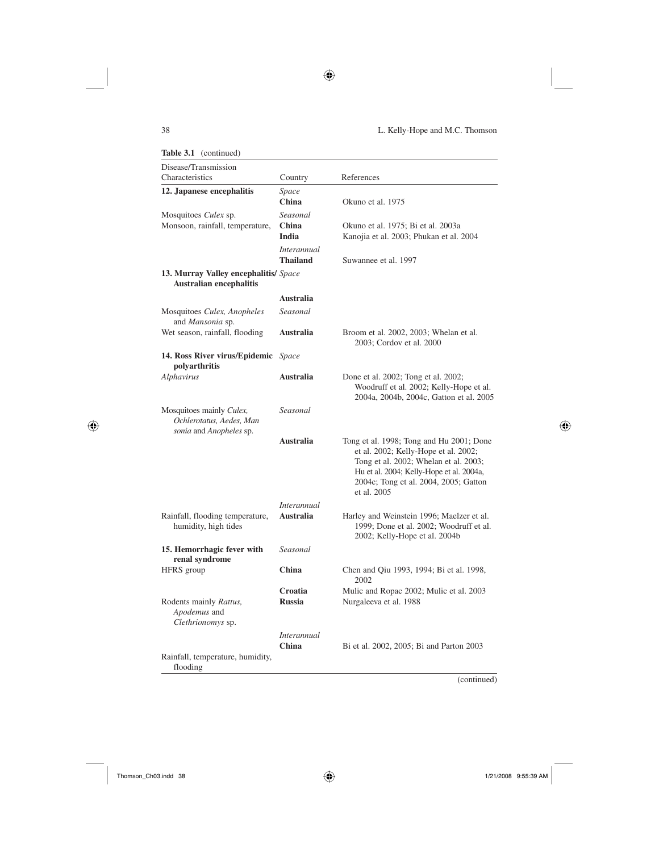| Table 3.1 (continued)                                                           |                                       |                                                                                                                                                                                                                               |
|---------------------------------------------------------------------------------|---------------------------------------|-------------------------------------------------------------------------------------------------------------------------------------------------------------------------------------------------------------------------------|
| Disease/Transmission<br>Characteristics                                         | Country                               | References                                                                                                                                                                                                                    |
| 12. Japanese encephalitis                                                       | Space<br>China                        | Okuno et al. 1975                                                                                                                                                                                                             |
| Mosquitoes Culex sp.<br>Monsoon, rainfall, temperature,                         | Seasonal<br>China<br>India            | Okuno et al. 1975; Bi et al. 2003a<br>Kanojia et al. 2003; Phukan et al. 2004                                                                                                                                                 |
|                                                                                 | <i>Interannual</i><br><b>Thailand</b> | Suwannee et al. 1997                                                                                                                                                                                                          |
| 13. Murray Valley encephalitis/ Space<br><b>Australian encephalitis</b>         |                                       |                                                                                                                                                                                                                               |
|                                                                                 | <b>Australia</b>                      |                                                                                                                                                                                                                               |
| Mosquitoes Culex, Anopheles<br>and Mansonia sp.                                 | Seasonal                              |                                                                                                                                                                                                                               |
| Wet season, rainfall, flooding                                                  | <b>Australia</b>                      | Broom et al. 2002, 2003; Whelan et al.<br>2003; Cordov et al. 2000                                                                                                                                                            |
| 14. Ross River virus/Epidemic Space<br>polyarthritis                            |                                       |                                                                                                                                                                                                                               |
| Alphavirus                                                                      | <b>Australia</b>                      | Done et al. 2002; Tong et al. 2002;<br>Woodruff et al. 2002; Kelly-Hope et al.<br>2004a, 2004b, 2004c, Gatton et al. 2005                                                                                                     |
| Mosquitoes mainly Culex,<br>Ochlerotatus, Aedes, Man<br>sonia and Anopheles sp. | Seasonal                              |                                                                                                                                                                                                                               |
|                                                                                 | <b>Australia</b>                      | Tong et al. 1998; Tong and Hu 2001; Done<br>et al. 2002; Kelly-Hope et al. 2002;<br>Tong et al. 2002; Whelan et al. 2003;<br>Hu et al. 2004; Kelly-Hope et al. 2004a,<br>2004c; Tong et al. 2004, 2005; Gatton<br>et al. 2005 |
|                                                                                 | <i>Interannual</i>                    |                                                                                                                                                                                                                               |
| Rainfall, flooding temperature,<br>humidity, high tides                         | <b>Australia</b>                      | Harley and Weinstein 1996; Maelzer et al.<br>1999; Done et al. 2002; Woodruff et al.<br>2002; Kelly-Hope et al. 2004b                                                                                                         |
| 15. Hemorrhagic fever with<br>renal syndrome                                    | Seasonal                              |                                                                                                                                                                                                                               |
| HFRS group                                                                      | China                                 | Chen and Qiu 1993, 1994; Bi et al. 1998,<br>2002                                                                                                                                                                              |
| Rodents mainly Rattus,<br>Apodemus and<br>Clethrionomys sp.                     | Croatia<br><b>Russia</b>              | Mulic and Ropac 2002; Mulic et al. 2003<br>Nurgaleeva et al. 1988                                                                                                                                                             |
|                                                                                 | <i>Interannual</i><br>China           | Bi et al. 2002, 2005; Bi and Parton 2003                                                                                                                                                                                      |
| Rainfall, temperature, humidity,<br>flooding                                    |                                       |                                                                                                                                                                                                                               |

 $\bigoplus$ 

(continued)

 $\bigoplus$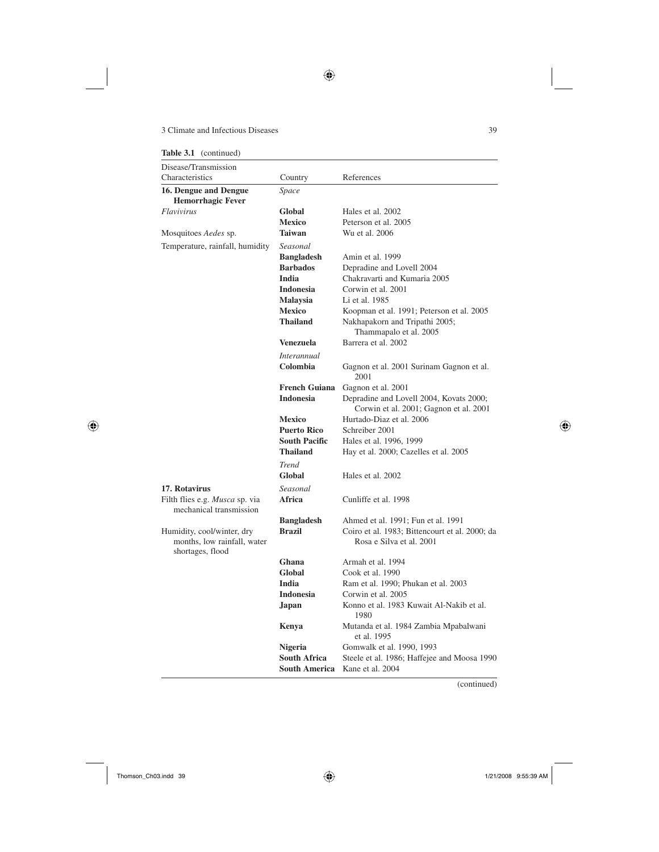**Table 3.1** (continued) Disease/Transmission Characteristics Country References **16. Dengue and Dengue Hemorrhagic Fever** *Space Flavivirus* **Global** Hales et al. 2002 **Mexico** Peterson et al. 2005 Mosquitoes *Aedes* sp. **Taiwan** Wu et al. 2006 Temperature, rainfall, humidity *Seasonal* **Bangladesh** Amin et al. 1999 **Barbados** Depradine and Lovell 2004<br> **India** Chakravarti and Kumaria 2 **India** Chakravarti and Kumaria 2005 **Indonesia** Corwin et al. 2001 **Malaysia** Li et al. 1985 **Mexico** Koopman et al. 1991; Peterson et al. 2005<br> **Thailand** Nakhapakorn and Tripathi 2005; Nakhapakorn and Tripathi 2005; Thammapalo et al. 2005 **Venezuela** Barrera et al. 2002 *Interannual* Gagnon et al. 2001 Surinam Gagnon et al. 2001 **French Guiana** Gagnon et al. 2001 **Indonesia** Depradine and Lovell 2004, Kovats 2000; Corwin et al. 2001; Gagnon et al. 2001 **Mexico** Hurtado-Diaz et al. 2006 **Puerto Rico** Schreiber 2001<br>**South Pacific** Hales et al. 199 **South Pacific** Hales et al. 1996, 1999 **Thailand** Hay et al. 2000; Cazelles et al. 2005 *Trend* **Global** Hales et al. 2002 **17. Rotavirus** *Seasonal* Filth flies e.g. *Musca* sp. via mechanical transmission **Africa** Cunliffe et al. 1998 **Bangladesh** Ahmed et al. 1991; Fun et al. 1991<br>**Brazil** Coiro et al. 1983; Bittencourt et al. Humidity, cool/winter, dry months, low rainfall, water shortages, flood **Brazil** Coiro et al. 1983; Bittencourt et al. 2000; da Rosa e Silva et al. 2001 **Ghana** Armah et al. 1994 **Global** Cook et al. 1990 **India** Ram et al. 1990; Phukan et al. 2003 **Indonesia** Corwin et al. 2005 **Japan** Konno et al. 1983 Kuwait Al-Nakib et al. 1980 **Kenya** Mutanda et al. 1984 Zambia Mpabalwani et al. 1995 **Nigeria** Gomwalk et al. 1990, 1993 **South Africa** Steele et al. 1986; Haffejee and Moosa 1990 **South America** Kane et al. 2004

⊕

(continued)

⊕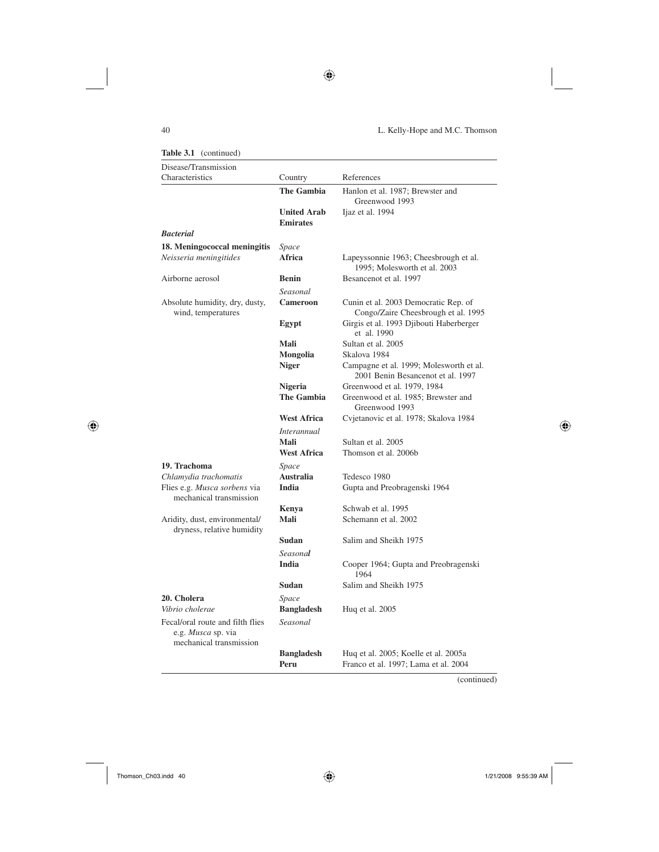| Disease/Transmission<br>Characteristics                                           | Country            | References                                                                   |
|-----------------------------------------------------------------------------------|--------------------|------------------------------------------------------------------------------|
|                                                                                   | <b>The Gambia</b>  | Hanlon et al. 1987; Brewster and                                             |
|                                                                                   |                    | Greenwood 1993                                                               |
|                                                                                   | <b>United Arab</b> | Ijaz et al. 1994                                                             |
| <b>Bacterial</b>                                                                  | <b>Emirates</b>    |                                                                              |
|                                                                                   |                    |                                                                              |
| 18. Meningococcal meningitis                                                      | Space              |                                                                              |
| Neisseria meningitides                                                            | Africa             | Lapeyssonnie 1963; Cheesbrough et al.<br>1995; Molesworth et al. 2003        |
| Airborne aerosol                                                                  | <b>Benin</b>       | Besancenot et al. 1997                                                       |
|                                                                                   | Seasonal           |                                                                              |
| Absolute humidity, dry, dusty,<br>wind, temperatures                              | <b>Cameroon</b>    | Cunin et al. 2003 Democratic Rep. of<br>Congo/Zaire Cheesbrough et al. 1995  |
|                                                                                   | Egypt              | Girgis et al. 1993 Djibouti Haberberger<br>et al. 1990                       |
|                                                                                   | Mali               | Sultan et al. 2005                                                           |
|                                                                                   | Mongolia           | Skalova 1984                                                                 |
|                                                                                   | <b>Niger</b>       | Campagne et al. 1999; Molesworth et al.<br>2001 Benin Besancenot et al. 1997 |
|                                                                                   | <b>Nigeria</b>     | Greenwood et al. 1979, 1984                                                  |
|                                                                                   | The Gambia         | Greenwood et al. 1985; Brewster and<br>Greenwood 1993                        |
|                                                                                   | <b>West Africa</b> | Cvjetanovic et al. 1978; Skalova 1984                                        |
|                                                                                   | <b>Interannual</b> |                                                                              |
|                                                                                   | Mali               | Sultan et al. 2005                                                           |
|                                                                                   | West Africa        | Thomson et al. 2006b                                                         |
| 19. Trachoma                                                                      | Space              |                                                                              |
| Chlamydia trachomatis                                                             | <b>Australia</b>   | Tedesco 1980                                                                 |
| Flies e.g. Musca sorbens via<br>mechanical transmission                           | <b>India</b>       | Gupta and Preobragenski 1964                                                 |
|                                                                                   | Kenya              | Schwab et al. 1995                                                           |
| Aridity, dust, environmental/<br>dryness, relative humidity                       | Mali               | Schemann et al. 2002                                                         |
|                                                                                   | Sudan              | Salim and Sheikh 1975                                                        |
|                                                                                   | Seasonal           |                                                                              |
|                                                                                   | India              | Cooper 1964; Gupta and Preobragenski<br>1964                                 |
|                                                                                   | Sudan              | Salim and Sheikh 1975                                                        |
| 20. Cholera                                                                       | Space              |                                                                              |
| Vibrio cholerae                                                                   | <b>Bangladesh</b>  | Hug et al. 2005                                                              |
| Fecal/oral route and filth flies<br>e.g. Musca sp. via<br>mechanical transmission | Seasonal           |                                                                              |
|                                                                                   | <b>Bangladesh</b>  | Huq et al. 2005; Koelle et al. 2005a                                         |
|                                                                                   | Peru               | Franco et al. 1997; Lama et al. 2004                                         |

 $\bigoplus$ 

(continued)

 $\bigoplus$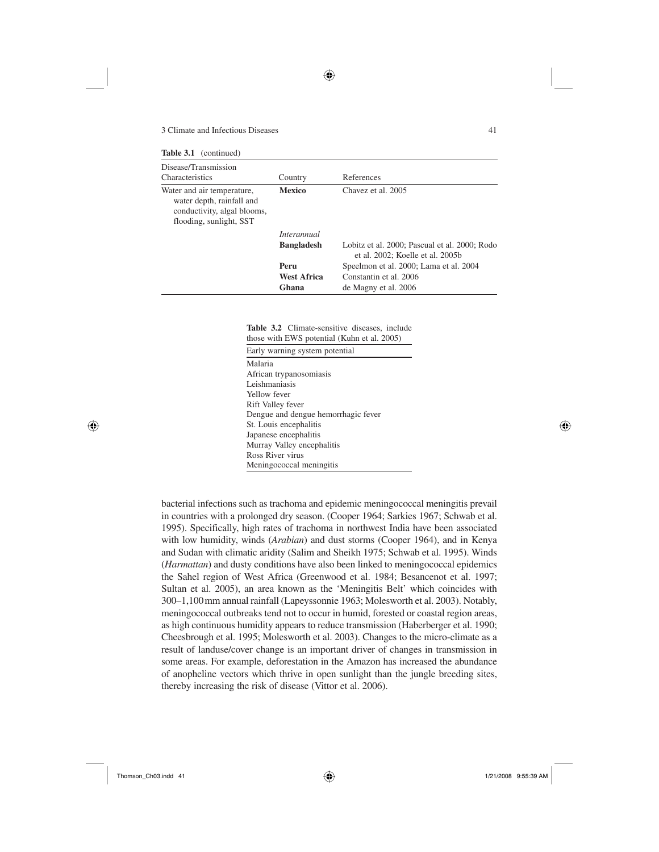## **Table 3.1** (continued)

| Disease/Transmission<br>Characteristics                                                                           | Country            | References                                                                        |
|-------------------------------------------------------------------------------------------------------------------|--------------------|-----------------------------------------------------------------------------------|
| Water and air temperature,<br>water depth, rainfall and<br>conductivity, algal blooms,<br>flooding, sunlight, SST | <b>Mexico</b>      | Chavez et al. 2005                                                                |
|                                                                                                                   | <i>Interannual</i> |                                                                                   |
|                                                                                                                   | <b>Bangladesh</b>  | Lobitz et al. 2000; Pascual et al. 2000; Rodo<br>et al. 2002; Koelle et al. 2005b |
|                                                                                                                   | Peru               | Speelmon et al. 2000; Lama et al. 2004                                            |
|                                                                                                                   | <b>West Africa</b> | Constantin et al. 2006                                                            |
|                                                                                                                   | Ghana              | de Magny et al. 2006                                                              |

⊕

**Table 3.2** Climate-sensitive diseases, include those with EWS potential (Kuhn et al. 2005) Early warning system potential Malaria African trypanosomiasis Leishmaniasis Yellow fever

Rift Valley fever Dengue and dengue hemorrhagic fever St. Louis encephalitis Japanese encephalitis Murray Valley encephalitis Ross River virus Meningococcal meningitis

bacterial infections such as trachoma and epidemic meningococcal meningitis prevail in countries with a prolonged dry season. (Cooper 1964; Sarkies 1967; Schwab et al. 1995). Specifically, high rates of trachoma in northwest India have been associated with low humidity, winds (*Arabian*) and dust storms (Cooper 1964), and in Kenya and Sudan with climatic aridity (Salim and Sheikh 1975; Schwab et al. 1995). Winds (*Harmattan*) and dusty conditions have also been linked to meningococcal epidemics the Sahel region of West Africa (Greenwood et al. 1984; Besancenot et al. 1997; Sultan et al. 2005), an area known as the 'Meningitis Belt' which coincides with 300–1,100 mm annual rainfall (Lapeyssonnie 1963; Molesworth et al. 2003). Notably, meningococcal outbreaks tend not to occur in humid, forested or coastal region areas, as high continuous humidity appears to reduce transmission (Haberberger et al. 1990; Cheesbrough et al. 1995; Molesworth et al. 2003). Changes to the micro-climate as a result of landuse/cover change is an important driver of changes in transmission in some areas. For example, deforestation in the Amazon has increased the abundance of anopheline vectors which thrive in open sunlight than the jungle breeding sites, thereby increasing the risk of disease (Vittor et al. 2006).

⊕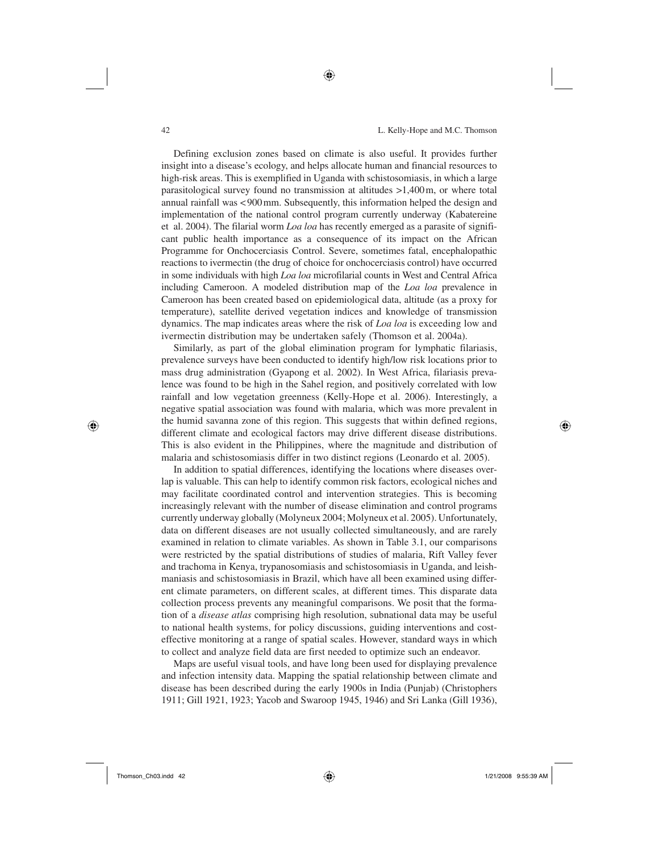Defining exclusion zones based on climate is also useful. It provides further insight into a disease's ecology, and helps allocate human and financial resources to high-risk areas. This is exemplified in Uganda with schistosomiasis, in which a large parasitological survey found no transmission at altitudes >1,400 m, or where total annual rainfall was < 900 mm. Subsequently, this information helped the design and implementation of the national control program currently underway (Kabatereine et al. 2004). The filarial worm *Loa loa* has recently emerged as a parasite of significant public health importance as a consequence of its impact on the African Programme for Onchocerciasis Control. Severe, sometimes fatal, encephalopathic reactions to ivermectin (the drug of choice for onchocerciasis control) have occurred in some individuals with high *Loa loa* microfilarial counts in West and Central Africa including Cameroon. A modeled distribution map of the *Loa loa* prevalence in Cameroon has been created based on epidemiological data, altitude (as a proxy for temperature), satellite derived vegetation indices and knowledge of transmission dynamics. The map indicates areas where the risk of *Loa loa* is exceeding low and ivermectin distribution may be undertaken safely (Thomson et al. 2004a).

⊕

Similarly, as part of the global elimination program for lymphatic filariasis, prevalence surveys have been conducted to identify high/low risk locations prior to mass drug administration (Gyapong et al. 2002). In West Africa, filariasis prevalence was found to be high in the Sahel region, and positively correlated with low rainfall and low vegetation greenness (Kelly-Hope et al. 2006). Interestingly, a negative spatial association was found with malaria, which was more prevalent in the humid savanna zone of this region. This suggests that within defined regions, different climate and ecological factors may drive different disease distributions. This is also evident in the Philippines, where the magnitude and distribution of malaria and schistosomiasis differ in two distinct regions (Leonardo et al. 2005).

In addition to spatial differences, identifying the locations where diseases overlap is valuable. This can help to identify common risk factors, ecological niches and may facilitate coordinated control and intervention strategies. This is becoming increasingly relevant with the number of disease elimination and control programs currently underway globally (Molyneux 2004; Molyneux et al. 2005). Unfortunately, data on different diseases are not usually collected simultaneously, and are rarely examined in relation to climate variables. As shown in Table 3.1, our comparisons were restricted by the spatial distributions of studies of malaria, Rift Valley fever and trachoma in Kenya, trypanosomiasis and schistosomiasis in Uganda, and leishmaniasis and schistosomiasis in Brazil, which have all been examined using different climate parameters, on different scales, at different times. This disparate data collection process prevents any meaningful comparisons. We posit that the formation of a *disease atlas* comprising high resolution, subnational data may be useful to national health systems, for policy discussions, guiding interventions and costeffective monitoring at a range of spatial scales. However, standard ways in which to collect and analyze field data are first needed to optimize such an endeavor.

Maps are useful visual tools, and have long been used for displaying prevalence and infection intensity data. Mapping the spatial relationship between climate and disease has been described during the early 1900s in India (Punjab) (Christophers 1911; Gill 1921, 1923; Yacob and Swaroop 1945, 1946) and Sri Lanka (Gill 1936),

⊕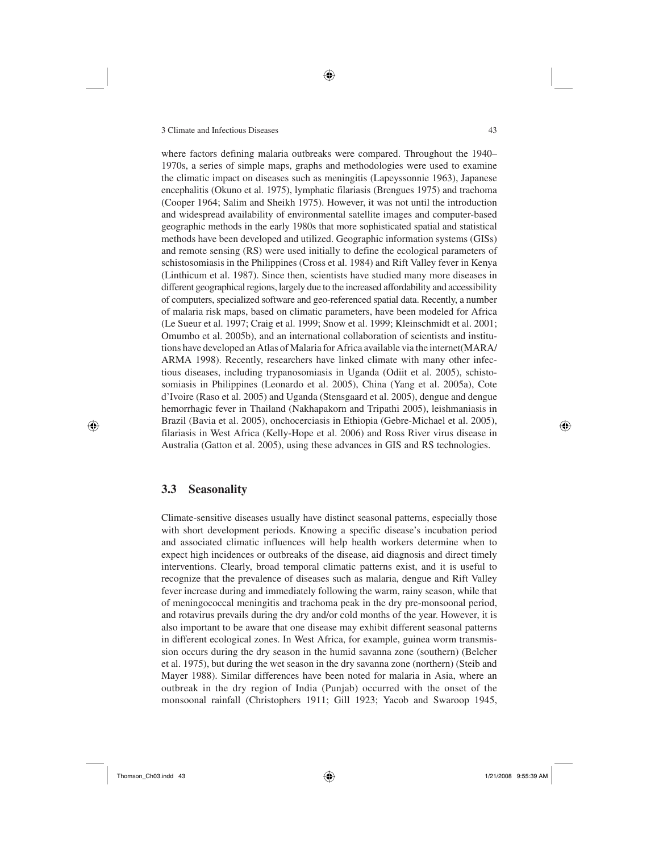where factors defining malaria outbreaks were compared. Throughout the 1940– 1970s, a series of simple maps, graphs and methodologies were used to examine the climatic impact on diseases such as meningitis (Lapeyssonnie 1963), Japanese encephalitis (Okuno et al. 1975), lymphatic filariasis (Brengues 1975) and trachoma (Cooper 1964; Salim and Sheikh 1975). However, it was not until the introduction and widespread availability of environmental satellite images and computer-based geographic methods in the early 1980s that more sophisticated spatial and statistical methods have been developed and utilized. Geographic information systems (GISs) and remote sensing (RS) were used initially to define the ecological parameters of schistosomiasis in the Philippines (Cross et al. 1984) and Rift Valley fever in Kenya (Linthicum et al. 1987). Since then, scientists have studied many more diseases in different geographical regions, largely due to the increased affordability and accessibility of computers, specialized software and geo-referenced spatial data. Recently, a number of malaria risk maps, based on climatic parameters, have been modeled for Africa (Le Sueur et al. 1997; Craig et al. 1999; Snow et al. 1999; Kleinschmidt et al. 2001; Omumbo et al. 2005b), and an international collaboration of scientists and institutions have developed an Atlas of Malaria for Africa available via the internet(MARA/ ARMA 1998). Recently, researchers have linked climate with many other infectious diseases, including trypanosomiasis in Uganda (Odiit et al. 2005), schistosomiasis in Philippines (Leonardo et al. 2005), China (Yang et al. 2005a), Cote d'Ivoire (Raso et al. 2005) and Uganda (Stensgaard et al. 2005), dengue and dengue hemorrhagic fever in Thailand (Nakhapakorn and Tripathi 2005), leishmaniasis in Brazil (Bavia et al. 2005), onchocerciasis in Ethiopia (Gebre-Michael et al. 2005), filariasis in West Africa (Kelly-Hope et al. 2006) and Ross River virus disease in Australia (Gatton et al. 2005), using these advances in GIS and RS technologies.

⊕

# **3.3 Seasonality**

⊕

Climate-sensitive diseases usually have distinct seasonal patterns, especially those with short development periods. Knowing a specific disease's incubation period and associated climatic influences will help health workers determine when to expect high incidences or outbreaks of the disease, aid diagnosis and direct timely interventions. Clearly, broad temporal climatic patterns exist, and it is useful to recognize that the prevalence of diseases such as malaria, dengue and Rift Valley fever increase during and immediately following the warm, rainy season, while that of meningococcal meningitis and trachoma peak in the dry pre-monsoonal period, and rotavirus prevails during the dry and/or cold months of the year. However, it is also important to be aware that one disease may exhibit different seasonal patterns in different ecological zones. In West Africa, for example, guinea worm transmission occurs during the dry season in the humid savanna zone (southern) (Belcher et al. 1975), but during the wet season in the dry savanna zone (northern) (Steib and Mayer 1988). Similar differences have been noted for malaria in Asia, where an outbreak in the dry region of India (Punjab) occurred with the onset of the monsoonal rainfall (Christophers 1911; Gill 1923; Yacob and Swaroop 1945,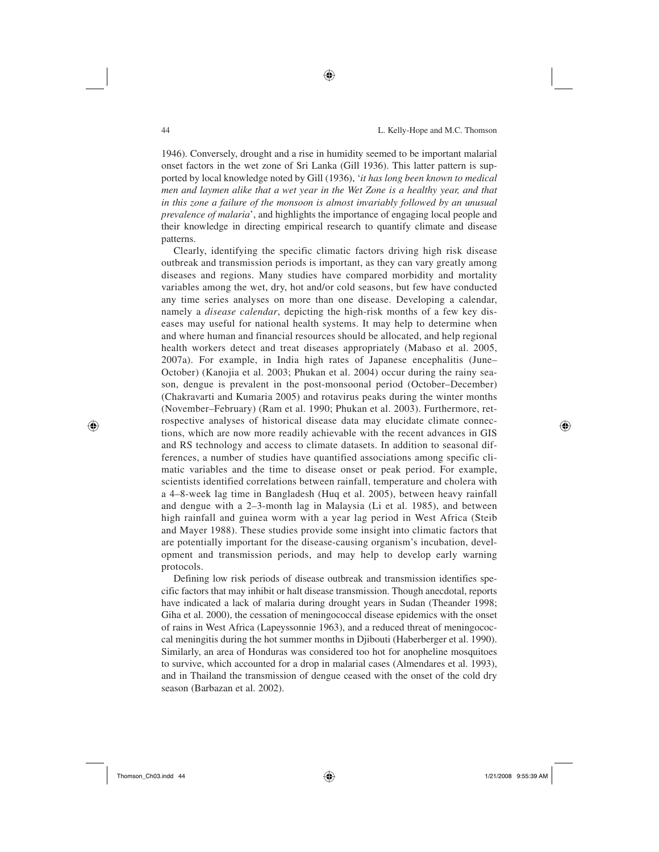1946). Conversely, drought and a rise in humidity seemed to be important malarial onset factors in the wet zone of Sri Lanka (Gill 1936). This latter pattern is supported by local knowledge noted by Gill (1936), '*it has long been known to medical men and laymen alike that a wet year in the Wet Zone is a healthy year, and that in this zone a failure of the monsoon is almost invariably followed by an unusual prevalence of malaria*', and highlights the importance of engaging local people and their knowledge in directing empirical research to quantify climate and disease patterns.

⊕

Clearly, identifying the specific climatic factors driving high risk disease outbreak and transmission periods is important, as they can vary greatly among diseases and regions. Many studies have compared morbidity and mortality variables among the wet, dry, hot and/or cold seasons, but few have conducted any time series analyses on more than one disease. Developing a calendar, namely a *disease calendar*, depicting the high-risk months of a few key diseases may useful for national health systems. It may help to determine when and where human and financial resources should be allocated, and help regional health workers detect and treat diseases appropriately (Mabaso et al. 2005, 2007a). For example, in India high rates of Japanese encephalitis (June– October) (Kanojia et al. 2003; Phukan et al. 2004) occur during the rainy season, dengue is prevalent in the post-monsoonal period (October–December) (Chakravarti and Kumaria 2005) and rotavirus peaks during the winter months (November–February) (Ram et al. 1990; Phukan et al. 2003). Furthermore, retrospective analyses of historical disease data may elucidate climate connections, which are now more readily achievable with the recent advances in GIS and RS technology and access to climate datasets. In addition to seasonal differences, a number of studies have quantified associations among specific climatic variables and the time to disease onset or peak period. For example, scientists identified correlations between rainfall, temperature and cholera with a 4–8-week lag time in Bangladesh (Huq et al. 2005), between heavy rainfall and dengue with a 2–3-month lag in Malaysia (Li et al. 1985), and between high rainfall and guinea worm with a year lag period in West Africa (Steib and Mayer 1988). These studies provide some insight into climatic factors that are potentially important for the disease-causing organism's incubation, development and transmission periods, and may help to develop early warning protocols.

Defining low risk periods of disease outbreak and transmission identifies specific factors that may inhibit or halt disease transmission. Though anecdotal, reports have indicated a lack of malaria during drought years in Sudan (Theander 1998; Giha et al. 2000), the cessation of meningococcal disease epidemics with the onset of rains in West Africa (Lapeyssonnie 1963), and a reduced threat of meningococcal meningitis during the hot summer months in Djibouti (Haberberger et al. 1990). Similarly, an area of Honduras was considered too hot for anopheline mosquitoes to survive, which accounted for a drop in malarial cases (Almendares et al. 1993), and in Thailand the transmission of dengue ceased with the onset of the cold dry season (Barbazan et al. 2002).

⊕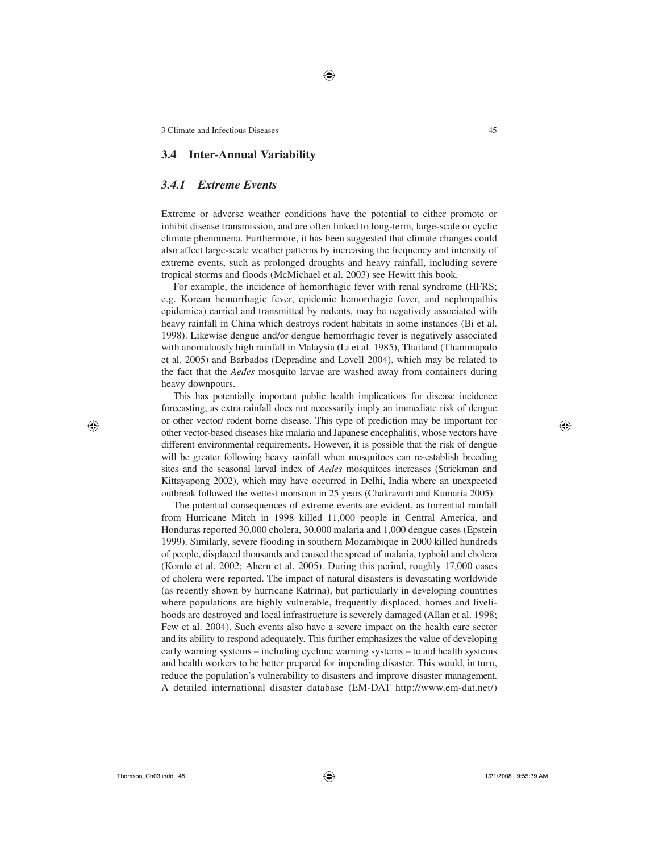# **3.4 Inter-Annual Variability**

# *3.4.1 Extreme Events*

Extreme or adverse weather conditions have the potential to either promote or inhibit disease transmission, and are often linked to long-term, large-scale or cyclic climate phenomena. Furthermore, it has been suggested that climate changes could also affect large-scale weather patterns by increasing the frequency and intensity of extreme events, such as prolonged droughts and heavy rainfall, including severe tropical storms and floods (McMichael et al. 2003) see Hewitt this book.

⊕

For example, the incidence of hemorrhagic fever with renal syndrome (HFRS; e.g. Korean hemorrhagic fever, epidemic hemorrhagic fever, and nephropathis epidemica) carried and transmitted by rodents, may be negatively associated with heavy rainfall in China which destroys rodent habitats in some instances (Bi et al. 1998). Likewise dengue and/or dengue hemorrhagic fever is negatively associated with anomalously high rainfall in Malaysia (Li et al. 1985), Thailand (Thammapalo et al. 2005) and Barbados (Depradine and Lovell 2004), which may be related to the fact that the *Aedes* mosquito larvae are washed away from containers during heavy downpours.

This has potentially important public health implications for disease incidence forecasting, as extra rainfall does not necessarily imply an immediate risk of dengue or other vector/ rodent borne disease. This type of prediction may be important for other vector-based diseases like malaria and Japanese encephalitis, whose vectors have different environmental requirements. However, it is possible that the risk of dengue will be greater following heavy rainfall when mosquitoes can re-establish breeding sites and the seasonal larval index of *Aedes* mosquitoes increases (Strickman and Kittayapong 2002), which may have occurred in Delhi, India where an unexpected outbreak followed the wettest monsoon in 25 years (Chakravarti and Kumaria 2005).

The potential consequences of extreme events are evident, as torrential rainfall from Hurricane Mitch in 1998 killed 11,000 people in Central America, and Honduras reported 30,000 cholera, 30,000 malaria and 1,000 dengue cases (Epstein 1999). Similarly, severe flooding in southern Mozambique in 2000 killed hundreds of people, displaced thousands and caused the spread of malaria, typhoid and cholera (Kondo et al. 2002; Ahern et al. 2005). During this period, roughly 17,000 cases of cholera were reported. The impact of natural disasters is devastating worldwide (as recently shown by hurricane Katrina), but particularly in developing countries where populations are highly vulnerable, frequently displaced, homes and livelihoods are destroyed and local infrastructure is severely damaged (Allan et al. 1998; Few et al. 2004). Such events also have a severe impact on the health care sector and its ability to respond adequately. This further emphasizes the value of developing early warning systems – including cyclone warning systems – to aid health systems and health workers to be better prepared for impending disaster. This would, in turn, reduce the population's vulnerability to disasters and improve disaster management. A detailed international disaster database (EM-DAT http://www.em-dat.net/)

⊕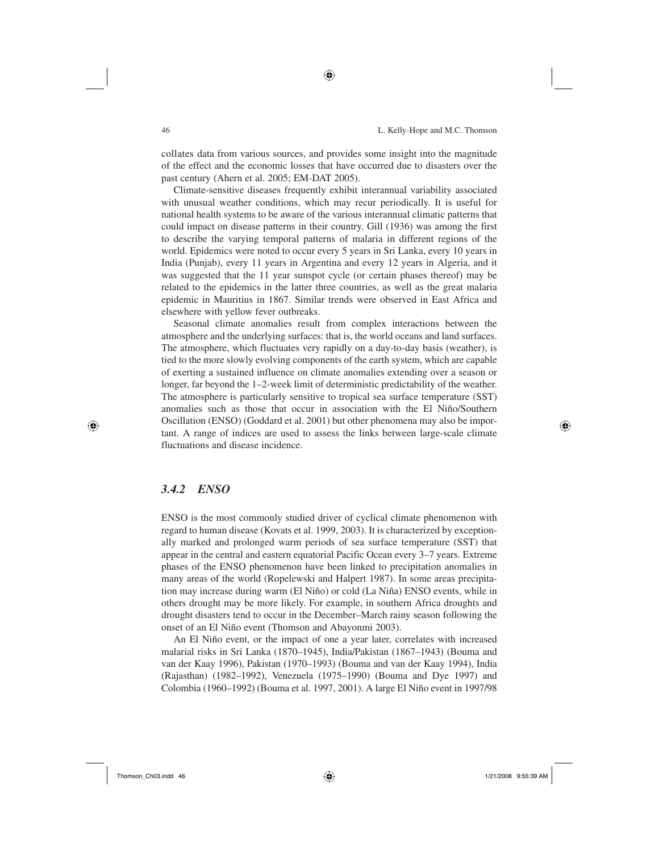collates data from various sources, and provides some insight into the magnitude of the effect and the economic losses that have occurred due to disasters over the past century (Ahern et al. 2005; EM-DAT 2005).

⊕

Climate-sensitive diseases frequently exhibit interannual variability associated with unusual weather conditions, which may recur periodically. It is useful for national health systems to be aware of the various interannual climatic patterns that could impact on disease patterns in their country. Gill (1936) was among the first to describe the varying temporal patterns of malaria in different regions of the world. Epidemics were noted to occur every 5 years in Sri Lanka, every 10 years in India (Punjab), every 11 years in Argentina and every 12 years in Algeria, and it was suggested that the 11 year sunspot cycle (or certain phases thereof) may be related to the epidemics in the latter three countries, as well as the great malaria epidemic in Mauritius in 1867. Similar trends were observed in East Africa and elsewhere with yellow fever outbreaks.

Seasonal climate anomalies result from complex interactions between the atmosphere and the underlying surfaces: that is, the world oceans and land surfaces. The atmosphere, which fluctuates very rapidly on a day-to-day basis (weather), is tied to the more slowly evolving components of the earth system, which are capable of exerting a sustained influence on climate anomalies extending over a season or longer, far beyond the 1–2-week limit of deterministic predictability of the weather. The atmosphere is particularly sensitive to tropical sea surface temperature (SST) anomalies such as those that occur in association with the El Niño/Southern Oscillation (ENSO) (Goddard et al. 2001) but other phenomena may also be important. A range of indices are used to assess the links between large-scale climate fluctuations and disease incidence.

# *3.4.2 ENSO*

⊕

ENSO is the most commonly studied driver of cyclical climate phenomenon with regard to human disease (Kovats et al. 1999, 2003). It is characterized by exceptionally marked and prolonged warm periods of sea surface temperature (SST) that appear in the central and eastern equatorial Pacific Ocean every 3–7 years. Extreme phases of the ENSO phenomenon have been linked to precipitation anomalies in many areas of the world (Ropelewski and Halpert 1987). In some areas precipitation may increase during warm (El Niño) or cold (La Niña) ENSO events, while in others drought may be more likely. For example, in southern Africa droughts and drought disasters tend to occur in the December–March rainy season following the onset of an El Niño event (Thomson and Abayonmi 2003).

An El Niño event, or the impact of one a year later, correlates with increased malarial risks in Sri Lanka (1870–1945), India/Pakistan (1867–1943) (Bouma and van der Kaay 1996), Pakistan (1970–1993) (Bouma and van der Kaay 1994), India (Rajasthan) (1982–1992), Venezuela (1975–1990) (Bouma and Dye 1997) and Colombia (1960–1992) (Bouma et al. 1997, 2001). A large El Niño event in 1997/98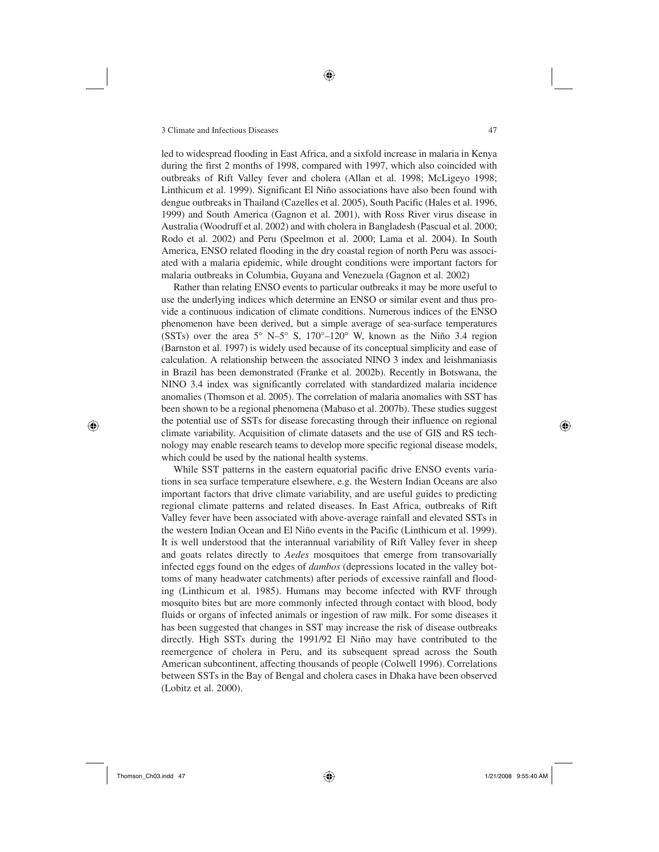led to widespread flooding in East Africa, and a sixfold increase in malaria in Kenya during the first 2 months of 1998, compared with 1997, which also coincided with outbreaks of Rift Valley fever and cholera (Allan et al. 1998; McLigeyo 1998; Linthicum et al. 1999). Significant El Niño associations have also been found with dengue outbreaks in Thailand (Cazelles et al. 2005), South Pacific (Hales et al. 1996, 1999) and South America (Gagnon et al. 2001), with Ross River virus disease in Australia (Woodruff et al. 2002) and with cholera in Bangladesh (Pascual et al. 2000; Rodo et al. 2002) and Peru (Speelmon et al. 2000; Lama et al. 2004). In South America, ENSO related flooding in the dry coastal region of north Peru was associated with a malaria epidemic, while drought conditions were important factors for malaria outbreaks in Columbia, Guyana and Venezuela (Gagnon et al. 2002)

⊕

Rather than relating ENSO events to particular outbreaks it may be more useful to use the underlying indices which determine an ENSO or similar event and thus provide a continuous indication of climate conditions. Numerous indices of the ENSO phenomenon have been derived, but a simple average of sea-surface temperatures (SSTs) over the area 5° N–5° S, 170°–120° W, known as the Niño 3.4 region (Barnston et al. 1997) is widely used because of its conceptual simplicity and ease of calculation. A relationship between the associated NINO 3 index and leishmaniasis in Brazil has been demonstrated (Franke et al. 2002b). Recently in Botswana, the NINO 3.4 index was significantly correlated with standardized malaria incidence anomalies (Thomson et al. 2005). The correlation of malaria anomalies with SST has been shown to be a regional phenomena (Mabaso et al. 2007b). These studies suggest the potential use of SSTs for disease forecasting through their influence on regional climate variability. Acquisition of climate datasets and the use of GIS and RS technology may enable research teams to develop more specific regional disease models, which could be used by the national health systems.

While SST patterns in the eastern equatorial pacific drive ENSO events variations in sea surface temperature elsewhere, e.g. the Western Indian Oceans are also important factors that drive climate variability, and are useful guides to predicting regional climate patterns and related diseases. In East Africa, outbreaks of Rift Valley fever have been associated with above-average rainfall and elevated SSTs in the western Indian Ocean and El Niño events in the Pacific (Linthicum et al. 1999). It is well understood that the interannual variability of Rift Valley fever in sheep and goats relates directly to *Aedes* mosquitoes that emerge from transovarially infected eggs found on the edges of *dambos* (depressions located in the valley bottoms of many headwater catchments) after periods of excessive rainfall and flooding (Linthicum et al. 1985). Humans may become infected with RVF through mosquito bites but are more commonly infected through contact with blood, body fluids or organs of infected animals or ingestion of raw milk. For some diseases it has been suggested that changes in SST may increase the risk of disease outbreaks directly. High SSTs during the 1991/92 El Niño may have contributed to the reemergence of cholera in Peru, and its subsequent spread across the South American subcontinent, affecting thousands of people (Colwell 1996). Correlations between SSTs in the Bay of Bengal and cholera cases in Dhaka have been observed (Lobitz et al. 2000).

⊕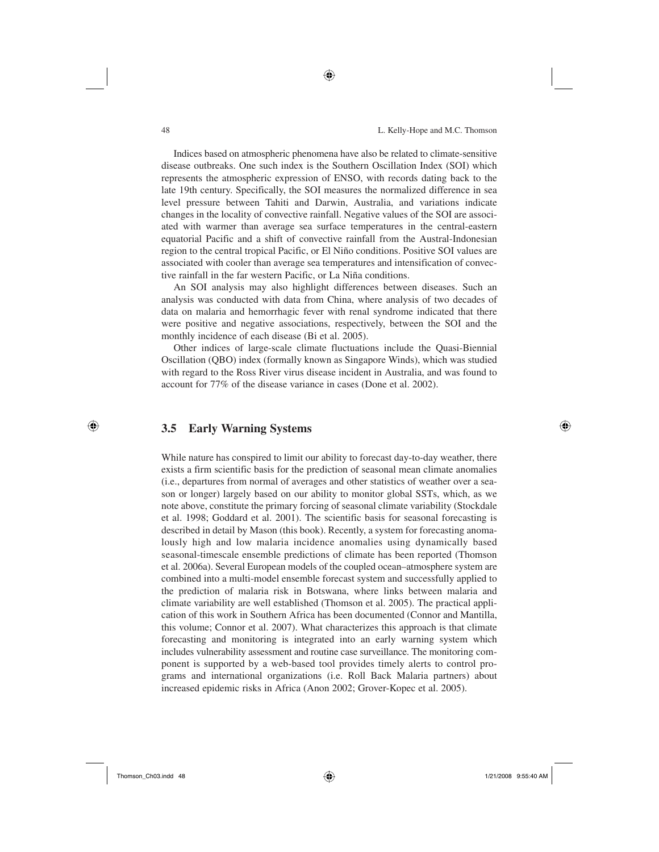Indices based on atmospheric phenomena have also be related to climate-sensitive disease outbreaks. One such index is the Southern Oscillation Index (SOI) which represents the atmospheric expression of ENSO, with records dating back to the late 19th century. Specifically, the SOI measures the normalized difference in sea level pressure between Tahiti and Darwin, Australia, and variations indicate changes in the locality of convective rainfall. Negative values of the SOI are associated with warmer than average sea surface temperatures in the central-eastern equatorial Pacific and a shift of convective rainfall from the Austral-Indonesian region to the central tropical Pacific, or El Niño conditions. Positive SOI values are associated with cooler than average sea temperatures and intensification of convective rainfall in the far western Pacific, or La Niña conditions.

⊕

An SOI analysis may also highlight differences between diseases. Such an analysis was conducted with data from China, where analysis of two decades of data on malaria and hemorrhagic fever with renal syndrome indicated that there were positive and negative associations, respectively, between the SOI and the monthly incidence of each disease (Bi et al. 2005).

Other indices of large-scale climate fluctuations include the Quasi-Biennial Oscillation (QBO) index (formally known as Singapore Winds), which was studied with regard to the Ross River virus disease incident in Australia, and was found to account for 77% of the disease variance in cases (Done et al. 2002).

# **3.5 Early Warning Systems**

While nature has conspired to limit our ability to forecast day-to-day weather, there exists a firm scientific basis for the prediction of seasonal mean climate anomalies (i.e., departures from normal of averages and other statistics of weather over a season or longer) largely based on our ability to monitor global SSTs, which, as we note above, constitute the primary forcing of seasonal climate variability (Stockdale et al. 1998; Goddard et al. 2001). The scientific basis for seasonal forecasting is described in detail by Mason (this book). Recently, a system for forecasting anomalously high and low malaria incidence anomalies using dynamically based seasonal-timescale ensemble predictions of climate has been reported (Thomson et al. 2006a). Several European models of the coupled ocean–atmosphere system are combined into a multi-model ensemble forecast system and successfully applied to the prediction of malaria risk in Botswana, where links between malaria and climate variability are well established (Thomson et al. 2005). The practical application of this work in Southern Africa has been documented (Connor and Mantilla, this volume; Connor et al. 2007). What characterizes this approach is that climate forecasting and monitoring is integrated into an early warning system which includes vulnerability assessment and routine case surveillance. The monitoring component is supported by a web-based tool provides timely alerts to control programs and international organizations (i.e. Roll Back Malaria partners) about increased epidemic risks in Africa (Anon 2002; Grover-Kopec et al. 2005).

⊕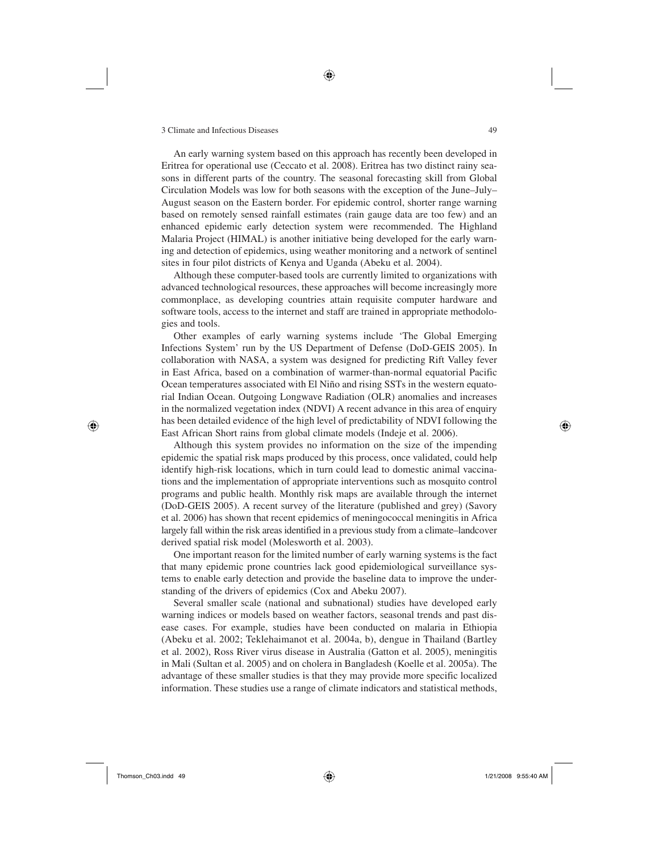An early warning system based on this approach has recently been developed in Eritrea for operational use (Ceccato et al. 2008). Eritrea has two distinct rainy seasons in different parts of the country. The seasonal forecasting skill from Global Circulation Models was low for both seasons with the exception of the June–July– August season on the Eastern border. For epidemic control, shorter range warning based on remotely sensed rainfall estimates (rain gauge data are too few) and an enhanced epidemic early detection system were recommended. The Highland Malaria Project (HIMAL) is another initiative being developed for the early warning and detection of epidemics, using weather monitoring and a network of sentinel sites in four pilot districts of Kenya and Uganda (Abeku et al. 2004).

⊕

Although these computer-based tools are currently limited to organizations with advanced technological resources, these approaches will become increasingly more commonplace, as developing countries attain requisite computer hardware and software tools, access to the internet and staff are trained in appropriate methodologies and tools.

Other examples of early warning systems include 'The Global Emerging Infections System' run by the US Department of Defense (DoD-GEIS 2005). In collaboration with NASA, a system was designed for predicting Rift Valley fever in East Africa, based on a combination of warmer-than-normal equatorial Pacific Ocean temperatures associated with El Niño and rising SSTs in the western equatorial Indian Ocean. Outgoing Longwave Radiation (OLR) anomalies and increases in the normalized vegetation index (NDVI) A recent advance in this area of enquiry has been detailed evidence of the high level of predictability of NDVI following the East African Short rains from global climate models (Indeje et al. 2006).

Although this system provides no information on the size of the impending epidemic the spatial risk maps produced by this process, once validated, could help identify high-risk locations, which in turn could lead to domestic animal vaccinations and the implementation of appropriate interventions such as mosquito control programs and public health. Monthly risk maps are available through the internet (DoD-GEIS 2005). A recent survey of the literature (published and grey) (Savory et al. 2006) has shown that recent epidemics of meningococcal meningitis in Africa largely fall within the risk areas identified in a previous study from a climate–landcover derived spatial risk model (Molesworth et al. 2003).

One important reason for the limited number of early warning systems is the fact that many epidemic prone countries lack good epidemiological surveillance systems to enable early detection and provide the baseline data to improve the understanding of the drivers of epidemics (Cox and Abeku 2007).

Several smaller scale (national and subnational) studies have developed early warning indices or models based on weather factors, seasonal trends and past disease cases. For example, studies have been conducted on malaria in Ethiopia (Abeku et al. 2002; Teklehaimanot et al. 2004a, b), dengue in Thailand (Bartley et al. 2002), Ross River virus disease in Australia (Gatton et al. 2005), meningitis in Mali (Sultan et al. 2005) and on cholera in Bangladesh (Koelle et al. 2005a). The advantage of these smaller studies is that they may provide more specific localized information. These studies use a range of climate indicators and statistical methods,

⊕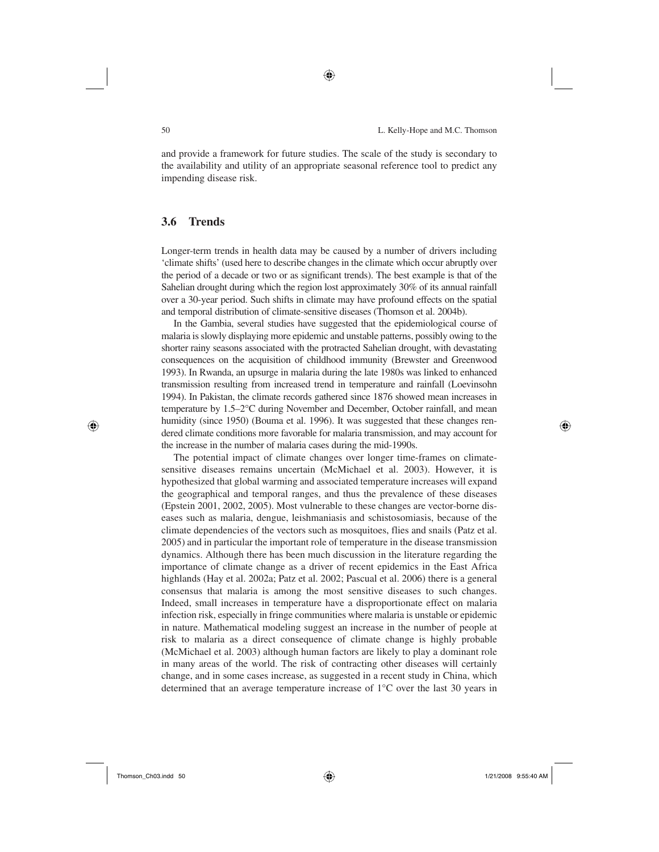⊕

and provide a framework for future studies. The scale of the study is secondary to the availability and utility of an appropriate seasonal reference tool to predict any impending disease risk.

# **3.6 Trends**

Longer-term trends in health data may be caused by a number of drivers including 'climate shifts' (used here to describe changes in the climate which occur abruptly over the period of a decade or two or as significant trends). The best example is that of the Sahelian drought during which the region lost approximately 30% of its annual rainfall over a 30-year period. Such shifts in climate may have profound effects on the spatial and temporal distribution of climate-sensitive diseases (Thomson et al. 2004b).

In the Gambia, several studies have suggested that the epidemiological course of malaria is slowly displaying more epidemic and unstable patterns, possibly owing to the shorter rainy seasons associated with the protracted Sahelian drought, with devastating consequences on the acquisition of childhood immunity (Brewster and Greenwood 1993). In Rwanda, an upsurge in malaria during the late 1980s was linked to enhanced transmission resulting from increased trend in temperature and rainfall (Loevinsohn 1994). In Pakistan, the climate records gathered since 1876 showed mean increases in temperature by 1.5–2°C during November and December, October rainfall, and mean humidity (since 1950) (Bouma et al. 1996). It was suggested that these changes rendered climate conditions more favorable for malaria transmission, and may account for the increase in the number of malaria cases during the mid-1990s.

The potential impact of climate changes over longer time-frames on climatesensitive diseases remains uncertain (McMichael et al. 2003). However, it is hypothesized that global warming and associated temperature increases will expand the geographical and temporal ranges, and thus the prevalence of these diseases (Epstein 2001, 2002, 2005). Most vulnerable to these changes are vector-borne diseases such as malaria, dengue, leishmaniasis and schistosomiasis, because of the climate dependencies of the vectors such as mosquitoes, flies and snails (Patz et al. 2005) and in particular the important role of temperature in the disease transmission dynamics. Although there has been much discussion in the literature regarding the importance of climate change as a driver of recent epidemics in the East Africa highlands (Hay et al. 2002a; Patz et al. 2002; Pascual et al. 2006) there is a general consensus that malaria is among the most sensitive diseases to such changes. Indeed, small increases in temperature have a disproportionate effect on malaria infection risk, especially in fringe communities where malaria is unstable or epidemic in nature. Mathematical modeling suggest an increase in the number of people at risk to malaria as a direct consequence of climate change is highly probable (McMichael et al. 2003) although human factors are likely to play a dominant role in many areas of the world. The risk of contracting other diseases will certainly change, and in some cases increase, as suggested in a recent study in China, which determined that an average temperature increase of 1°C over the last 30 years in

⊕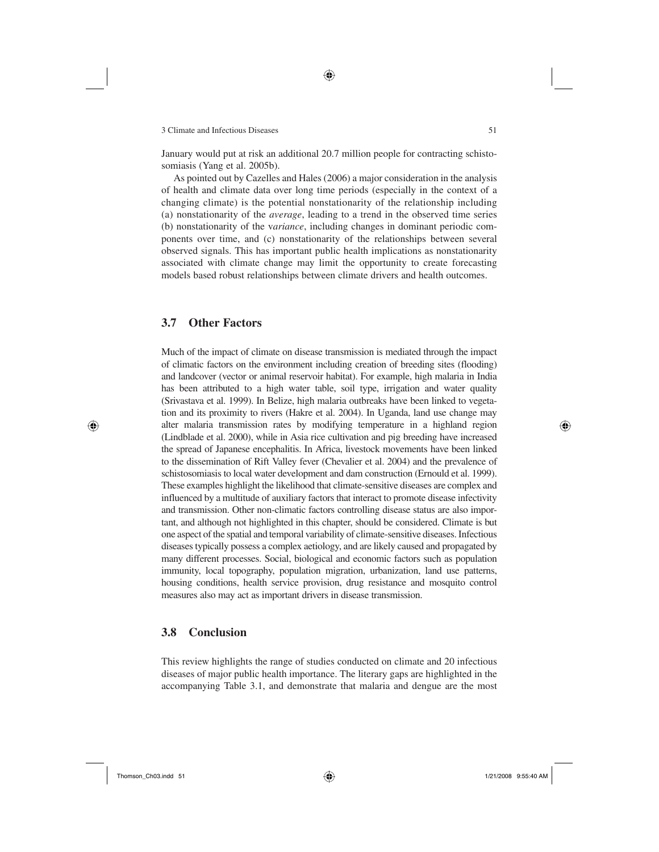January would put at risk an additional 20.7 million people for contracting schistosomiasis (Yang et al. 2005b).

⊕

As pointed out by Cazelles and Hales (2006) a major consideration in the analysis of health and climate data over long time periods (especially in the context of a changing climate) is the potential nonstationarity of the relationship including (a) nonstationarity of the *average*, leading to a trend in the observed time series (b) nonstationarity of the v*ariance*, including changes in dominant periodic components over time, and (c) nonstationarity of the relationships between several observed signals. This has important public health implications as nonstationarity associated with climate change may limit the opportunity to create forecasting models based robust relationships between climate drivers and health outcomes.

# **3.7 Other Factors**

Much of the impact of climate on disease transmission is mediated through the impact of climatic factors on the environment including creation of breeding sites (flooding) and landcover (vector or animal reservoir habitat). For example, high malaria in India has been attributed to a high water table, soil type, irrigation and water quality (Srivastava et al. 1999). In Belize, high malaria outbreaks have been linked to vegetation and its proximity to rivers (Hakre et al. 2004). In Uganda, land use change may alter malaria transmission rates by modifying temperature in a highland region (Lindblade et al. 2000), while in Asia rice cultivation and pig breeding have increased the spread of Japanese encephalitis. In Africa, livestock movements have been linked to the dissemination of Rift Valley fever (Chevalier et al. 2004) and the prevalence of schistosomiasis to local water development and dam construction (Ernould et al. 1999). These examples highlight the likelihood that climate-sensitive diseases are complex and influenced by a multitude of auxiliary factors that interact to promote disease infectivity and transmission. Other non-climatic factors controlling disease status are also important, and although not highlighted in this chapter, should be considered. Climate is but one aspect of the spatial and temporal variability of climate-sensitive diseases. Infectious diseases typically possess a complex aetiology, and are likely caused and propagated by many different processes. Social, biological and economic factors such as population immunity, local topography, population migration, urbanization, land use patterns, housing conditions, health service provision, drug resistance and mosquito control measures also may act as important drivers in disease transmission.

# **3.8 Conclusion**

This review highlights the range of studies conducted on climate and 20 infectious diseases of major public health importance. The literary gaps are highlighted in the accompanying Table 3.1, and demonstrate that malaria and dengue are the most ⊕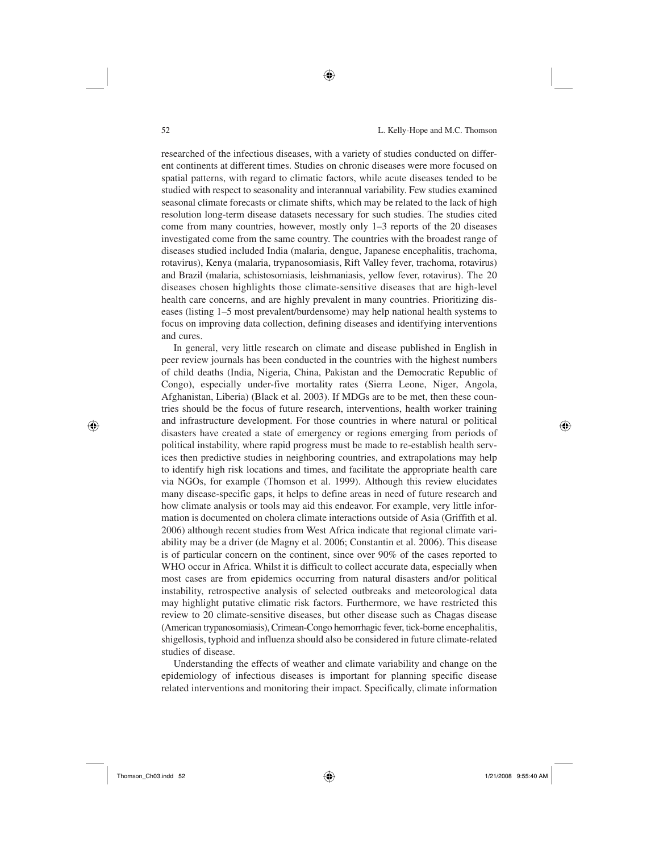researched of the infectious diseases, with a variety of studies conducted on different continents at different times. Studies on chronic diseases were more focused on spatial patterns, with regard to climatic factors, while acute diseases tended to be studied with respect to seasonality and interannual variability. Few studies examined seasonal climate forecasts or climate shifts, which may be related to the lack of high resolution long-term disease datasets necessary for such studies. The studies cited come from many countries, however, mostly only 1–3 reports of the 20 diseases investigated come from the same country. The countries with the broadest range of diseases studied included India (malaria, dengue, Japanese encephalitis, trachoma, rotavirus), Kenya (malaria, trypanosomiasis, Rift Valley fever, trachoma, rotavirus) and Brazil (malaria, schistosomiasis, leishmaniasis, yellow fever, rotavirus). The 20 diseases chosen highlights those climate-sensitive diseases that are high-level health care concerns, and are highly prevalent in many countries. Prioritizing diseases (listing 1–5 most prevalent/burdensome) may help national health systems to focus on improving data collection, defining diseases and identifying interventions and cures.

⊕

In general, very little research on climate and disease published in English in peer review journals has been conducted in the countries with the highest numbers of child deaths (India, Nigeria, China, Pakistan and the Democratic Republic of Congo), especially under-five mortality rates (Sierra Leone, Niger, Angola, Afghanistan, Liberia) (Black et al. 2003). If MDGs are to be met, then these countries should be the focus of future research, interventions, health worker training and infrastructure development. For those countries in where natural or political disasters have created a state of emergency or regions emerging from periods of political instability, where rapid progress must be made to re-establish health services then predictive studies in neighboring countries, and extrapolations may help to identify high risk locations and times, and facilitate the appropriate health care via NGOs, for example (Thomson et al. 1999). Although this review elucidates many disease-specific gaps, it helps to define areas in need of future research and how climate analysis or tools may aid this endeavor. For example, very little information is documented on cholera climate interactions outside of Asia (Griffith et al. 2006) although recent studies from West Africa indicate that regional climate variability may be a driver (de Magny et al. 2006; Constantin et al. 2006). This disease is of particular concern on the continent, since over 90% of the cases reported to WHO occur in Africa. Whilst it is difficult to collect accurate data, especially when most cases are from epidemics occurring from natural disasters and/or political instability, retrospective analysis of selected outbreaks and meteorological data may highlight putative climatic risk factors. Furthermore, we have restricted this review to 20 climate-sensitive diseases, but other disease such as Chagas disease (American trypanosomiasis), Crimean-Congo hemorrhagic fever, tick-borne encephalitis, shigellosis, typhoid and influenza should also be considered in future climate-related studies of disease.

Understanding the effects of weather and climate variability and change on the epidemiology of infectious diseases is important for planning specific disease related interventions and monitoring their impact. Specifically, climate information

⊕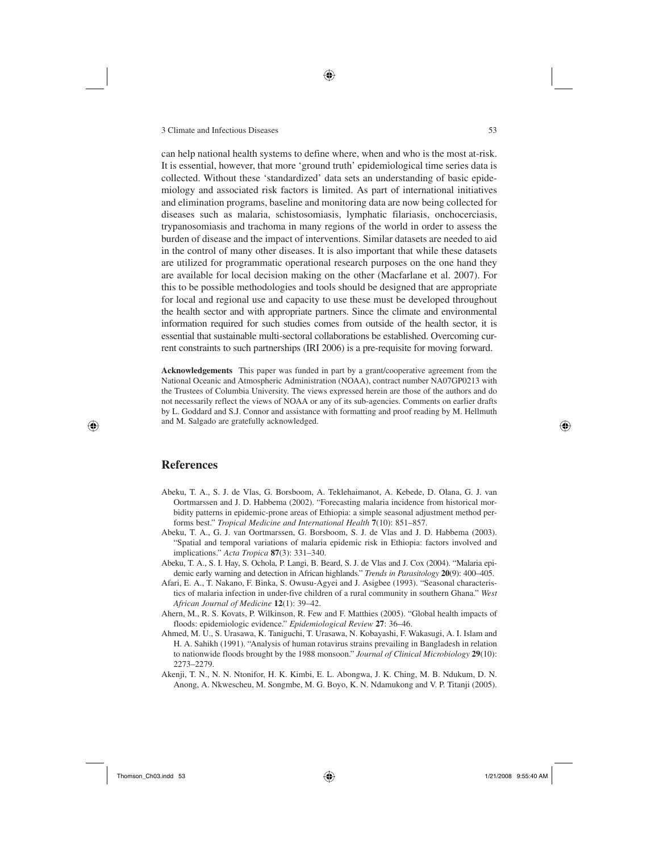can help national health systems to define where, when and who is the most at-risk. It is essential, however, that more 'ground truth' epidemiological time series data is collected. Without these 'standardized' data sets an understanding of basic epidemiology and associated risk factors is limited. As part of international initiatives and elimination programs, baseline and monitoring data are now being collected for diseases such as malaria, schistosomiasis, lymphatic filariasis, onchocerciasis, trypanosomiasis and trachoma in many regions of the world in order to assess the burden of disease and the impact of interventions. Similar datasets are needed to aid in the control of many other diseases. It is also important that while these datasets are utilized for programmatic operational research purposes on the one hand they are available for local decision making on the other (Macfarlane et al. 2007). For this to be possible methodologies and tools should be designed that are appropriate for local and regional use and capacity to use these must be developed throughout the health sector and with appropriate partners. Since the climate and environmental information required for such studies comes from outside of the health sector, it is essential that sustainable multi-sectoral collaborations be established. Overcoming current constraints to such partnerships (IRI 2006) is a pre-requisite for moving forward.

⊕

**Acknowledgements** This paper was funded in part by a grant/cooperative agreement from the National Oceanic and Atmospheric Administration (NOAA), contract number NA07GP0213 with the Trustees of Columbia University. The views expressed herein are those of the authors and do not necessarily reflect the views of NOAA or any of its sub-agencies. Comments on earlier drafts by L. Goddard and S.J. Connor and assistance with formatting and proof reading by M. Hellmuth and M. Salgado are gratefully acknowledged.

# **References**

⊕

- Abeku, T. A., S. J. de Vlas, G. Borsboom, A. Teklehaimanot, A. Kebede, D. Olana, G. J. van Oortmarssen and J. D. Habbema (2002). "Forecasting malaria incidence from historical morbidity patterns in epidemic-prone areas of Ethiopia: a simple seasonal adjustment method performs best." *Tropical Medicine and International Health* **7**(10): 851–857.
- Abeku, T. A., G. J. van Oortmarssen, G. Borsboom, S. J. de Vlas and J. D. Habbema (2003). "Spatial and temporal variations of malaria epidemic risk in Ethiopia: factors involved and implications." *Acta Tropica* **87**(3): 331–340.
- Abeku, T. A., S. I. Hay, S. Ochola, P. Langi, B. Beard, S. J. de Vlas and J. Cox (2004). "Malaria epidemic early warning and detection in African highlands." *Trends in Parasitology* **20**(9): 400–405.
- Afari, E. A., T. Nakano, F. Binka, S. Owusu-Agyei and J. Asigbee (1993). "Seasonal characteristics of malaria infection in under-five children of a rural community in southern Ghana." *West African Journal of Medicine* **12**(1): 39–42.
- Ahern, M., R. S. Kovats, P. Wilkinson, R. Few and F. Matthies (2005). "Global health impacts of floods: epidemiologic evidence." *Epidemiological Review* **27**: 36–46.
- Ahmed, M. U., S. Urasawa, K. Taniguchi, T. Urasawa, N. Kobayashi, F. Wakasugi, A. I. Islam and H. A. Sahikh (1991). "Analysis of human rotavirus strains prevailing in Bangladesh in relation to nationwide floods brought by the 1988 monsoon." *Journal of Clinical Microbiology* **29**(10): 2273–2279.
- Akenji, T. N., N. N. Ntonifor, H. K. Kimbi, E. L. Abongwa, J. K. Ching, M. B. Ndukum, D. N. Anong, A. Nkwescheu, M. Songmbe, M. G. Boyo, K. N. Ndamukong and V. P. Titanji (2005).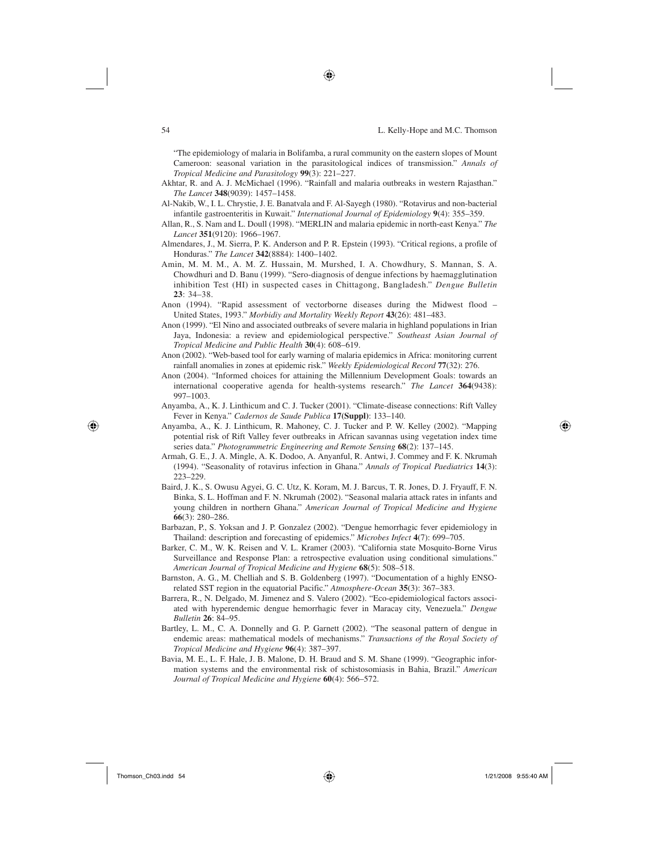"The epidemiology of malaria in Bolifamba, a rural community on the eastern slopes of Mount Cameroon: seasonal variation in the parasitological indices of transmission." *Annals of Tropical Medicine and Parasitology* **99**(3): 221–227.

⊕

- Akhtar, R. and A. J. McMichael (1996). "Rainfall and malaria outbreaks in western Rajasthan." *The Lancet* **348**(9039): 1457–1458.
- Al-Nakib, W., I. L. Chrystie, J. E. Banatvala and F. Al-Sayegh (1980). "Rotavirus and non-bacterial infantile gastroenteritis in Kuwait." *International Journal of Epidemiology* **9**(4): 355–359.

Allan, R., S. Nam and L. Doull (1998). "MERLIN and malaria epidemic in north-east Kenya." *The Lancet* **351**(9120): 1966–1967.

- Almendares, J., M. Sierra, P. K. Anderson and P. R. Epstein (1993). "Critical regions, a profile of Honduras." *The Lancet* **342**(8884): 1400–1402.
- Amin, M. M. M., A. M. Z. Hussain, M. Murshed, I. A. Chowdhury, S. Mannan, S. A. Chowdhuri and D. Banu (1999). "Sero-diagnosis of dengue infections by haemagglutination inhibition Test (HI) in suspected cases in Chittagong, Bangladesh." *Dengue Bulletin* **23**: 34–38.
- Anon (1994). "Rapid assessment of vectorborne diseases during the Midwest flood United States, 1993." *Morbidiy and Mortality Weekly Report* **43**(26): 481–483.
- Anon (1999). "El Nino and associated outbreaks of severe malaria in highland populations in Irian Jaya, Indonesia: a review and epidemiological perspective." *Southeast Asian Journal of Tropical Medicine and Public Health* **30**(4): 608–619.
- Anon (2002). "Web-based tool for early warning of malaria epidemics in Africa: monitoring current rainfall anomalies in zones at epidemic risk." *Weekly Epidemiological Record* **77**(32): 276.
- Anon (2004). "Informed choices for attaining the Millennium Development Goals: towards an international cooperative agenda for health-systems research." *The Lancet* **364**(9438): 997–1003.
- Anyamba, A., K. J. Linthicum and C. J. Tucker (2001). "Climate-disease connections: Rift Valley Fever in Kenya." *Cadernos de Saude Publica* **17(Suppl)**: 133–140.
- Anyamba, A., K. J. Linthicum, R. Mahoney, C. J. Tucker and P. W. Kelley (2002). "Mapping potential risk of Rift Valley fever outbreaks in African savannas using vegetation index time series data." *Photogrammetric Engineering and Remote Sensing* **68**(2): 137–145.
- Armah, G. E., J. A. Mingle, A. K. Dodoo, A. Anyanful, R. Antwi, J. Commey and F. K. Nkrumah (1994). "Seasonality of rotavirus infection in Ghana." *Annals of Tropical Paediatrics* **14**(3): 223–229.
- Baird, J. K., S. Owusu Agyei, G. C. Utz, K. Koram, M. J. Barcus, T. R. Jones, D. J. Fryauff, F. N. Binka, S. L. Hoffman and F. N. Nkrumah (2002). "Seasonal malaria attack rates in infants and young children in northern Ghana." *American Journal of Tropical Medicine and Hygiene* **66**(3): 280–286.
- Barbazan, P., S. Yoksan and J. P. Gonzalez (2002). "Dengue hemorrhagic fever epidemiology in Thailand: description and forecasting of epidemics." *Microbes Infect* **4**(7): 699–705.
- Barker, C. M., W. K. Reisen and V. L. Kramer (2003). "California state Mosquito-Borne Virus Surveillance and Response Plan: a retrospective evaluation using conditional simulations." *American Journal of Tropical Medicine and Hygiene* **68**(5): 508–518.
- Barnston, A. G., M. Chelliah and S. B. Goldenberg (1997). "Documentation of a highly ENSOrelated SST region in the equatorial Pacific." *Atmosphere-Ocean* **35**(3): 367–383.
- Barrera, R., N. Delgado, M. Jimenez and S. Valero (2002). "Eco-epidemiological factors associated with hyperendemic dengue hemorrhagic fever in Maracay city, Venezuela." *Dengue Bulletin* **26**: 84–95.
- Bartley, L. M., C. A. Donnelly and G. P. Garnett (2002). "The seasonal pattern of dengue in endemic areas: mathematical models of mechanisms." *Transactions of the Royal Society of Tropical Medicine and Hygiene* **96**(4): 387–397.
- Bavia, M. E., L. F. Hale, J. B. Malone, D. H. Braud and S. M. Shane (1999). "Geographic information systems and the environmental risk of schistosomiasis in Bahia, Brazil." *American Journal of Tropical Medicine and Hygiene* **60**(4): 566–572.

⊕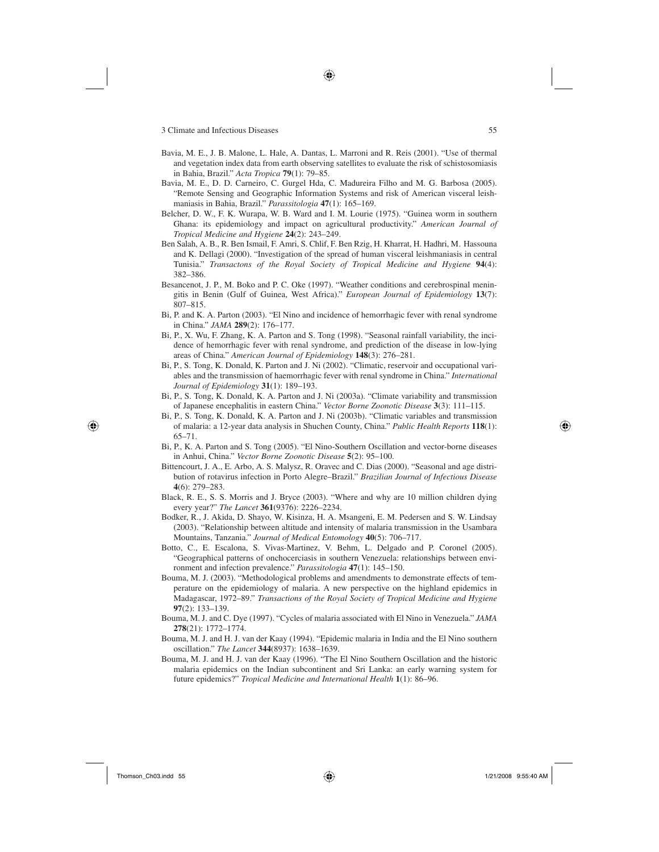Bavia, M. E., J. B. Malone, L. Hale, A. Dantas, L. Marroni and R. Reis (2001). "Use of thermal and vegetation index data from earth observing satellites to evaluate the risk of schistosomiasis in Bahia, Brazil." *Acta Tropica* **79**(1): 79–85.

⊕

- Bavia, M. E., D. D. Carneiro, C. Gurgel Hda, C. Madureira Filho and M. G. Barbosa (2005). "Remote Sensing and Geographic Information Systems and risk of American visceral leishmaniasis in Bahia, Brazil." *Parassitologia* **47**(1): 165–169.
- Belcher, D. W., F. K. Wurapa, W. B. Ward and I. M. Lourie (1975). "Guinea worm in southern Ghana: its epidemiology and impact on agricultural productivity." *American Journal of Tropical Medicine and Hygiene* **24**(2): 243–249.
- Ben Salah, A. B., R. Ben Ismail, F. Amri, S. Chlif, F. Ben Rzig, H. Kharrat, H. Hadhri, M. Hassouna and K. Dellagi (2000). "Investigation of the spread of human visceral leishmaniasis in central Tunisia." *Transactons of the Royal Society of Tropical Medicine and Hygiene* **94**(4): 382–386.
- Besancenot, J. P., M. Boko and P. C. Oke (1997). "Weather conditions and cerebrospinal meningitis in Benin (Gulf of Guinea, West Africa)." *European Journal of Epidemiology* **13**(7): 807–815.
- Bi, P. and K. A. Parton (2003). "El Nino and incidence of hemorrhagic fever with renal syndrome in China." *JAMA* **289**(2): 176–177.
- Bi, P., X. Wu, F. Zhang, K. A. Parton and S. Tong (1998). "Seasonal rainfall variability, the incidence of hemorrhagic fever with renal syndrome, and prediction of the disease in low-lying areas of China." *American Journal of Epidemiology* **148**(3): 276–281.
- Bi, P., S. Tong, K. Donald, K. Parton and J. Ni (2002). "Climatic, reservoir and occupational variables and the transmission of haemorrhagic fever with renal syndrome in China." *International Journal of Epidemiology* **31**(1): 189–193.
- Bi, P., S. Tong, K. Donald, K. A. Parton and J. Ni (2003a). "Climate variability and transmission of Japanese encephalitis in eastern China." *Vector Borne Zoonotic Disease* **3**(3): 111–115.
- Bi, P., S. Tong, K. Donald, K. A. Parton and J. Ni (2003b). "Climatic variables and transmission of malaria: a 12-year data analysis in Shuchen County, China." *Public Health Reports* **118**(1): 65–71.
- Bi, P., K. A. Parton and S. Tong (2005). "El Nino-Southern Oscillation and vector-borne diseases in Anhui, China." *Vector Borne Zoonotic Disease* **5**(2): 95–100.
- Bittencourt, J. A., E. Arbo, A. S. Malysz, R. Oravec and C. Dias (2000). "Seasonal and age distribution of rotavirus infection in Porto Alegre–Brazil." *Brazilian Journal of Infectious Disease* **4**(6): 279–283.
- Black, R. E., S. S. Morris and J. Bryce (2003). "Where and why are 10 million children dying every year?" *The Lancet* **361**(9376): 2226–2234.
- Bodker, R., J. Akida, D. Shayo, W. Kisinza, H. A. Msangeni, E. M. Pedersen and S. W. Lindsay (2003). "Relationship between altitude and intensity of malaria transmission in the Usambara Mountains, Tanzania." *Journal of Medical Entomology* **40**(5): 706–717.
- Botto, C., E. Escalona, S. Vivas-Martinez, V. Behm, L. Delgado and P. Coronel (2005). "Geographical patterns of onchocerciasis in southern Venezuela: relationships between environment and infection prevalence." *Parassitologia* **47**(1): 145–150.
- Bouma, M. J. (2003). "Methodological problems and amendments to demonstrate effects of temperature on the epidemiology of malaria. A new perspective on the highland epidemics in Madagascar, 1972–89." *Transactions of the Royal Society of Tropical Medicine and Hygiene* **97**(2): 133–139.
- Bouma, M. J. and C. Dye (1997). "Cycles of malaria associated with El Nino in Venezuela." *JAMA* **278**(21): 1772–1774.
- Bouma, M. J. and H. J. van der Kaay (1994). "Epidemic malaria in India and the El Nino southern oscillation." *The Lancet* **344**(8937): 1638–1639.
- Bouma, M. J. and H. J. van der Kaay (1996). "The El Nino Southern Oscillation and the historic malaria epidemics on the Indian subcontinent and Sri Lanka: an early warning system for future epidemics?" *Tropical Medicine and International Health* **1**(1): 86–96.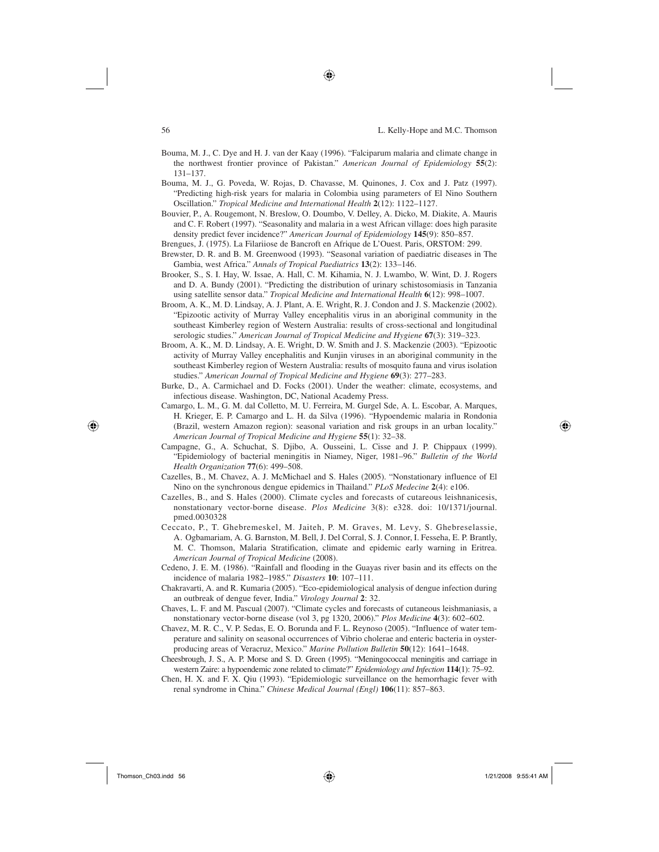Bouma, M. J., C. Dye and H. J. van der Kaay (1996). "Falciparum malaria and climate change in the northwest frontier province of Pakistan." *American Journal of Epidemiology* **55**(2): 131–137.

⊕

- Bouma, M. J., G. Poveda, W. Rojas, D. Chavasse, M. Quinones, J. Cox and J. Patz (1997). "Predicting high-risk years for malaria in Colombia using parameters of El Nino Southern Oscillation." *Tropical Medicine and International Health* **2**(12): 1122–1127.
- Bouvier, P., A. Rougemont, N. Breslow, O. Doumbo, V. Delley, A. Dicko, M. Diakite, A. Mauris and C. F. Robert (1997). "Seasonality and malaria in a west African village: does high parasite density predict fever incidence?" *American Journal of Epidemiology* **145**(9): 850–857.
- Brengues, J. (1975). La Filariiose de Bancroft en Afrique de L'Ouest. Paris, ORSTOM: 299.
- Brewster, D. R. and B. M. Greenwood (1993). "Seasonal variation of paediatric diseases in The Gambia, west Africa." *Annals of Tropical Paediatrics* **13**(2): 133–146.
- Brooker, S., S. I. Hay, W. Issae, A. Hall, C. M. Kihamia, N. J. Lwambo, W. Wint, D. J. Rogers and D. A. Bundy (2001). "Predicting the distribution of urinary schistosomiasis in Tanzania using satellite sensor data." *Tropical Medicine and International Health* **6**(12): 998–1007.
- Broom, A. K., M. D. Lindsay, A. J. Plant, A. E. Wright, R. J. Condon and J. S. Mackenzie (2002). "Epizootic activity of Murray Valley encephalitis virus in an aboriginal community in the southeast Kimberley region of Western Australia: results of cross-sectional and longitudinal serologic studies." *American Journal of Tropical Medicine and Hygiene* **67**(3): 319–323.
- Broom, A. K., M. D. Lindsay, A. E. Wright, D. W. Smith and J. S. Mackenzie (2003). "Epizootic activity of Murray Valley encephalitis and Kunjin viruses in an aboriginal community in the southeast Kimberley region of Western Australia: results of mosquito fauna and virus isolation studies." *American Journal of Tropical Medicine and Hygiene* **69**(3): 277–283.
- Burke, D., A. Carmichael and D. Focks (2001). Under the weather: climate, ecosystems, and infectious disease. Washington, DC, National Academy Press.
- Camargo, L. M., G. M. dal Colletto, M. U. Ferreira, M. Gurgel Sde, A. L. Escobar, A. Marques, H. Krieger, E. P. Camargo and L. H. da Silva (1996). "Hypoendemic malaria in Rondonia (Brazil, western Amazon region): seasonal variation and risk groups in an urban locality." *American Journal of Tropical Medicine and Hygiene* **55**(1): 32–38.
- Campagne, G., A. Schuchat, S. Djibo, A. Ousseini, L. Cisse and J. P. Chippaux (1999). "Epidemiology of bacterial meningitis in Niamey, Niger, 1981–96." *Bulletin of the World Health Organization* **77**(6): 499–508.
- Cazelles, B., M. Chavez, A. J. McMichael and S. Hales (2005). "Nonstationary influence of El Nino on the synchronous dengue epidemics in Thailand." *PLoS Medecine* **2**(4): e106.
- Cazelles, B., and S. Hales (2000). Climate cycles and forecasts of cutareous leishnanicesis, nonstationary vector-borne disease. *Plos Medicine* 3(8): e328. doi: 10/1371/journal. pmed.0030328
- Ceccato, P., T. Ghebremeskel, M. Jaiteh, P. M. Graves, M. Levy, S. Ghebreselassie, A. Ogbamariam, A. G. Barnston, M. Bell, J. Del Corral, S. J. Connor, I. Fesseha, E. P. Brantly, M. C. Thomson, Malaria Stratification, climate and epidemic early warning in Eritrea. *American Journal of Tropical Medicine* (2008).
- Cedeno, J. E. M. (1986). "Rainfall and flooding in the Guayas river basin and its effects on the incidence of malaria 1982–1985." *Disasters* **10**: 107–111.
- Chakravarti, A. and R. Kumaria (2005). "Eco-epidemiological analysis of dengue infection during an outbreak of dengue fever, India." *Virology Journal* **2**: 32.
- Chaves, L. F. and M. Pascual (2007). "Climate cycles and forecasts of cutaneous leishmaniasis, a nonstationary vector-borne disease (vol 3, pg 1320, 2006)." *Plos Medicine* **4**(3): 602–602.
- Chavez, M. R. C., V. P. Sedas, E. O. Borunda and F. L. Reynoso (2005). "Influence of water temperature and salinity on seasonal occurrences of Vibrio cholerae and enteric bacteria in oysterproducing areas of Veracruz, Mexico." *Marine Pollution Bulletin* **50**(12): 1641–1648.
- Cheesbrough, J. S., A. P. Morse and S. D. Green (1995). "Meningococcal meningitis and carriage in western Zaire: a hypoendemic zone related to climate?" *Epidemiology and Infection* **114**(1): 75–92.
- Chen, H. X. and F. X. Qiu (1993). "Epidemiologic surveillance on the hemorrhagic fever with renal syndrome in China." *Chinese Medical Journal (Engl)* **106**(11): 857–863.

⊕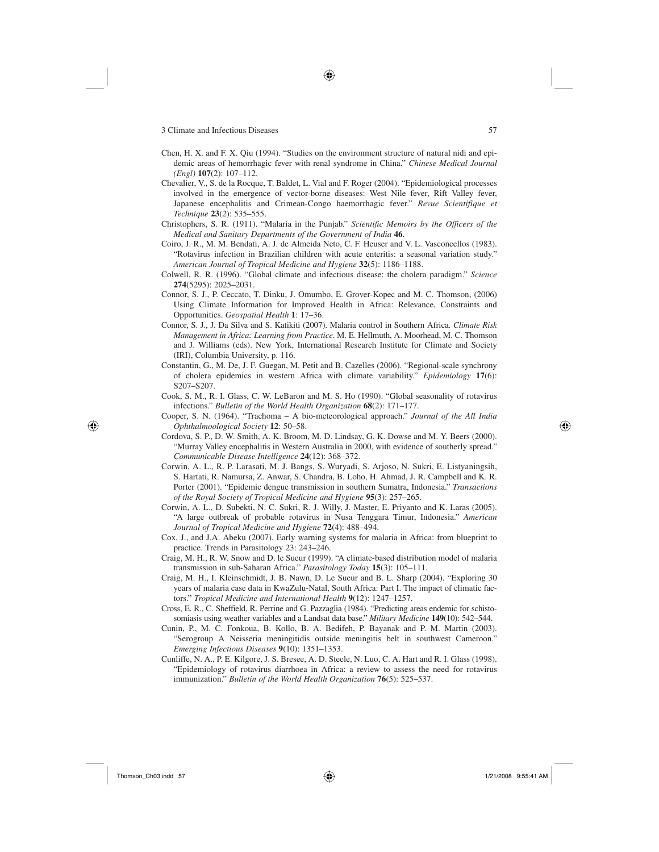Chen, H. X. and F. X. Qiu (1994). "Studies on the environment structure of natural nidi and epidemic areas of hemorrhagic fever with renal syndrome in China." *Chinese Medical Journal (Engl)* **107**(2): 107–112.

⊕

- Chevalier, V., S. de la Rocque, T. Baldet, L. Vial and F. Roger (2004). "Epidemiological processes involved in the emergence of vector-borne diseases: West Nile fever, Rift Valley fever, Japanese encephalitis and Crimean-Congo haemorrhagic fever." *Revue Scientifique et Technique* **23**(2): 535–555.
- Christophers, S. R. (1911). "Malaria in the Punjab." *Scientific Memoirs by the Officers of the Medical and Sanitary Departments of the Government of India* **46**.
- Coiro, J. R., M. M. Bendati, A. J. de Almeida Neto, C. F. Heuser and V. L. Vasconcellos (1983). "Rotavirus infection in Brazilian children with acute enteritis: a seasonal variation study." *American Journal of Tropical Medicine and Hygiene* **32**(5): 1186–1188.
- Colwell, R. R. (1996). "Global climate and infectious disease: the cholera paradigm." *Science* **274**(5295): 2025–2031.
- Connor, S. J., P. Ceccato, T. Dinku, J. Omumbo, E. Grover-Kopec and M. C. Thomson, (2006) Using Climate Information for Improved Health in Africa: Relevance, Constraints and Opportunities. *Geospatial Health* **1**: 17–36.
- Connor, S. J., J. Da Silva and S. Katikiti (2007). Malaria control in Southern Africa. *Climate Risk Management in Africa: Learning from Practice*. M. E. Hellmuth, A. Moorhead, M. C. Thomson and J. Williams (eds). New York, International Research Institute for Climate and Society (IRI), Columbia University, p. 116.
- Constantin, G., M. De, J. F. Guegan, M. Petit and B. Cazelles (2006). "Regional-scale synchrony of cholera epidemics in western Africa with climate variability." *Epidemiology* **17**(6): S207–S207.
- Cook, S. M., R. I. Glass, C. W. LeBaron and M. S. Ho (1990). "Global seasonality of rotavirus infections." *Bulletin of the World Health Organization* **68**(2): 171–177.
- Cooper, S. N. (1964). "Trachoma A bio-meteorological approach." *Journal of the All India Ophthalmoological Society* **12**: 50–58.
- Cordova, S. P., D. W. Smith, A. K. Broom, M. D. Lindsay, G. K. Dowse and M. Y. Beers (2000). "Murray Valley encephalitis in Western Australia in 2000, with evidence of southerly spread." *Communicable Disease Intelligence* **24**(12): 368–372.
- Corwin, A. L., R. P. Larasati, M. J. Bangs, S. Wuryadi, S. Arjoso, N. Sukri, E. Listyaningsih, S. Hartati, R. Namursa, Z. Anwar, S. Chandra, B. Loho, H. Ahmad, J. R. Campbell and K. R. Porter (2001). "Epidemic dengue transmission in southern Sumatra, Indonesia." *Transactions of the Royal Society of Tropical Medicine and Hygiene* **95**(3): 257–265.
- Corwin, A. L., D. Subekti, N. C. Sukri, R. J. Willy, J. Master, E. Priyanto and K. Laras (2005). "A large outbreak of probable rotavirus in Nusa Tenggara Timur, Indonesia." *American Journal of Tropical Medicine and Hygiene* **72**(4): 488–494.
- Cox, J., and J.A. Abeku (2007). Early warning systems for malaria in Africa: from blueprint to practice. Trends in Parasitology 23: 243–246.
- Craig, M. H., R. W. Snow and D. le Sueur (1999). "A climate-based distribution model of malaria transmission in sub-Saharan Africa." *Parasitology Today* **15**(3): 105–111.
- Craig, M. H., I. Kleinschmidt, J. B. Nawn, D. Le Sueur and B. L. Sharp (2004). "Exploring 30 years of malaria case data in KwaZulu-Natal, South Africa: Part I. The impact of climatic factors." *Tropical Medicine and International Health* **9**(12): 1247–1257.
- Cross, E. R., C. Sheffield, R. Perrine and G. Pazzaglia (1984). "Predicting areas endemic for schistosomiasis using weather variables and a Landsat data base." *Military Medicine* **149**(10): 542–544.
- Cunin, P., M. C. Fonkoua, B. Kollo, B. A. Bedifeh, P. Bayanak and P. M. Martin (2003). "Serogroup A Neisseria meningitidis outside meningitis belt in southwest Cameroon." *Emerging Infectious Diseases* **9**(10): 1351–1353.
- Cunliffe, N. A., P. E. Kilgore, J. S. Bresee, A. D. Steele, N. Luo, C. A. Hart and R. I. Glass (1998). "Epidemiology of rotavirus diarrhoea in Africa: a review to assess the need for rotavirus immunization." *Bulletin of the World Health Organization* **76**(5): 525–537.

⊕

 $T_{\text{hombon\_Ch03.indd}}$  57 Thomson\_Ch03.indd 57 Thomson\_Ch03.indd 57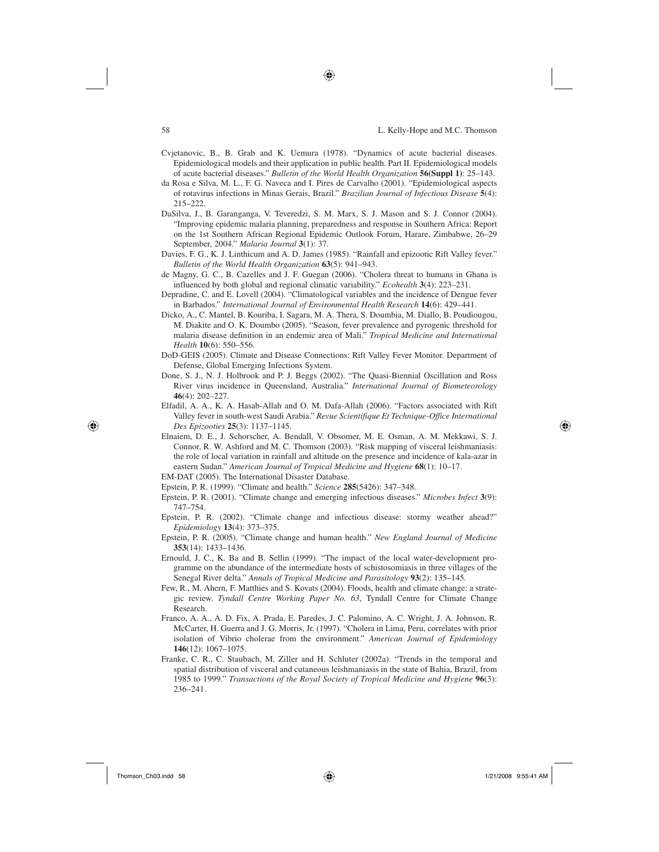Cvjetanovic, B., B. Grab and K. Uemura (1978). "Dynamics of acute bacterial diseases. Epidemiological models and their application in public health. Part II. Epidemiological models of acute bacterial diseases." *Bulletin of the World Health Organization* **56(Suppl 1)**: 25–143.

⊕

- da Rosa e Silva, M. L., F. G. Naveca and I. Pires de Carvalho (2001). "Epidemiological aspects of rotavirus infections in Minas Gerais, Brazil." *Brazilian Journal of Infectious Disease* **5**(4): 215–222.
- DaSilva, J., B. Garanganga, V. Teveredzi, S. M. Marx, S. J. Mason and S. J. Connor (2004). "Improving epidemic malaria planning, preparedness and response in Southern Africa: Report on the 1st Southern African Regional Epidemic Outlook Forum, Harare, Zimbabwe, 26–29 September, 2004." *Malaria Journal* **3**(1): 37.
- Davies, F. G., K. J. Linthicum and A. D. James (1985). "Rainfall and epizootic Rift Valley fever." *Bulletin of the World Health Organization* **63**(5): 941–943.
- de Magny, G. C., B. Cazelles and J. F. Guegan (2006). "Cholera threat to humans in Ghana is influenced by both global and regional climatic variability." *Ecohealth* **3**(4): 223–231.
- Depradine, C. and E. Lovell (2004). "Climatological variables and the incidence of Dengue fever in Barbados." *International Journal of Environmental Health Research* **14**(6): 429–441.
- Dicko, A., C. Mantel, B. Kouriba, I. Sagara, M. A. Thera, S. Doumbia, M. Diallo, B. Poudiougou, M. Diakite and O. K. Doumbo (2005). "Season, fever prevalence and pyrogenic threshold for malaria disease definition in an endemic area of Mali." *Tropical Medicine and International Health* **10**(6): 550–556.
- DoD-GEIS (2005). Climate and Disease Connections: Rift Valley Fever Monitor. Department of Defense, Global Emerging Infections System.
- Done, S. J., N. J. Holbrook and P. J. Beggs (2002). "The Quasi-Biennial Oscillation and Ross River virus incidence in Queensland, Australia." *International Journal of Biometeorology* **46**(4): 202–227.
- Elfadil, A. A., K. A. Hasab-Allah and O. M. Dafa-Allah (2006). "Factors associated with Rift Valley fever in south-west Saudi Arabia." *Revue Scientifique Et Technique-Office International Des Epizooties* **25**(3): 1137–1145.
- Elnaiem, D. E., J. Schorscher, A. Bendall, V. Obsomer, M. E. Osman, A. M. Mekkawi, S. J. Connor, R. W. Ashford and M. C. Thomson (2003). "Risk mapping of visceral leishmaniasis: the role of local variation in rainfall and altitude on the presence and incidence of kala-azar in eastern Sudan." *American Journal of Tropical Medicine and Hygiene* **68**(1): 10–17.
- EM-DAT (2005). The International Disaster Database.
- Epstein, P. R. (1999). "Climate and health." *Science* **285**(5426): 347–348.
- Epstein, P. R. (2001). "Climate change and emerging infectious diseases." *Microbes Infect* **3**(9): 747–754.
- Epstein, P. R. (2002). "Climate change and infectious disease: stormy weather ahead?" *Epidemiology* **13**(4): 373–375.
- Epstein, P. R. (2005). "Climate change and human health." *New England Journal of Medicine* **353**(14): 1433–1436.
- Ernould, J. C., K. Ba and B. Sellin (1999). "The impact of the local water-development programme on the abundance of the intermediate hosts of schistosomiasis in three villages of the Senegal River delta." *Annals of Tropical Medicine and Parasitology* **93**(2): 135–145.
- Few, R., M. Ahern, F. Matthies and S. Kovats (2004). Floods, health and climate change: a strategic review. *Tyndall Centre Working Paper No. 63*, Tyndall Centre for Climate Change Research.
- Franco, A. A., A. D. Fix, A. Prada, E. Paredes, J. C. Palomino, A. C. Wright, J. A. Johnson, R. McCarter, H. Guerra and J. G. Morris, Jr. (1997). "Cholera in Lima, Peru, correlates with prior isolation of Vibrio cholerae from the environment." *American Journal of Epidemiology* **146**(12): 1067–1075.
- Franke, C. R., C. Staubach, M. Ziller and H. Schluter (2002a). "Trends in the temporal and spatial distribution of visceral and cutaneous leishmaniasis in the state of Bahia, Brazil, from 1985 to 1999." *Transactions of the Royal Society of Tropical Medicine and Hygiene* **96**(3): 236–241.

⊕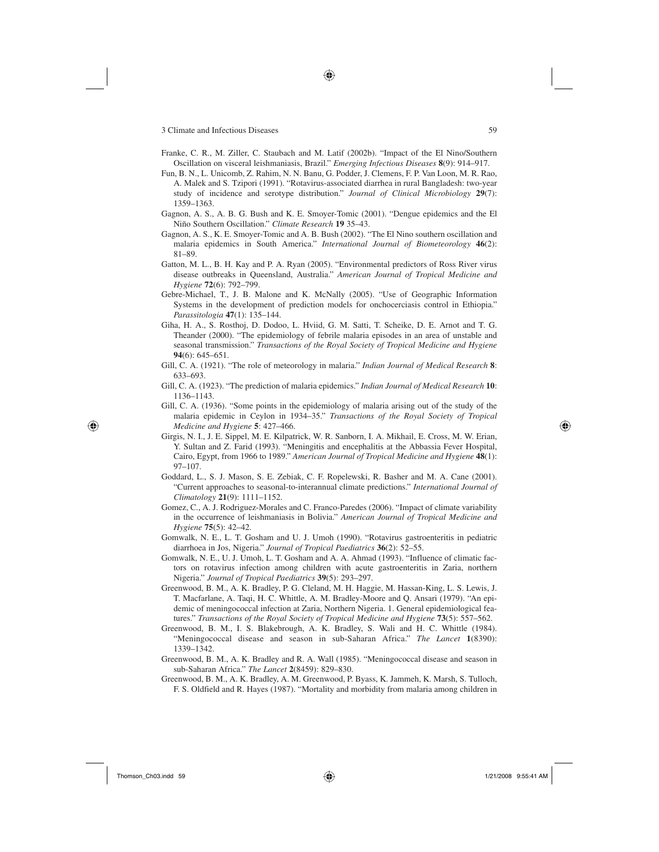Franke, C. R., M. Ziller, C. Staubach and M. Latif (2002b). "Impact of the El Nino/Southern Oscillation on visceral leishmaniasis, Brazil." *Emerging Infectious Diseases* **8**(9): 914–917.

⊕

- Fun, B. N., L. Unicomb, Z. Rahim, N. N. Banu, G. Podder, J. Clemens, F. P. Van Loon, M. R. Rao, A. Malek and S. Tzipori (1991). "Rotavirus-associated diarrhea in rural Bangladesh: two-year study of incidence and serotype distribution." *Journal of Clinical Microbiology* **29**(7): 1359–1363.
- Gagnon, A. S., A. B. G. Bush and K. E. Smoyer-Tomic (2001). "Dengue epidemics and the El Niño Southern Oscillation." *Climate Research* **19** 35–43.
- Gagnon, A. S., K. E. Smoyer-Tomic and A. B. Bush (2002). "The El Nino southern oscillation and malaria epidemics in South America." *International Journal of Biometeorology* **46**(2): 81–89.
- Gatton, M. L., B. H. Kay and P. A. Ryan (2005). "Environmental predictors of Ross River virus disease outbreaks in Queensland, Australia." *American Journal of Tropical Medicine and Hygiene* **72**(6): 792–799.
- Gebre-Michael, T., J. B. Malone and K. McNally (2005). "Use of Geographic Information Systems in the development of prediction models for onchocerciasis control in Ethiopia." *Parassitologia* **47**(1): 135–144.
- Giha, H. A., S. Rosthoj, D. Dodoo, L. Hviid, G. M. Satti, T. Scheike, D. E. Arnot and T. G. Theander (2000). "The epidemiology of febrile malaria episodes in an area of unstable and seasonal transmission." *Transactions of the Royal Society of Tropical Medicine and Hygiene* **94**(6): 645–651.
- Gill, C. A. (1921). "The role of meteorology in malaria." *Indian Journal of Medical Research* **8**: 633–693.
- Gill, C. A. (1923). "The prediction of malaria epidemics." *Indian Journal of Medical Research* **10**: 1136–1143.
- Gill, C. A. (1936). "Some points in the epidemiology of malaria arising out of the study of the malaria epidemic in Ceylon in 1934–35." *Transactions of the Royal Society of Tropical Medicine and Hygiene* **5**: 427–466.
- Girgis, N. I., J. E. Sippel, M. E. Kilpatrick, W. R. Sanborn, I. A. Mikhail, E. Cross, M. W. Erian, Y. Sultan and Z. Farid (1993). "Meningitis and encephalitis at the Abbassia Fever Hospital, Cairo, Egypt, from 1966 to 1989." *American Journal of Tropical Medicine and Hygiene* **48**(1): 97–107.
- Goddard, L., S. J. Mason, S. E. Zebiak, C. F. Ropelewski, R. Basher and M. A. Cane (2001). "Current approaches to seasonal-to-interannual climate predictions." *International Journal of Climatology* **21**(9): 1111–1152.
- Gomez, C., A. J. Rodriguez-Morales and C. Franco-Paredes (2006). "Impact of climate variability in the occurrence of leishmaniasis in Bolivia." *American Journal of Tropical Medicine and Hygiene* **75**(5): 42–42.
- Gomwalk, N. E., L. T. Gosham and U. J. Umoh (1990). "Rotavirus gastroenteritis in pediatric diarrhoea in Jos, Nigeria." *Journal of Tropical Paediatrics* **36**(2): 52–55.
- Gomwalk, N. E., U. J. Umoh, L. T. Gosham and A. A. Ahmad (1993). "Influence of climatic factors on rotavirus infection among children with acute gastroenteritis in Zaria, northern Nigeria." *Journal of Tropical Paediatrics* **39**(5): 293–297.
- Greenwood, B. M., A. K. Bradley, P. G. Cleland, M. H. Haggie, M. Hassan-King, L. S. Lewis, J. T. Macfarlane, A. Taqi, H. C. Whittle, A. M. Bradley-Moore and Q. Ansari (1979). "An epidemic of meningococcal infection at Zaria, Northern Nigeria. 1. General epidemiological features." *Transactions of the Royal Society of Tropical Medicine and Hygiene* **73**(5): 557–562.
- Greenwood, B. M., I. S. Blakebrough, A. K. Bradley, S. Wali and H. C. Whittle (1984). "Meningococcal disease and season in sub-Saharan Africa." *The Lancet* **1**(8390): 1339–1342.
- Greenwood, B. M., A. K. Bradley and R. A. Wall (1985). "Meningococcal disease and season in sub-Saharan Africa." *The Lancet* **2**(8459): 829–830.

⊕

Greenwood, B. M., A. K. Bradley, A. M. Greenwood, P. Byass, K. Jammeh, K. Marsh, S. Tulloch, F. S. Oldfield and R. Hayes (1987). "Mortality and morbidity from malaria among children in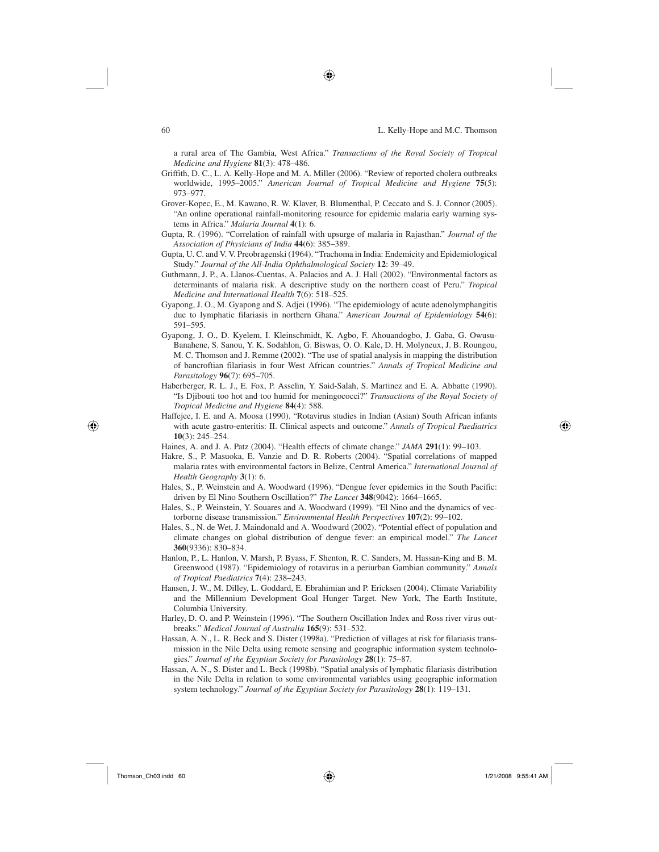a rural area of The Gambia, West Africa." *Transactions of the Royal Society of Tropical Medicine and Hygiene* **81**(3): 478–486.

⊕

- Griffith, D. C., L. A. Kelly-Hope and M. A. Miller (2006). "Review of reported cholera outbreaks worldwide, 1995–2005." *American Journal of Tropical Medicine and Hygiene* **75**(5): 973–977.
- Grover-Kopec, E., M. Kawano, R. W. Klaver, B. Blumenthal, P. Ceccato and S. J. Connor (2005). "An online operational rainfall-monitoring resource for epidemic malaria early warning systems in Africa." *Malaria Journal* **4**(1): 6.
- Gupta, R. (1996). "Correlation of rainfall with upsurge of malaria in Rajasthan." *Journal of the Association of Physicians of India* **44**(6): 385–389.
- Gupta, U. C. and V. V. Preobragenski (1964). "Trachoma in India: Endemicity and Epidemiological Study." *Journal of the All-India Ophthalmological Society* **12**: 39–49.
- Guthmann, J. P., A. Llanos-Cuentas, A. Palacios and A. J. Hall (2002). "Environmental factors as determinants of malaria risk. A descriptive study on the northern coast of Peru." *Tropical Medicine and International Health* **7**(6): 518–525.
- Gyapong, J. O., M. Gyapong and S. Adjei (1996). "The epidemiology of acute adenolymphangitis due to lymphatic filariasis in northern Ghana." *American Journal of Epidemiology* **54**(6): 591–595.
- Gyapong, J. O., D. Kyelem, I. Kleinschmidt, K. Agbo, F. Ahouandogbo, J. Gaba, G. Owusu-Banahene, S. Sanou, Y. K. Sodahlon, G. Biswas, O. O. Kale, D. H. Molyneux, J. B. Roungou, M. C. Thomson and J. Remme (2002). "The use of spatial analysis in mapping the distribution of bancroftian filariasis in four West African countries." *Annals of Tropical Medicine and Parasitology* **96**(7): 695–705.
- Haberberger, R. L. J., E. Fox, P. Asselin, Y. Said-Salah, S. Martinez and E. A. Abbatte (1990). "Is Djibouti too hot and too humid for meningococci?" *Transactions of the Royal Society of Tropical Medicine and Hygiene* **84**(4): 588.
- Haffejee, I. E. and A. Moosa (1990). "Rotavirus studies in Indian (Asian) South African infants with acute gastro-enteritis: II. Clinical aspects and outcome." *Annals of Tropical Paediatrics* **10**(3): 245–254.
- Haines, A. and J. A. Patz (2004). "Health effects of climate change." *JAMA* **291**(1): 99–103.
- Hakre, S., P. Masuoka, E. Vanzie and D. R. Roberts (2004). "Spatial correlations of mapped malaria rates with environmental factors in Belize, Central America." *International Journal of Health Geography* **3**(1): 6.
- Hales, S., P. Weinstein and A. Woodward (1996). "Dengue fever epidemics in the South Pacific: driven by El Nino Southern Oscillation?" *The Lancet* **348**(9042): 1664–1665.
- Hales, S., P. Weinstein, Y. Souares and A. Woodward (1999). "El Nino and the dynamics of vectorborne disease transmission." *Environmental Health Perspectives* **107**(2): 99–102.
- Hales, S., N. de Wet, J. Maindonald and A. Woodward (2002). "Potential effect of population and climate changes on global distribution of dengue fever: an empirical model." *The Lancet* **360**(9336): 830–834.
- Hanlon, P., L. Hanlon, V. Marsh, P. Byass, F. Shenton, R. C. Sanders, M. Hassan-King and B. M. Greenwood (1987). "Epidemiology of rotavirus in a periurban Gambian community." *Annals of Tropical Paediatrics* **7**(4): 238–243.
- Hansen, J. W., M. Dilley, L. Goddard, E. Ebrahimian and P. Ericksen (2004). Climate Variability and the Millennium Development Goal Hunger Target. New York, The Earth Institute, Columbia University.
- Harley, D. O. and P. Weinstein (1996). "The Southern Oscillation Index and Ross river virus outbreaks." *Medical Journal of Australia* **165**(9): 531–532.
- Hassan, A. N., L. R. Beck and S. Dister (1998a). "Prediction of villages at risk for filariasis transmission in the Nile Delta using remote sensing and geographic information system technologies." *Journal of the Egyptian Society for Parasitology* **28**(1): 75–87.
- Hassan, A. N., S. Dister and L. Beck (1998b). "Spatial analysis of lymphatic filariasis distribution in the Nile Delta in relation to some environmental variables using geographic information system technology." *Journal of the Egyptian Society for Parasitology* **28**(1): 119–131.

⊕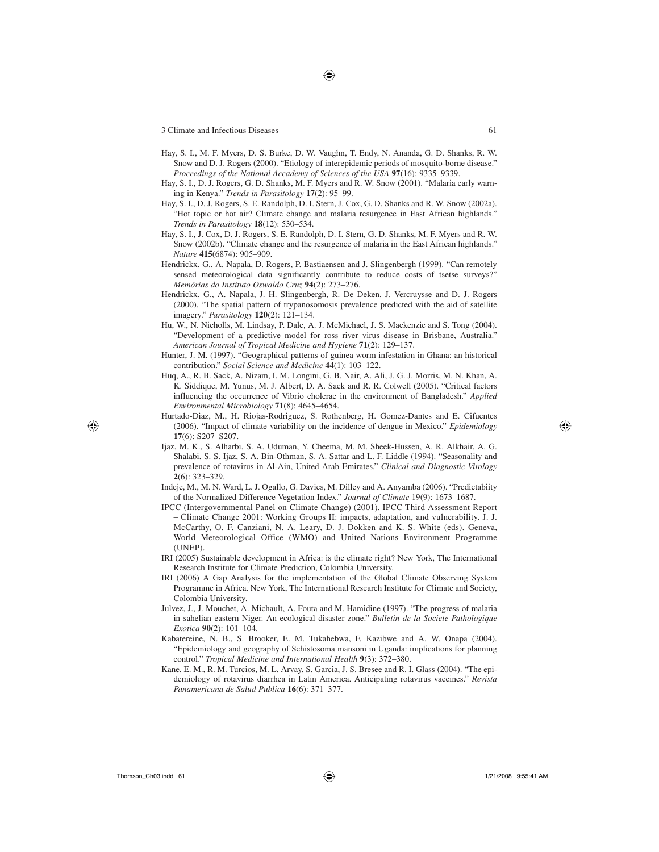Hay, S. I., M. F. Myers, D. S. Burke, D. W. Vaughn, T. Endy, N. Ananda, G. D. Shanks, R. W. Snow and D. J. Rogers (2000). "Etiology of interepidemic periods of mosquito-borne disease." *Proceedings of the National Accademy of Sciences of the USA* **97**(16): 9335–9339.

⊕

- Hay, S. I., D. J. Rogers, G. D. Shanks, M. F. Myers and R. W. Snow (2001). "Malaria early warning in Kenya." *Trends in Parasitology* **17**(2): 95–99.
- Hay, S. I., D. J. Rogers, S. E. Randolph, D. I. Stern, J. Cox, G. D. Shanks and R. W. Snow (2002a). "Hot topic or hot air? Climate change and malaria resurgence in East African highlands." *Trends in Parasitology* **18**(12): 530–534.
- Hay, S. I., J. Cox, D. J. Rogers, S. E. Randolph, D. I. Stern, G. D. Shanks, M. F. Myers and R. W. Snow (2002b). "Climate change and the resurgence of malaria in the East African highlands." *Nature* **415**(6874): 905–909.
- Hendrickx, G., A. Napala, D. Rogers, P. Bastiaensen and J. Slingenbergh (1999). "Can remotely sensed meteorological data significantly contribute to reduce costs of tsetse surveys?" *Memórias do Instituto Oswaldo Cruz* **94**(2): 273–276.
- Hendrickx, G., A. Napala, J. H. Slingenbergh, R. De Deken, J. Vercruysse and D. J. Rogers (2000). "The spatial pattern of trypanosomosis prevalence predicted with the aid of satellite imagery." *Parasitology* **120**(2): 121–134.
- Hu, W., N. Nicholls, M. Lindsay, P. Dale, A. J. McMichael, J. S. Mackenzie and S. Tong (2004). "Development of a predictive model for ross river virus disease in Brisbane, Australia." *American Journal of Tropical Medicine and Hygiene* **71**(2): 129–137.
- Hunter, J. M. (1997). "Geographical patterns of guinea worm infestation in Ghana: an historical contribution." *Social Science and Medicine* **44**(1): 103–122.
- Huq, A., R. B. Sack, A. Nizam, I. M. Longini, G. B. Nair, A. Ali, J. G. J. Morris, M. N. Khan, A. K. Siddique, M. Yunus, M. J. Albert, D. A. Sack and R. R. Colwell (2005). "Critical factors influencing the occurrence of Vibrio cholerae in the environment of Bangladesh." *Applied Environmental Microbiology* **71**(8): 4645–4654.
- Hurtado-Diaz, M., H. Riojas-Rodriguez, S. Rothenberg, H. Gomez-Dantes and E. Cifuentes (2006). "Impact of climate variability on the incidence of dengue in Mexico." *Epidemiology* **17**(6): S207–S207.
- Ijaz, M. K., S. Alharbi, S. A. Uduman, Y. Cheema, M. M. Sheek-Hussen, A. R. Alkhair, A. G. Shalabi, S. S. Ijaz, S. A. Bin-Othman, S. A. Sattar and L. F. Liddle (1994). "Seasonality and prevalence of rotavirus in Al-Ain, United Arab Emirates." *Clinical and Diagnostic Virology* **2**(6): 323–329.
- Indeje, M., M. N. Ward, L. J. Ogallo, G. Davies, M. Dilley and A. Anyamba (2006). "Predictabiity of the Normalized Difference Vegetation Index." *Journal of Climate* 19(9): 1673–1687.
- IPCC (Intergovernmental Panel on Climate Change) (2001). IPCC Third Assessment Report – Climate Change 2001: Working Groups II: impacts, adaptation, and vulnerability. J. J. McCarthy, O. F. Canziani, N. A. Leary, D. J. Dokken and K. S. White (eds). Geneva, World Meteorological Office (WMO) and United Nations Environment Programme (UNEP).
- IRI (2005) Sustainable development in Africa: is the climate right? New York, The International Research Institute for Climate Prediction, Colombia University.
- IRI (2006) A Gap Analysis for the implementation of the Global Climate Observing System Programme in Africa. New York, The International Research Institute for Climate and Society, Colombia University.
- Julvez, J., J. Mouchet, A. Michault, A. Fouta and M. Hamidine (1997). "The progress of malaria in sahelian eastern Niger. An ecological disaster zone." *Bulletin de la Societe Pathologique Exotica* **90**(2): 101–104.
- Kabatereine, N. B., S. Brooker, E. M. Tukahebwa, F. Kazibwe and A. W. Onapa (2004). "Epidemiology and geography of Schistosoma mansoni in Uganda: implications for planning control." *Tropical Medicine and International Health* **9**(3): 372–380.
- Kane, E. M., R. M. Turcios, M. L. Arvay, S. Garcia, J. S. Bresee and R. I. Glass (2004). "The epidemiology of rotavirus diarrhea in Latin America. Anticipating rotavirus vaccines." *Revista Panamericana de Salud Publica* **16**(6): 371–377.

⊕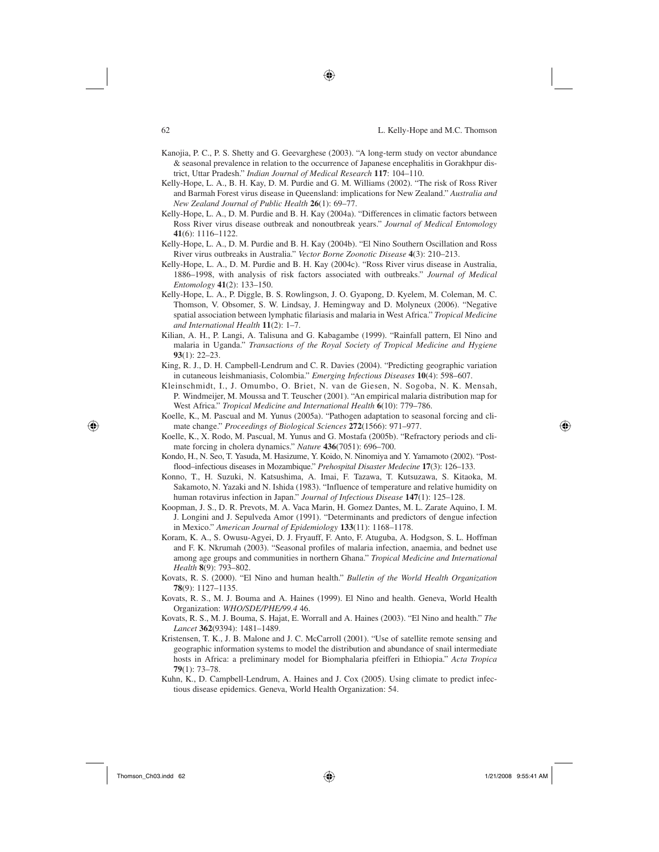Kanojia, P. C., P. S. Shetty and G. Geevarghese (2003). "A long-term study on vector abundance & seasonal prevalence in relation to the occurrence of Japanese encephalitis in Gorakhpur district, Uttar Pradesh." *Indian Journal of Medical Research* **117**: 104–110.

⊕

- Kelly-Hope, L. A., B. H. Kay, D. M. Purdie and G. M. Williams (2002). "The risk of Ross River and Barmah Forest virus disease in Queensland: implications for New Zealand." *Australia and New Zealand Journal of Public Health* **26**(1): 69–77.
- Kelly-Hope, L. A., D. M. Purdie and B. H. Kay (2004a). "Differences in climatic factors between Ross River virus disease outbreak and nonoutbreak years." *Journal of Medical Entomology* **41**(6): 1116–1122.
- Kelly-Hope, L. A., D. M. Purdie and B. H. Kay (2004b). "El Nino Southern Oscillation and Ross River virus outbreaks in Australia." *Vector Borne Zoonotic Disease* **4**(3): 210–213.
- Kelly-Hope, L. A., D. M. Purdie and B. H. Kay (2004c). "Ross River virus disease in Australia, 1886–1998, with analysis of risk factors associated with outbreaks." *Journal of Medical Entomology* **41**(2): 133–150.
- Kelly-Hope, L. A., P. Diggle, B. S. Rowlingson, J. O. Gyapong, D. Kyelem, M. Coleman, M. C. Thomson, V. Obsomer, S. W. Lindsay, J. Hemingway and D. Molyneux (2006). "Negative spatial association between lymphatic filariasis and malaria in West Africa." *Tropical Medicine and International Health* **11**(2): 1–7.
- Kilian, A. H., P. Langi, A. Talisuna and G. Kabagambe (1999). "Rainfall pattern, El Nino and malaria in Uganda." *Transactions of the Royal Society of Tropical Medicine and Hygiene* **93**(1): 22–23.
- King, R. J., D. H. Campbell-Lendrum and C. R. Davies (2004). "Predicting geographic variation in cutaneous leishmaniasis, Colombia." *Emerging Infectious Diseases* **10**(4): 598–607.
- Kleinschmidt, I., J. Omumbo, O. Briet, N. van de Giesen, N. Sogoba, N. K. Mensah, P. Windmeijer, M. Moussa and T. Teuscher (2001). "An empirical malaria distribution map for West Africa." *Tropical Medicine and International Health* **6**(10): 779–786.
- Koelle, K., M. Pascual and M. Yunus (2005a). "Pathogen adaptation to seasonal forcing and climate change." *Proceedings of Biological Sciences* **272**(1566): 971–977.
- Koelle, K., X. Rodo, M. Pascual, M. Yunus and G. Mostafa (2005b). "Refractory periods and climate forcing in cholera dynamics." *Nature* **436**(7051): 696–700.
- Kondo, H., N. Seo, T. Yasuda, M. Hasizume, Y. Koido, N. Ninomiya and Y. Yamamoto (2002). "Postflood–infectious diseases in Mozambique." *Prehospital Disaster Medecine* **17**(3): 126–133.
- Konno, T., H. Suzuki, N. Katsushima, A. Imai, F. Tazawa, T. Kutsuzawa, S. Kitaoka, M. Sakamoto, N. Yazaki and N. Ishida (1983). "Influence of temperature and relative humidity on human rotavirus infection in Japan." *Journal of Infectious Disease* **147**(1): 125–128.
- Koopman, J. S., D. R. Prevots, M. A. Vaca Marin, H. Gomez Dantes, M. L. Zarate Aquino, I. M. J. Longini and J. Sepulveda Amor (1991). "Determinants and predictors of dengue infection in Mexico." *American Journal of Epidemiology* **133**(11): 1168–1178.
- Koram, K. A., S. Owusu-Agyei, D. J. Fryauff, F. Anto, F. Atuguba, A. Hodgson, S. L. Hoffman and F. K. Nkrumah (2003). "Seasonal profiles of malaria infection, anaemia, and bednet use among age groups and communities in northern Ghana." *Tropical Medicine and International Health* **8**(9): 793–802.
- Kovats, R. S. (2000). "El Nino and human health." *Bulletin of the World Health Organization* **78**(9): 1127–1135.
- Kovats, R. S., M. J. Bouma and A. Haines (1999). El Nino and health. Geneva, World Health Organization: *WHO/SDE/PHE/99.4* 46.
- Kovats, R. S., M. J. Bouma, S. Hajat, E. Worrall and A. Haines (2003). "El Nino and health." *The Lancet* **362**(9394): 1481–1489.
- Kristensen, T. K., J. B. Malone and J. C. McCarroll (2001). "Use of satellite remote sensing and geographic information systems to model the distribution and abundance of snail intermediate hosts in Africa: a preliminary model for Biomphalaria pfeifferi in Ethiopia." *Acta Tropica* **79**(1): 73–78.
- Kuhn, K., D. Campbell-Lendrum, A. Haines and J. Cox (2005). Using climate to predict infectious disease epidemics. Geneva, World Health Organization: 54.

⊕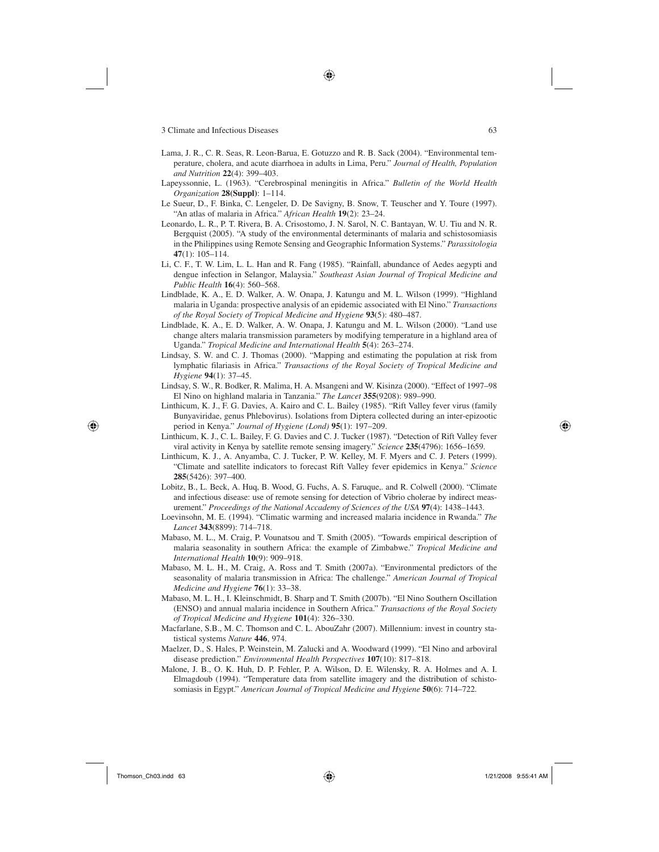Lama, J. R., C. R. Seas, R. Leon-Barua, E. Gotuzzo and R. B. Sack (2004). "Environmental temperature, cholera, and acute diarrhoea in adults in Lima, Peru." *Journal of Health, Population and Nutrition* **22**(4): 399–403.

⊕

- Lapeyssonnie, L. (1963). "Cerebrospinal meningitis in Africa." *Bulletin of the World Health Organization* **28(Suppl)**: 1–114.
- Le Sueur, D., F. Binka, C. Lengeler, D. De Savigny, B. Snow, T. Teuscher and Y. Toure (1997). "An atlas of malaria in Africa." *African Health* **19**(2): 23–24.
- Leonardo, L. R., P. T. Rivera, B. A. Crisostomo, J. N. Sarol, N. C. Bantayan, W. U. Tiu and N. R. Bergquist (2005). "A study of the environmental determinants of malaria and schistosomiasis in the Philippines using Remote Sensing and Geographic Information Systems." *Parassitologia* **47**(1): 105–114.
- Li, C. F., T. W. Lim, L. L. Han and R. Fang (1985). "Rainfall, abundance of Aedes aegypti and dengue infection in Selangor, Malaysia." *Southeast Asian Journal of Tropical Medicine and Public Health* **16**(4): 560–568.
- Lindblade, K. A., E. D. Walker, A. W. Onapa, J. Katungu and M. L. Wilson (1999). "Highland malaria in Uganda: prospective analysis of an epidemic associated with El Nino." *Transactions of the Royal Society of Tropical Medicine and Hygiene* **93**(5): 480–487.
- Lindblade, K. A., E. D. Walker, A. W. Onapa, J. Katungu and M. L. Wilson (2000). "Land use change alters malaria transmission parameters by modifying temperature in a highland area of Uganda." *Tropical Medicine and International Health* **5**(4): 263–274.
- Lindsay, S. W. and C. J. Thomas (2000). "Mapping and estimating the population at risk from lymphatic filariasis in Africa." *Transactions of the Royal Society of Tropical Medicine and Hygiene* **94**(1): 37–45.
- Lindsay, S. W., R. Bodker, R. Malima, H. A. Msangeni and W. Kisinza (2000). "Effect of 1997–98 El Nino on highland malaria in Tanzania." *The Lancet* **355**(9208): 989–990.
- Linthicum, K. J., F. G. Davies, A. Kairo and C. L. Bailey (1985). "Rift Valley fever virus (family Bunyaviridae, genus Phlebovirus). Isolations from Diptera collected during an inter-epizootic period in Kenya." *Journal of Hygiene (Lond)* **95**(1): 197–209.
- Linthicum, K. J., C. L. Bailey, F. G. Davies and C. J. Tucker (1987). "Detection of Rift Valley fever viral activity in Kenya by satellite remote sensing imagery." *Science* **235**(4796): 1656–1659.
- Linthicum, K. J., A. Anyamba, C. J. Tucker, P. W. Kelley, M. F. Myers and C. J. Peters (1999). "Climate and satellite indicators to forecast Rift Valley fever epidemics in Kenya." *Science* **285**(5426): 397–400.
- Lobitz, B., L. Beck, A. Huq, B. Wood, G. Fuchs, A. S. Faruque,. and R. Colwell (2000). "Climate and infectious disease: use of remote sensing for detection of Vibrio cholerae by indirect measurement." *Proceedings of the National Accademy of Sciences of the USA* **97**(4): 1438–1443.
- Loevinsohn, M. E. (1994). "Climatic warming and increased malaria incidence in Rwanda." *The Lancet* **343**(8899): 714–718.
- Mabaso, M. L., M. Craig, P. Vounatsou and T. Smith (2005). "Towards empirical description of malaria seasonality in southern Africa: the example of Zimbabwe." *Tropical Medicine and International Health* **10**(9): 909–918.
- Mabaso, M. L. H., M. Craig, A. Ross and T. Smith (2007a). "Environmental predictors of the seasonality of malaria transmission in Africa: The challenge." *American Journal of Tropical Medicine and Hygiene* **76**(1): 33–38.
- Mabaso, M. L. H., I. Kleinschmidt, B. Sharp and T. Smith (2007b). "El Nino Southern Oscillation (ENSO) and annual malaria incidence in Southern Africa." *Transactions of the Royal Society of Tropical Medicine and Hygiene* **101**(4): 326–330.
- Macfarlane, S.B., M. C. Thomson and C. L. AbouZahr (2007). Millennium: invest in country statistical systems *Nature* **446**, 974.
- Maelzer, D., S. Hales, P. Weinstein, M. Zalucki and A. Woodward (1999). "El Nino and arboviral disease prediction." *Environmental Health Perspectives* **107**(10): 817–818.
- Malone, J. B., O. K. Huh, D. P. Fehler, P. A. Wilson, D. E. Wilensky, R. A. Holmes and A. I. Elmagdoub (1994). "Temperature data from satellite imagery and the distribution of schistosomiasis in Egypt." *American Journal of Tropical Medicine and Hygiene* **50**(6): 714–722.

⊕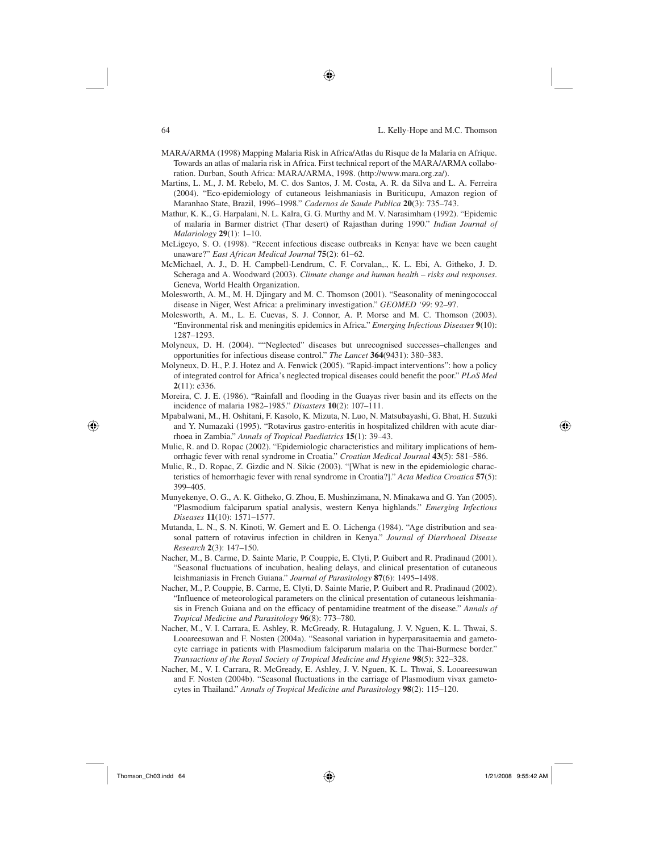MARA/ARMA (1998) Mapping Malaria Risk in Africa/Atlas du Risque de la Malaria en Afrique. Towards an atlas of malaria risk in Africa. First technical report of the MARA/ARMA collaboration. Durban, South Africa: MARA/ARMA, 1998. (http://www.mara.org.za/).

⊕

- Martins, L. M., J. M. Rebelo, M. C. dos Santos, J. M. Costa, A. R. da Silva and L. A. Ferreira (2004). "Eco-epidemiology of cutaneous leishmaniasis in Buriticupu, Amazon region of Maranhao State, Brazil, 1996–1998." *Cadernos de Saude Publica* **20**(3): 735–743.
- Mathur, K. K., G. Harpalani, N. L. Kalra, G. G. Murthy and M. V. Narasimham (1992). "Epidemic of malaria in Barmer district (Thar desert) of Rajasthan during 1990." *Indian Journal of Malariology* **29**(1): 1–10.
- McLigeyo, S. O. (1998). "Recent infectious disease outbreaks in Kenya: have we been caught unaware?" *East African Medical Journal* **75**(2): 61–62.
- McMichael, A. J., D. H. Campbell-Lendrum, C. F. Corvalan,., K. L. Ebi, A. Githeko, J. D. Scheraga and A. Woodward (2003). *Climate change and human health – risks and responses*. Geneva, World Health Organization.
- Molesworth, A. M., M. H. Djingary and M. C. Thomson (2001). "Seasonality of meningococcal disease in Niger, West Africa: a preliminary investigation." *GEOMED '99*: 92–97.
- Molesworth, A. M., L. E. Cuevas, S. J. Connor, A. P. Morse and M. C. Thomson (2003). "Environmental risk and meningitis epidemics in Africa." *Emerging Infectious Diseases* **9**(10): 1287–1293.
- Molyneux, D. H. (2004). ""Neglected" diseases but unrecognised successes–challenges and opportunities for infectious disease control." *The Lancet* **364**(9431): 380–383.
- Molyneux, D. H., P. J. Hotez and A. Fenwick (2005). "Rapid-impact interventions": how a policy of integrated control for Africa's neglected tropical diseases could benefit the poor." *PLoS Med* **2**(11): e336.
- Moreira, C. J. E. (1986). "Rainfall and flooding in the Guayas river basin and its effects on the incidence of malaria 1982–1985." *Disasters* **10**(2): 107–111.
- Mpabalwani, M., H. Oshitani, F. Kasolo, K. Mizuta, N. Luo, N. Matsubayashi, G. Bhat, H. Suzuki and Y. Numazaki (1995). "Rotavirus gastro-enteritis in hospitalized children with acute diarrhoea in Zambia." *Annals of Tropical Paediatrics* **15**(1): 39–43.
- Mulic, R. and D. Ropac (2002). "Epidemiologic characteristics and military implications of hemorrhagic fever with renal syndrome in Croatia." *Croatian Medical Journal* **43**(5): 581–586.
- Mulic, R., D. Ropac, Z. Gizdic and N. Sikic (2003). "[What is new in the epidemiologic characteristics of hemorrhagic fever with renal syndrome in Croatia?]." *Acta Medica Croatica* **57**(5): 399–405.
- Munyekenye, O. G., A. K. Githeko, G. Zhou, E. Mushinzimana, N. Minakawa and G. Yan (2005). "Plasmodium falciparum spatial analysis, western Kenya highlands." *Emerging Infectious Diseases* **11**(10): 1571–1577.
- Mutanda, L. N., S. N. Kinoti, W. Gemert and E. O. Lichenga (1984). "Age distribution and seasonal pattern of rotavirus infection in children in Kenya." *Journal of Diarrhoeal Disease Research* **2**(3): 147–150.
- Nacher, M., B. Carme, D. Sainte Marie, P. Couppie, E. Clyti, P. Guibert and R. Pradinaud (2001). "Seasonal fluctuations of incubation, healing delays, and clinical presentation of cutaneous leishmaniasis in French Guiana." *Journal of Parasitology* **87**(6): 1495–1498.
- Nacher, M., P. Couppie, B. Carme, E. Clyti, D. Sainte Marie, P. Guibert and R. Pradinaud (2002). "Influence of meteorological parameters on the clinical presentation of cutaneous leishmaniasis in French Guiana and on the efficacy of pentamidine treatment of the disease." *Annals of Tropical Medicine and Parasitology* **96**(8): 773–780.
- Nacher, M., V. I. Carrara, E. Ashley, R. McGready, R. Hutagalung, J. V. Nguen, K. L. Thwai, S. Looareesuwan and F. Nosten (2004a). "Seasonal variation in hyperparasitaemia and gametocyte carriage in patients with Plasmodium falciparum malaria on the Thai-Burmese border." *Transactions of the Royal Society of Tropical Medicine and Hygiene* **98**(5): 322–328.
- Nacher, M., V. I. Carrara, R. McGready, E. Ashley, J. V. Nguen, K. L. Thwai, S. Looareesuwan and F. Nosten (2004b). "Seasonal fluctuations in the carriage of Plasmodium vivax gametocytes in Thailand." *Annals of Tropical Medicine and Parasitology* **98**(2): 115–120.

⊕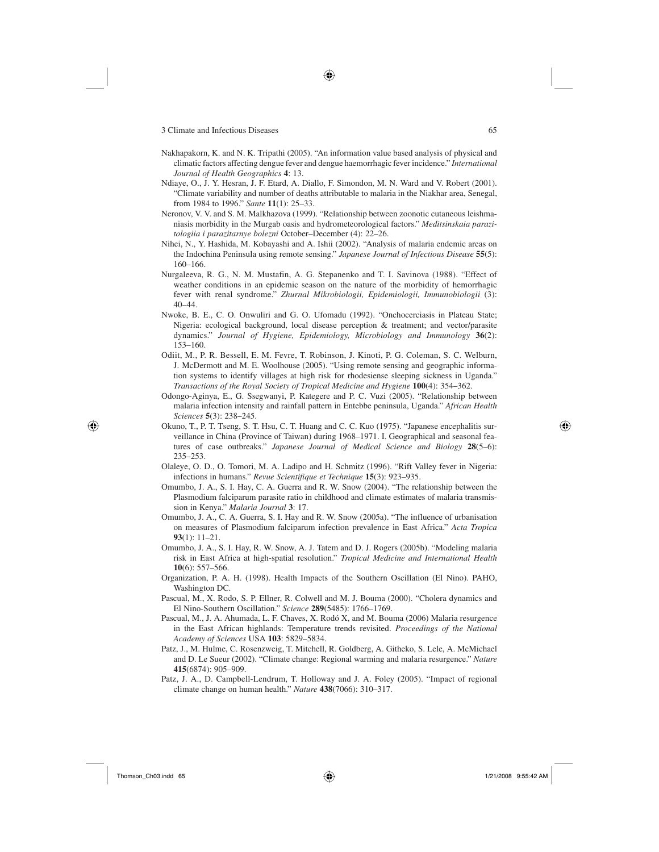Nakhapakorn, K. and N. K. Tripathi (2005). "An information value based analysis of physical and climatic factors affecting dengue fever and dengue haemorrhagic fever incidence." *International Journal of Health Geographics* **4**: 13.

⊕

- Ndiaye, O., J. Y. Hesran, J. F. Etard, A. Diallo, F. Simondon, M. N. Ward and V. Robert (2001). "Climate variability and number of deaths attributable to malaria in the Niakhar area, Senegal, from 1984 to 1996." *Sante* **11**(1): 25–33.
- Neronov, V. V. and S. M. Malkhazova (1999). "Relationship between zoonotic cutaneous leishmaniasis morbidity in the Murgab oasis and hydrometeorological factors." *Meditsinskaia parazitologiia i parazitarnye bolezni* October–December (4): 22–26.
- Nihei, N., Y. Hashida, M. Kobayashi and A. Ishii (2002). "Analysis of malaria endemic areas on the Indochina Peninsula using remote sensing." *Japanese Journal of Infectious Disease* **55**(5): 160–166.
- Nurgaleeva, R. G., N. M. Mustafin, A. G. Stepanenko and T. I. Savinova (1988). "Effect of weather conditions in an epidemic season on the nature of the morbidity of hemorrhagic fever with renal syndrome." *Zhurnal Mikrobiologii, Epidemiologii, Immunobiologii* (3): 40–44.
- Nwoke, B. E., C. O. Onwuliri and G. O. Ufomadu (1992). "Onchocerciasis in Plateau State; Nigeria: ecological background, local disease perception & treatment; and vector/parasite dynamics." *Journal of Hygiene, Epidemiology, Microbiology and Immunology* **36**(2): 153–160.
- Odiit, M., P. R. Bessell, E. M. Fevre, T. Robinson, J. Kinoti, P. G. Coleman, S. C. Welburn, J. McDermott and M. E. Woolhouse (2005). "Using remote sensing and geographic information systems to identify villages at high risk for rhodesiense sleeping sickness in Uganda." *Transactions of the Royal Society of Tropical Medicine and Hygiene* **100**(4): 354–362.
- Odongo-Aginya, E., G. Ssegwanyi, P. Kategere and P. C. Vuzi (2005). "Relationship between malaria infection intensity and rainfall pattern in Entebbe peninsula, Uganda." *African Health Sciences* **5**(3): 238–245.
- Okuno, T., P. T. Tseng, S. T. Hsu, C. T. Huang and C. C. Kuo (1975). "Japanese encephalitis surveillance in China (Province of Taiwan) during 1968–1971. I. Geographical and seasonal features of case outbreaks." *Japanese Journal of Medical Science and Biology* **28**(5–6): 235–253.
- Olaleye, O. D., O. Tomori, M. A. Ladipo and H. Schmitz (1996). "Rift Valley fever in Nigeria: infections in humans." *Revue Scientifique et Technique* **15**(3): 923–935.
- Omumbo, J. A., S. I. Hay, C. A. Guerra and R. W. Snow (2004). "The relationship between the Plasmodium falciparum parasite ratio in childhood and climate estimates of malaria transmission in Kenya." *Malaria Journal* **3**: 17.
- Omumbo, J. A., C. A. Guerra, S. I. Hay and R. W. Snow (2005a). "The influence of urbanisation on measures of Plasmodium falciparum infection prevalence in East Africa." *Acta Tropica* **93**(1): 11–21.
- Omumbo, J. A., S. I. Hay, R. W. Snow, A. J. Tatem and D. J. Rogers (2005b). "Modeling malaria risk in East Africa at high-spatial resolution." *Tropical Medicine and International Health* **10**(6): 557–566.
- Organization, P. A. H. (1998). Health Impacts of the Southern Oscillation (El Nino). PAHO, Washington DC.
- Pascual, M., X. Rodo, S. P. Ellner, R. Colwell and M. J. Bouma (2000). "Cholera dynamics and El Nino-Southern Oscillation." *Science* **289**(5485): 1766–1769.
- Pascual, M., J. A. Ahumada, L. F. Chaves, X. Rodó X, and M. Bouma (2006) Malaria resurgence in the East African highlands: Temperature trends revisited. *Proceedings of the National Academy of Sciences* USA **103**: 5829–5834.
- Patz, J., M. Hulme, C. Rosenzweig, T. Mitchell, R. Goldberg, A. Githeko, S. Lele, A. McMichael and D. Le Sueur (2002). "Climate change: Regional warming and malaria resurgence." *Nature* **415**(6874): 905–909.
- Patz, J. A., D. Campbell-Lendrum, T. Holloway and J. A. Foley (2005). "Impact of regional climate change on human health." *Nature* **438**(7066): 310–317.

⊕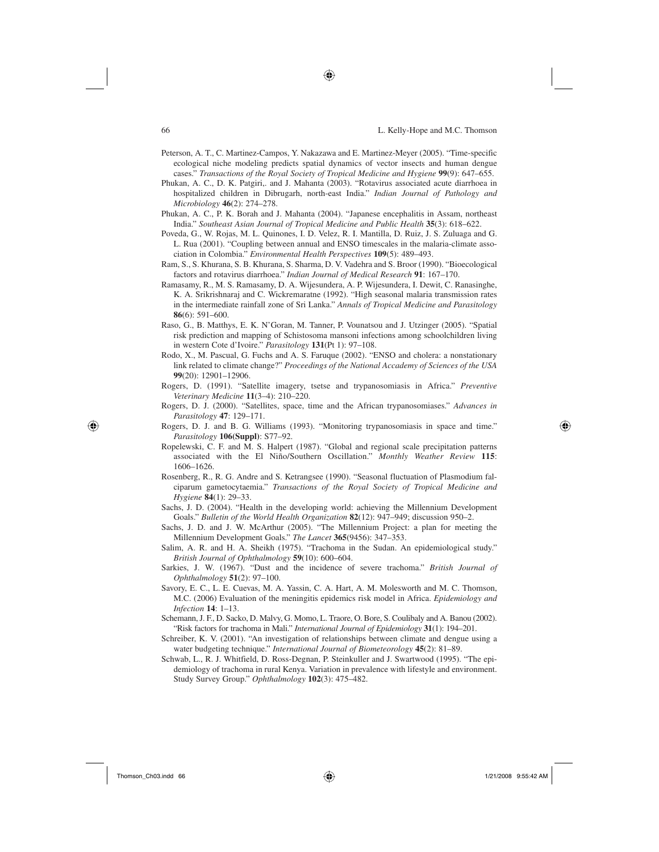Peterson, A. T., C. Martinez-Campos, Y. Nakazawa and E. Martinez-Meyer (2005). "Time-specific ecological niche modeling predicts spatial dynamics of vector insects and human dengue cases." *Transactions of the Royal Society of Tropical Medicine and Hygiene* **99**(9): 647–655.

⊕

- Phukan, A. C., D. K. Patgiri,. and J. Mahanta (2003). "Rotavirus associated acute diarrhoea in hospitalized children in Dibrugarh, north-east India." *Indian Journal of Pathology and Microbiology* **46**(2): 274–278.
- Phukan, A. C., P. K. Borah and J. Mahanta (2004). "Japanese encephalitis in Assam, northeast India." *Southeast Asian Journal of Tropical Medicine and Public Health* **35**(3): 618–622.
- Poveda, G., W. Rojas, M. L. Quinones, I. D. Velez, R. I. Mantilla, D. Ruiz, J. S. Zuluaga and G. L. Rua (2001). "Coupling between annual and ENSO timescales in the malaria-climate association in Colombia." *Environmental Health Perspectives* **109**(5): 489–493.
- Ram, S., S. Khurana, S. B. Khurana, S. Sharma, D. V. Vadehra and S. Broor (1990). "Bioecological factors and rotavirus diarrhoea." *Indian Journal of Medical Research* **91**: 167–170.
- Ramasamy, R., M. S. Ramasamy, D. A. Wijesundera, A. P. Wijesundera, I. Dewit, C. Ranasinghe, K. A. Srikrishnaraj and C. Wickremaratne (1992). "High seasonal malaria transmission rates in the intermediate rainfall zone of Sri Lanka." *Annals of Tropical Medicine and Parasitology* **86**(6): 591–600.
- Raso, G., B. Matthys, E. K. N'Goran, M. Tanner, P. Vounatsou and J. Utzinger (2005). "Spatial risk prediction and mapping of Schistosoma mansoni infections among schoolchildren living in western Cote d'Ivoire." *Parasitology* **131**(Pt 1): 97–108.
- Rodo, X., M. Pascual, G. Fuchs and A. S. Faruque (2002). "ENSO and cholera: a nonstationary link related to climate change?" *Proceedings of the National Accademy of Sciences of the USA* **99**(20): 12901–12906.
- Rogers, D. (1991). "Satellite imagery, tsetse and trypanosomiasis in Africa." *Preventive Veterinary Medicine* **11**(3–4): 210–220.
- Rogers, D. J. (2000). "Satellites, space, time and the African trypanosomiases." *Advances in Parasitology* **47**: 129–171.
- Rogers, D. J. and B. G. Williams (1993). "Monitoring trypanosomiasis in space and time." *Parasitology* **106(Suppl)**: S77–92.
- Ropelewski, C. F. and M. S. Halpert (1987). "Global and regional scale precipitation patterns associated with the El Niño/Southern Oscillation." *Monthly Weather Review* **115**: 1606–1626.
- Rosenberg, R., R. G. Andre and S. Ketrangsee (1990). "Seasonal fluctuation of Plasmodium falciparum gametocytaemia." *Transactions of the Royal Society of Tropical Medicine and Hygiene* **84**(1): 29–33.
- Sachs, J. D. (2004). "Health in the developing world: achieving the Millennium Development Goals." *Bulletin of the World Health Organization* **82**(12): 947–949; discussion 950–2.
- Sachs, J. D. and J. W. McArthur (2005). "The Millennium Project: a plan for meeting the Millennium Development Goals." *The Lancet* **365**(9456): 347–353.
- Salim, A. R. and H. A. Sheikh (1975). "Trachoma in the Sudan. An epidemiological study." *British Journal of Ophthalmology* **59**(10): 600–604.
- Sarkies, J. W. (1967). "Dust and the incidence of severe trachoma." *British Journal of Ophthalmology* **51**(2): 97–100.
- Savory, E. C., L. E. Cuevas, M. A. Yassin, C. A. Hart, A. M. Molesworth and M. C. Thomson, M.C. (2006) Evaluation of the meningitis epidemics risk model in Africa. *Epidemiology and Infection* **14**: 1–13.
- Schemann, J. F., D. Sacko, D. Malvy, G. Momo, L. Traore, O. Bore, S. Coulibaly and A. Banou (2002). "Risk factors for trachoma in Mali." *International Journal of Epidemiology* **31**(1): 194–201.
- Schreiber, K. V. (2001). "An investigation of relationships between climate and dengue using a water budgeting technique." *International Journal of Biometeorology* **45**(2): 81–89.
- Schwab, L., R. J. Whitfield, D. Ross-Degnan, P. Steinkuller and J. Swartwood (1995). "The epidemiology of trachoma in rural Kenya. Variation in prevalence with lifestyle and environment. Study Survey Group." *Ophthalmology* **102**(3): 475–482.

⊕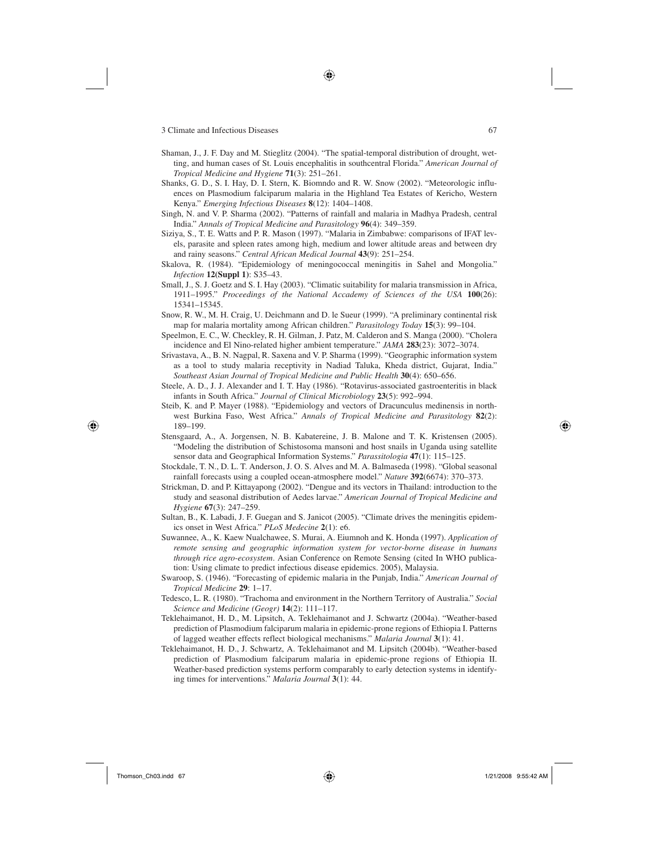Shaman, J., J. F. Day and M. Stieglitz (2004). "The spatial-temporal distribution of drought, wetting, and human cases of St. Louis encephalitis in southcentral Florida." *American Journal of Tropical Medicine and Hygiene* **71**(3): 251–261.

⊕

- Shanks, G. D., S. I. Hay, D. I. Stern, K. Biomndo and R. W. Snow (2002). "Meteorologic influences on Plasmodium falciparum malaria in the Highland Tea Estates of Kericho, Western Kenya." *Emerging Infectious Diseases* **8**(12): 1404–1408.
- Singh, N. and V. P. Sharma (2002). "Patterns of rainfall and malaria in Madhya Pradesh, central India." *Annals of Tropical Medicine and Parasitology* **96**(4): 349–359.
- Siziya, S., T. E. Watts and P. R. Mason (1997). "Malaria in Zimbabwe: comparisons of IFAT levels, parasite and spleen rates among high, medium and lower altitude areas and between dry and rainy seasons." *Central African Medical Journal* **43**(9): 251–254.
- Skalova, R. (1984). "Epidemiology of meningococcal meningitis in Sahel and Mongolia." *Infection* **12(Suppl 1)**: S35–43.
- Small, J., S. J. Goetz and S. I. Hay (2003). "Climatic suitability for malaria transmission in Africa, 1911–1995." *Proceedings of the National Accademy of Sciences of the USA* **100**(26): 15341–15345.
- Snow, R. W., M. H. Craig, U. Deichmann and D. le Sueur (1999). "A preliminary continental risk map for malaria mortality among African children." *Parasitology Today* **15**(3): 99–104.
- Speelmon, E. C., W. Checkley, R. H. Gilman, J. Patz, M. Calderon and S. Manga (2000). "Cholera incidence and El Nino-related higher ambient temperature." *JAMA* **283**(23): 3072–3074.
- Srivastava, A., B. N. Nagpal, R. Saxena and V. P. Sharma (1999). "Geographic information system as a tool to study malaria receptivity in Nadiad Taluka, Kheda district, Gujarat, India." *Southeast Asian Journal of Tropical Medicine and Public Health* **30**(4): 650–656.
- Steele, A. D., J. J. Alexander and I. T. Hay (1986). "Rotavirus-associated gastroenteritis in black infants in South Africa." *Journal of Clinical Microbiology* **23**(5): 992–994.
- Steib, K. and P. Mayer (1988). "Epidemiology and vectors of Dracunculus medinensis in northwest Burkina Faso, West Africa." *Annals of Tropical Medicine and Parasitology* **82**(2): 189–199.
- Stensgaard, A., A. Jorgensen, N. B. Kabatereine, J. B. Malone and T. K. Kristensen (2005). "Modeling the distribution of Schistosoma mansoni and host snails in Uganda using satellite sensor data and Geographical Information Systems." *Parassitologia* **47**(1): 115–125.
- Stockdale, T. N., D. L. T. Anderson, J. O. S. Alves and M. A. Balmaseda (1998). "Global seasonal rainfall forecasts using a coupled ocean-atmosphere model." *Nature* **392**(6674): 370–373.
- Strickman, D. and P. Kittayapong (2002). "Dengue and its vectors in Thailand: introduction to the study and seasonal distribution of Aedes larvae." *American Journal of Tropical Medicine and Hygiene* **67**(3): 247–259.
- Sultan, B., K. Labadi, J. F. Guegan and S. Janicot (2005). "Climate drives the meningitis epidemics onset in West Africa." *PLoS Medecine* **2**(1): e6.
- Suwannee, A., K. Kaew Nualchawee, S. Murai, A. Eiumnoh and K. Honda (1997). *Application of remote sensing and geographic information system for vector-borne disease in humans through rice agro-ecosystem*. Asian Conference on Remote Sensing (cited In WHO publication: Using climate to predict infectious disease epidemics. 2005), Malaysia.
- Swaroop, S. (1946). "Forecasting of epidemic malaria in the Punjab, India." *American Journal of Tropical Medicine* **29**: 1–17.
- Tedesco, L. R. (1980). "Trachoma and environment in the Northern Territory of Australia." *Social Science and Medicine (Geogr)* **14**(2): 111–117.
- Teklehaimanot, H. D., M. Lipsitch, A. Teklehaimanot and J. Schwartz (2004a). "Weather-based prediction of Plasmodium falciparum malaria in epidemic-prone regions of Ethiopia I. Patterns of lagged weather effects reflect biological mechanisms." *Malaria Journal* **3**(1): 41.
- Teklehaimanot, H. D., J. Schwartz, A. Teklehaimanot and M. Lipsitch (2004b). "Weather-based prediction of Plasmodium falciparum malaria in epidemic-prone regions of Ethiopia II. Weather-based prediction systems perform comparably to early detection systems in identifying times for interventions." *Malaria Journal* **3**(1): 44.

⊕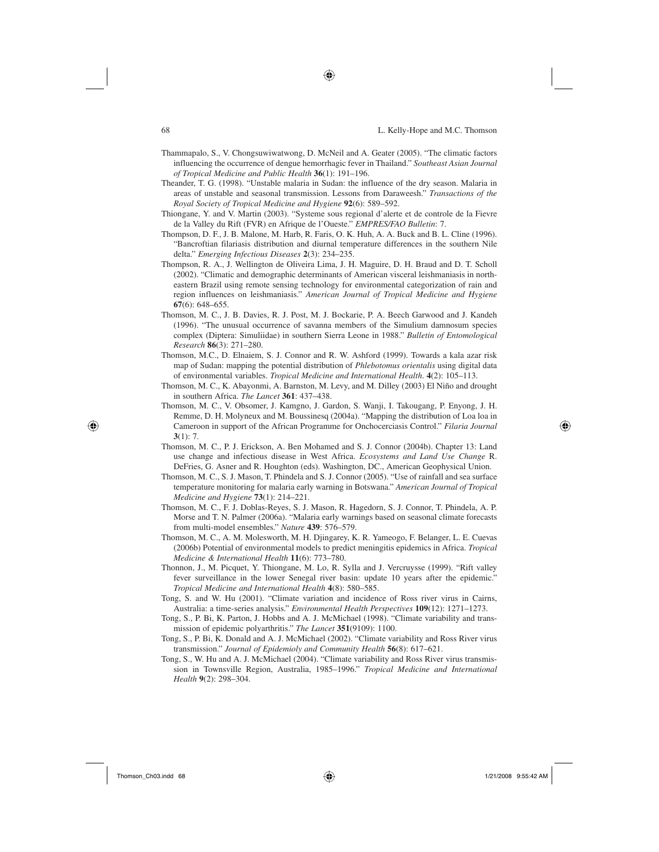Thammapalo, S., V. Chongsuwiwatwong, D. McNeil and A. Geater (2005). "The climatic factors influencing the occurrence of dengue hemorrhagic fever in Thailand." *Southeast Asian Journal of Tropical Medicine and Public Health* **36**(1): 191–196.

⊕

- Theander, T. G. (1998). "Unstable malaria in Sudan: the influence of the dry season. Malaria in areas of unstable and seasonal transmission. Lessons from Daraweesh." *Transactions of the Royal Society of Tropical Medicine and Hygiene* **92**(6): 589–592.
- Thiongane, Y. and V. Martin (2003). "Systeme sous regional d'alerte et de controle de la Fievre de la Valley du Rift (FVR) en Afrique de l'Oueste." *EMPRES/FAO Bulletin*: 7.
- Thompson, D. F., J. B. Malone, M. Harb, R. Faris, O. K. Huh, A. A. Buck and B. L. Cline (1996). "Bancroftian filariasis distribution and diurnal temperature differences in the southern Nile delta." *Emerging Infectious Diseases* **2**(3): 234–235.
- Thompson, R. A., J. Wellington de Oliveira Lima, J. H. Maguire, D. H. Braud and D. T. Scholl (2002). "Climatic and demographic determinants of American visceral leishmaniasis in northeastern Brazil using remote sensing technology for environmental categorization of rain and region influences on leishmaniasis." *American Journal of Tropical Medicine and Hygiene* **67**(6): 648–655.
- Thomson, M. C., J. B. Davies, R. J. Post, M. J. Bockarie, P. A. Beech Garwood and J. Kandeh (1996). "The unusual occurrence of savanna members of the Simulium damnosum species complex (Diptera: Simuliidae) in southern Sierra Leone in 1988." *Bulletin of Entomological Research* **86**(3): 271–280.
- Thomson, M.C., D. Elnaiem, S. J. Connor and R. W. Ashford (1999). Towards a kala azar risk map of Sudan: mapping the potential distribution of *Phlebotomus orientalis* using digital data of environmental variables. *Tropical Medicine and International Health*. **4**(2): 105–113.
- Thomson, M. C., K. Abayonmi, A. Barnston, M. Levy, and M. Dilley (2003) El Niño and drought in southern Africa. *The Lancet* **361**: 437–438.
- Thomson, M. C., V. Obsomer, J. Kamgno, J. Gardon, S. Wanji, I. Takougang, P. Enyong, J. H. Remme, D. H. Molyneux and M. Boussinesq (2004a). "Mapping the distribution of Loa loa in Cameroon in support of the African Programme for Onchocerciasis Control." *Filaria Journal* **3**(1): 7.
- Thomson, M. C., P. J. Erickson, A. Ben Mohamed and S. J. Connor (2004b). Chapter 13: Land use change and infectious disease in West Africa. *Ecosystems and Land Use Change* R. DeFries, G. Asner and R. Houghton (eds). Washington, DC., American Geophysical Union.
- Thomson, M. C., S. J. Mason, T. Phindela and S. J. Connor (2005). "Use of rainfall and sea surface temperature monitoring for malaria early warning in Botswana." *American Journal of Tropical Medicine and Hygiene* **73**(1): 214–221.
- Thomson, M. C., F. J. Doblas-Reyes, S. J. Mason, R. Hagedorn, S. J. Connor, T. Phindela, A. P. Morse and T. N. Palmer (2006a). "Malaria early warnings based on seasonal climate forecasts from multi-model ensembles." *Nature* **439**: 576–579.
- Thomson, M. C., A. M. Molesworth, M. H. Djingarey, K. R. Yameogo, F. Belanger, L. E. Cuevas (2006b) Potential of environmental models to predict meningitis epidemics in Africa. *Tropical Medicine & International Health* **11**(6): 773–780.
- Thonnon, J., M. Picquet, Y. Thiongane, M. Lo, R. Sylla and J. Vercruysse (1999). "Rift valley fever surveillance in the lower Senegal river basin: update 10 years after the epidemic." *Tropical Medicine and International Health* **4**(8): 580–585.
- Tong, S. and W. Hu (2001). "Climate variation and incidence of Ross river virus in Cairns, Australia: a time-series analysis." *Environmental Health Perspectives* **109**(12): 1271–1273.
- Tong, S., P. Bi, K. Parton, J. Hobbs and A. J. McMichael (1998). "Climate variability and transmission of epidemic polyarthritis." *The Lancet* **351**(9109): 1100.
- Tong, S., P. Bi, K. Donald and A. J. McMichael (2002). "Climate variability and Ross River virus transmission." *Journal of Epidemioly and Community Health* **56**(8): 617–621.
- Tong, S., W. Hu and A. J. McMichael (2004). "Climate variability and Ross River virus transmission in Townsville Region, Australia, 1985–1996." *Tropical Medicine and International Health* **9**(2): 298–304.

⊕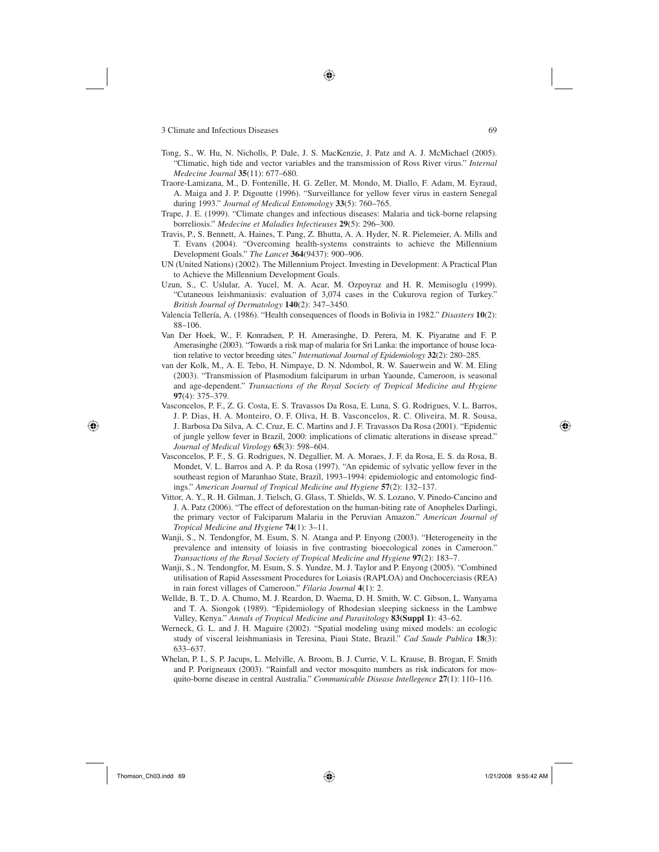Tong, S., W. Hu, N. Nicholls, P. Dale, J. S. MacKenzie, J. Patz and A. J. McMichael (2005). "Climatic, high tide and vector variables and the transmission of Ross River virus." *Internal Medecine Journal* **35**(11): 677–680.

⊕

- Traore-Lamizana, M., D. Fontenille, H. G. Zeller, M. Mondo, M. Diallo, F. Adam, M. Eyraud, A. Maiga and J. P. Digoutte (1996). "Surveillance for yellow fever virus in eastern Senegal during 1993." *Journal of Medical Entomology* **33**(5): 760–765.
- Trape, J. E. (1999). "Climate changes and infectious diseases: Malaria and tick-borne relapsing borreliosis." *Medecine et Maladies Infectieuses* **29**(5): 296–300.
- Travis, P., S. Bennett, A. Haines, T. Pang, Z. Bhutta, A. A. Hyder, N. R. Pielemeier, A. Mills and T. Evans (2004). "Overcoming health-systems constraints to achieve the Millennium Development Goals." *The Lancet* **364**(9437): 900–906.
- UN (United Nations) (2002). The Millennium Project. Investing in Development: A Practical Plan to Achieve the Millennium Development Goals.
- Uzun, S., C. Uslular, A. Yucel, M. A. Acar, M. Ozpoyraz and H. R. Memisoglu (1999). "Cutaneous leishmaniasis: evaluation of 3,074 cases in the Cukurova region of Turkey." *British Journal of Dermatology* **140**(2): 347–3450.
- Valencia Tellería, A. (1986). "Health consequences of floods in Bolivia in 1982." *Disasters* **10**(2): 88–106.
- Van Der Hoek, W., F. Konradsen, P. H. Amerasinghe, D. Perera, M. K. Piyaratne and F. P. Amerasinghe (2003). "Towards a risk map of malaria for Sri Lanka: the importance of house location relative to vector breeding sites." *International Journal of Epidemiology* **32**(2): 280–285.
- van der Kolk, M., A. E. Tebo, H. Nimpaye, D. N. Ndombol, R. W. Sauerwein and W. M. Eling (2003). "Transmission of Plasmodium falciparum in urban Yaounde, Cameroon, is seasonal and age-dependent." *Transactions of the Royal Society of Tropical Medicine and Hygiene* **97**(4): 375–379.
- Vasconcelos, P. F., Z. G. Costa, E. S. Travassos Da Rosa, E. Luna, S. G. Rodrigues, V. L. Barros, J. P. Dias, H. A. Monteiro, O. F. Oliva, H. B. Vasconcelos, R. C. Oliveira, M. R. Sousa, J. Barbosa Da Silva, A. C. Cruz, E. C. Martins and J. F. Travassos Da Rosa (2001). "Epidemic of jungle yellow fever in Brazil, 2000: implications of climatic alterations in disease spread." *Journal of Medical Virology* **65**(3): 598–604.
- Vasconcelos, P. F., S. G. Rodrigues, N. Degallier, M. A. Moraes, J. F. da Rosa, E. S. da Rosa, B. Mondet, V. L. Barros and A. P. da Rosa (1997). "An epidemic of sylvatic yellow fever in the southeast region of Maranhao State, Brazil, 1993–1994: epidemiologic and entomologic findings." *American Journal of Tropical Medicine and Hygiene* **57**(2): 132–137.
- Vittor, A. Y., R. H. Gilman, J. Tielsch, G. Glass, T. Shields, W. S. Lozano, V. Pinedo-Cancino and J. A. Patz (2006). "The effect of deforestation on the human-biting rate of Anopheles Darlingi, the primary vector of Falciparum Malaria in the Peruvian Amazon." *American Journal of Tropical Medicine and Hygiene* **74**(1): 3–11.
- Wanji, S., N. Tendongfor, M. Esum, S. N. Atanga and P. Enyong (2003). "Heterogeneity in the prevalence and intensity of loiasis in five contrasting bioecological zones in Cameroon." *Transactions of the Royal Society of Tropical Medicine and Hygiene* **97**(2): 183–7.
- Wanji, S., N. Tendongfor, M. Esum, S. S. Yundze, M. J. Taylor and P. Enyong (2005). "Combined utilisation of Rapid Assessment Procedures for Loiasis (RAPLOA) and Onchocerciasis (REA) in rain forest villages of Cameroon." *Filaria Journal* **4**(1): 2.
- Wellde, B. T., D. A. Chumo, M. J. Reardon, D. Waema, D. H. Smith, W. C. Gibson, L. Wanyama and T. A. Siongok (1989). "Epidemiology of Rhodesian sleeping sickness in the Lambwe Valley, Kenya." *Annals of Tropical Medicine and Parasitology* **83(Suppl 1)**: 43–62.
- Werneck, G. L. and J. H. Maguire (2002). "Spatial modeling using mixed models: an ecologic study of visceral leishmaniasis in Teresina, Piaui State, Brazil." *Cad Saude Publica* **18**(3): 633–637.
- Whelan, P. I., S. P. Jacups, L. Melville, A. Broom, B. J. Currie, V. L. Krause, B. Brogan, F. Smith and P. Porigneaux (2003). "Rainfall and vector mosquito numbers as risk indicators for mosquito-borne disease in central Australia." *Communicable Disease Intellegence* **27**(1): 110–116.

⊕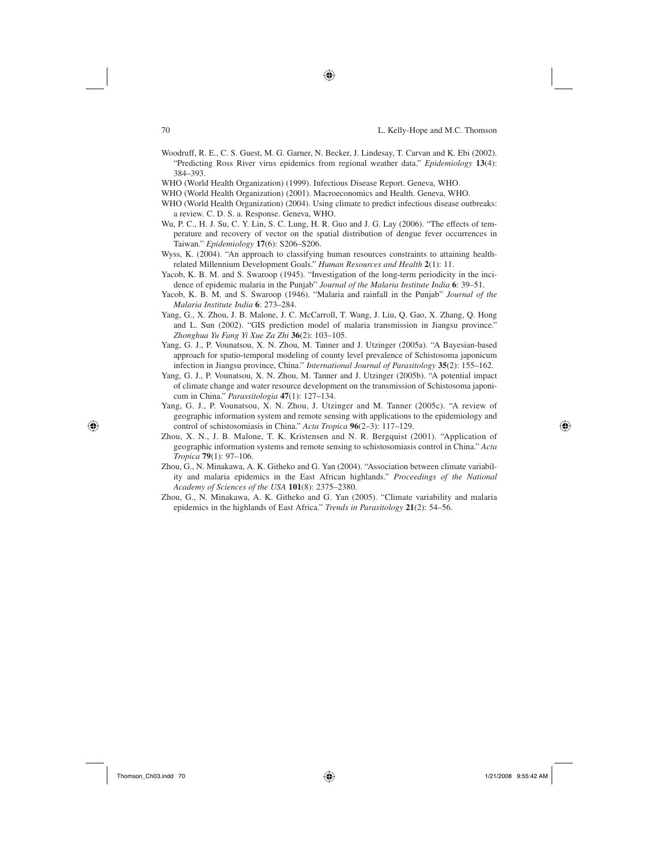Woodruff, R. E., C. S. Guest, M. G. Garner, N. Becker, J. Lindesay, T. Carvan and K. Ebi (2002). "Predicting Ross River virus epidemics from regional weather data." *Epidemiology* **13**(4): 384–393.

⊕

- WHO (World Health Organization) (1999). Infectious Disease Report. Geneva, WHO.
- WHO (World Health Organization) (2001). Macroeconomics and Health. Geneva, WHO.
- WHO (World Health Organization) (2004). Using climate to predict infectious disease outbreaks: a review. C. D. S. a. Response. Geneva, WHO.
- Wu, P. C., H. J. Su, C. Y. Lin, S. C. Lung, H. R. Guo and J. G. Lay (2006). "The effects of temperature and recovery of vector on the spatial distribution of dengue fever occurrences in Taiwan." *Epidemiology* **17**(6): S206–S206.
- Wyss, K. (2004). "An approach to classifying human resources constraints to attaining healthrelated Millennium Development Goals." *Human Resources and Health* **2**(1): 11.
- Yacob, K. B. M. and S. Swaroop (1945). "Investigation of the long-term periodicity in the incidence of epidemic malaria in the Punjab" *Journal of the Malaria Institute India* **6**: 39–51.
- Yacob, K. B. M. and S. Swaroop (1946). "Malaria and rainfall in the Punjab" *Journal of the Malaria Institute India* **6**: 273–284.
- Yang, G., X. Zhou, J. B. Malone, J. C. McCarroll, T. Wang, J. Liu, Q. Gao, X. Zhang, Q. Hong and L. Sun (2002). "GIS prediction model of malaria transmission in Jiangsu province." *Zhonghua Yu Fang Yi Xue Za Zhi* **36**(2): 103–105.
- Yang, G. J., P. Vounatsou, X. N. Zhou, M. Tanner and J. Utzinger (2005a). "A Bayesian-based approach for spatio-temporal modeling of county level prevalence of Schistosoma japonicum infection in Jiangsu province, China." *International Journal of Parasitology* **35**(2): 155–162.
- Yang, G. J., P. Vounatsou, X. N. Zhou, M. Tanner and J. Utzinger (2005b). "A potential impact of climate change and water resource development on the transmission of Schistosoma japonicum in China." *Parassitologia* **47**(1): 127–134.
- Yang, G. J., P. Vounatsou, X. N. Zhou, J. Utzinger and M. Tanner (2005c). "A review of geographic information system and remote sensing with applications to the epidemiology and control of schistosomiasis in China." *Acta Tropica* **96**(2–3): 117–129.
- Zhou, X. N., J. B. Malone, T. K. Kristensen and N. R. Bergquist (2001). "Application of geographic information systems and remote sensing to schistosomiasis control in China." *Acta Tropica* **79**(1): 97–106.
- Zhou, G., N. Minakawa, A. K. Githeko and G. Yan (2004). "Association between climate variability and malaria epidemics in the East African highlands." *Proceedings of the National Academy of Sciences of the USA* **101**(8): 2375–2380.
- Zhou, G., N. Minakawa, A. K. Githeko and G. Yan (2005). "Climate variability and malaria epidemics in the highlands of East Africa." *Trends in Parasitology* **21**(2): 54–56.

Thomson\_Ch03.indd 70 Thomson\_Ch03.indd 1/21/2008 9:55:42 AM 1/21/2008

⊕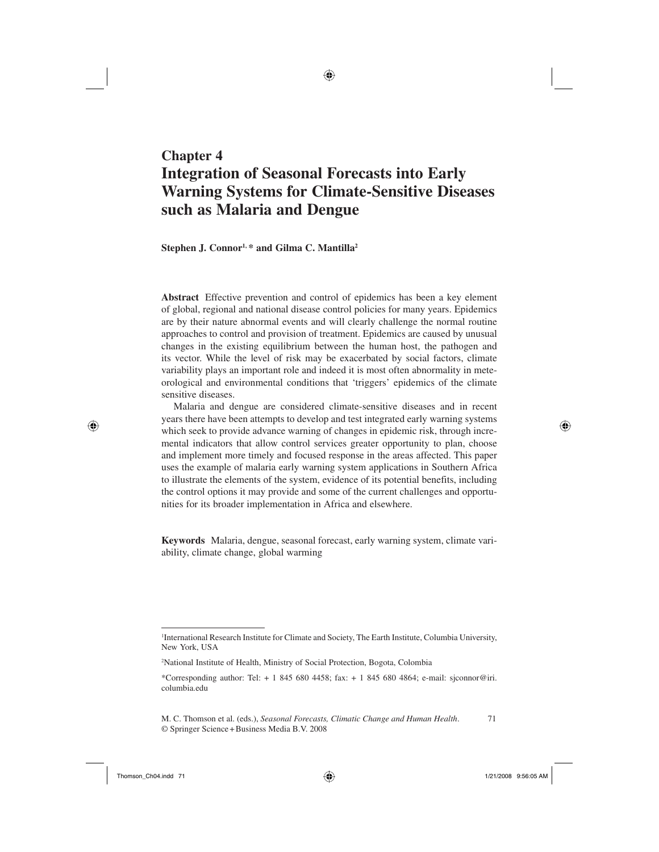# **Chapter 4 Integration of Seasonal Forecasts into Early Warning Systems for Climate-Sensitive Diseases such as Malaria and Dengue**

⊕

Stephen J. Connor<sup>1, \*</sup> and Gilma C. Mantilla<sup>2</sup>

**Abstract** Effective prevention and control of epidemics has been a key element of global, regional and national disease control policies for many years. Epidemics are by their nature abnormal events and will clearly challenge the normal routine approaches to control and provision of treatment. Epidemics are caused by unusual changes in the existing equilibrium between the human host, the pathogen and its vector. While the level of risk may be exacerbated by social factors, climate variability plays an important role and indeed it is most often abnormality in meteorological and environmental conditions that 'triggers' epidemics of the climate sensitive diseases.

Malaria and dengue are considered climate-sensitive diseases and in recent years there have been attempts to develop and test integrated early warning systems which seek to provide advance warning of changes in epidemic risk, through incremental indicators that allow control services greater opportunity to plan, choose and implement more timely and focused response in the areas affected. This paper uses the example of malaria early warning system applications in Southern Africa to illustrate the elements of the system, evidence of its potential benefits, including the control options it may provide and some of the current challenges and opportunities for its broader implementation in Africa and elsewhere.

**Keywords** Malaria, dengue, seasonal forecast, early warning system, climate variability, climate change, global warming

⊕

<sup>1</sup> International Research Institute for Climate and Society, The Earth Institute, Columbia University, New York, USA

<sup>2</sup> National Institute of Health, Ministry of Social Protection, Bogota, Colombia

<sup>\*</sup>Corresponding author: Tel: + 1 845 680 4458; fax: + 1 845 680 4864; e-mail: sjconnor@iri. columbia.edu

M. C. Thomson et al. (eds.), *Seasonal Forecasts, Climatic Change and Human Health*. 71 © Springer Science + Business Media B.V. 2008